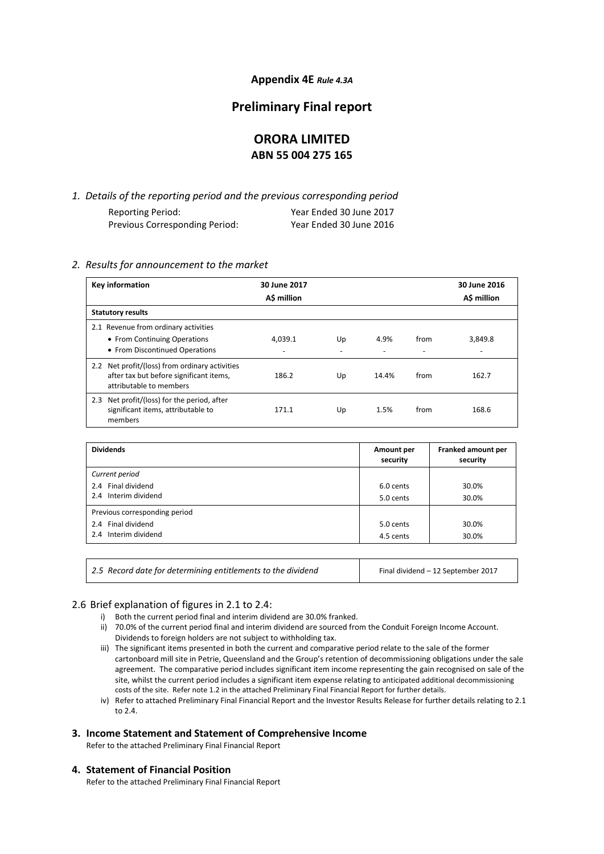# **Appendix 4E** *Rule 4.3A*

# **Preliminary Final report**

# **ORORA LIMITED ABN 55 004 275 165**

*1. Details of the reporting period and the previous corresponding period* Reporting Period: Year Ended 30 June 2017 Previous Corresponding Period: Year Ended 30 June 2016

# *2. Results for announcement to the market*

| Key information                                                                                                      | 30 June 2017<br>A\$ million |                          |       |      | 30 June 2016<br>A\$ million |
|----------------------------------------------------------------------------------------------------------------------|-----------------------------|--------------------------|-------|------|-----------------------------|
| <b>Statutory results</b>                                                                                             |                             |                          |       |      |                             |
| 2.1 Revenue from ordinary activities                                                                                 |                             |                          |       |      |                             |
| • From Continuing Operations                                                                                         | 4.039.1                     | Up                       | 4.9%  | from | 3,849.8                     |
| • From Discontinued Operations                                                                                       | $\overline{\phantom{0}}$    | $\overline{\phantom{0}}$ |       |      |                             |
| 2.2 Net profit/(loss) from ordinary activities<br>after tax but before significant items,<br>attributable to members | 186.2                       | Up                       | 14.4% | from | 162.7                       |
| Net profit/(loss) for the period, after<br>2.3<br>significant items, attributable to<br>members                      | 171.1                       | Up                       | 1.5%  | from | 168.6                       |

| <b>Dividends</b>              | Amount per<br>security | Franked amount per<br>security |
|-------------------------------|------------------------|--------------------------------|
| Current period                |                        |                                |
| 2.4 Final dividend            | 6.0 cents              | 30.0%                          |
| 2.4 Interim dividend          | 5.0 cents              | 30.0%                          |
| Previous corresponding period |                        |                                |
| 2.4 Final dividend            | 5.0 cents              | 30.0%                          |
| 2.4 Interim dividend          | 4.5 cents              | 30.0%                          |
|                               |                        |                                |

| 2.5 Record date for determining entitlements to the dividend | Final dividend - 12 September 2017 |
|--------------------------------------------------------------|------------------------------------|
|--------------------------------------------------------------|------------------------------------|

# 2.6 Brief explanation of figures in 2.1 to 2.4:

- i) Both the current period final and interim dividend are 30.0% franked.
- ii) 70.0% of the current period final and interim dividend are sourced from the Conduit Foreign Income Account. Dividends to foreign holders are not subject to withholding tax.
- iii) The significant items presented in both the current and comparative period relate to the sale of the former cartonboard mill site in Petrie, Queensland and the Group's retention of decommissioning obligations under the sale agreement. The comparative period includes significant item income representing the gain recognised on sale of the site, whilst the current period includes a significant item expense relating to anticipated additional decommissioning costs of the site. Refer note 1.2 in the attached Preliminary Final Financial Report for further details.
- iv) Refer to attached Preliminary Final Financial Report and the Investor Results Release for further details relating to 2.1 to 2.4.

# **3. Income Statement and Statement of Comprehensive Income**

Refer to the attached Preliminary Final Financial Report

### **4. Statement of Financial Position**

Refer to the attached Preliminary Final Financial Report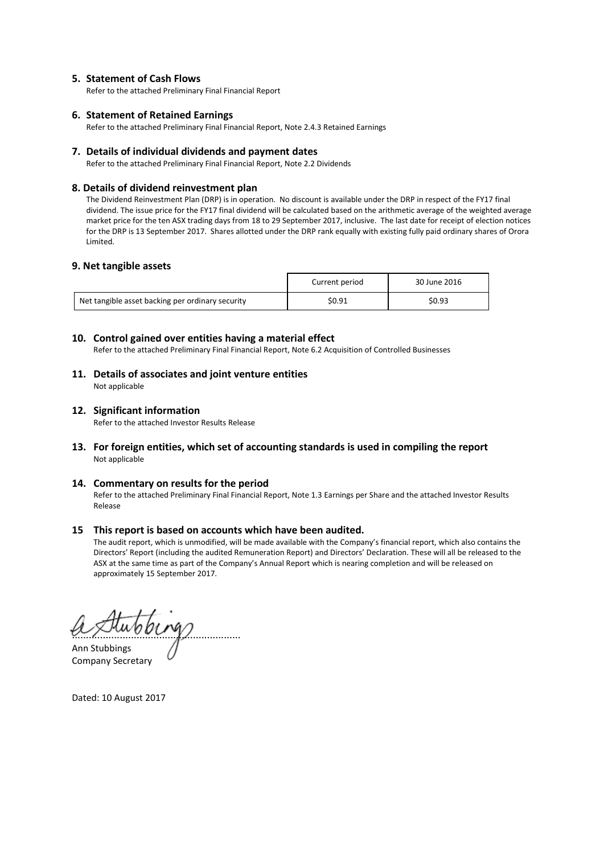# **5. Statement of Cash Flows**

Refer to the attached Preliminary Final Financial Report

# **6. Statement of Retained Earnings**

Refer to the attached Preliminary Final Financial Report, Note 2.4.3 Retained Earnings

### **7. Details of individual dividends and payment dates**

Refer to the attached Preliminary Final Financial Report, Note 2.2 Dividends

### **8. Details of dividend reinvestment plan**

The Dividend Reinvestment Plan (DRP) is in operation. No discount is available under the DRP in respect of the FY17 final dividend. The issue price for the FY17 final dividend will be calculated based on the arithmetic average of the weighted average market price for the ten ASX trading days from 18 to 29 September 2017, inclusive. The last date for receipt of election notices for the DRP is 13 September 2017. Shares allotted under the DRP rank equally with existing fully paid ordinary shares of Orora Limited.

# **9. Net tangible assets**

|                                                  | Current period | 30 June 2016 |
|--------------------------------------------------|----------------|--------------|
| Net tangible asset backing per ordinary security | \$0.91         | \$0.93       |

### **10. Control gained over entities having a material effect**

Refer to the attached Preliminary Final Financial Report, Note 6.2 Acquisition of Controlled Businesses

**11. Details of associates and joint venture entities**  Not applicable

### **12. Significant information**

Refer to the attached Investor Results Release

**13. For foreign entities, which set of accounting standards is used in compiling the report** Not applicable

#### **14. Commentary on results for the period**

Refer to the attached Preliminary Final Financial Report, Note 1.3 Earnings per Share and the attached Investor Results Release

## **15 This report is based on accounts which have been audited.**

The audit report, which is unmodified, will be made available with the Company's financial report, which also contains the Directors' Report (including the audited Remuneration Report) and Directors' Declaration. These will all be released to the ASX at the same time as part of the Company's Annual Report which is nearing completion and will be released on approximately 15 September 2017.

............................................................

Ann Stubbings Company Secretary

Dated: 10 August 2017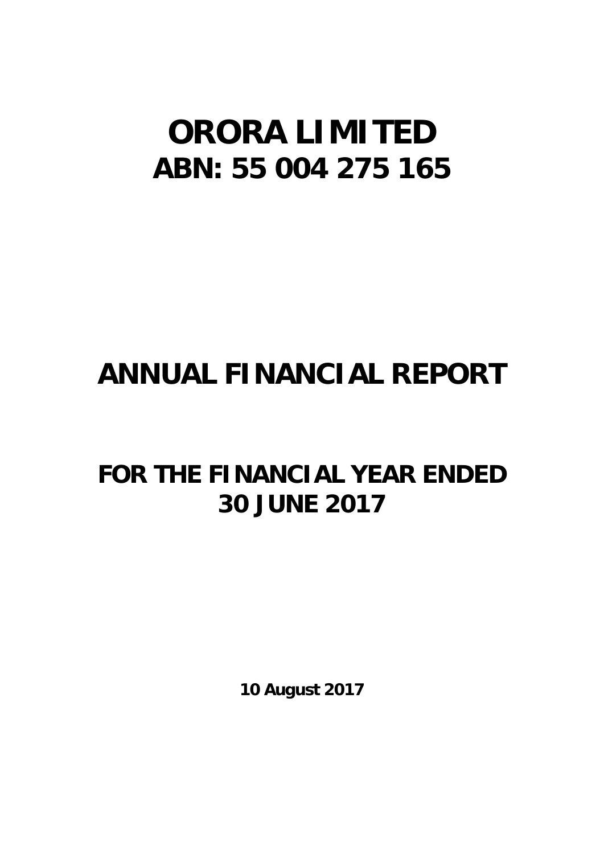# **ORORA LIMITED ABN: 55 004 275 165**

# **ANNUAL FINANCIAL REPORT**

# **FOR THE FINANCIAL YEAR ENDED 30 JUNE 2017**

**10 August 2017**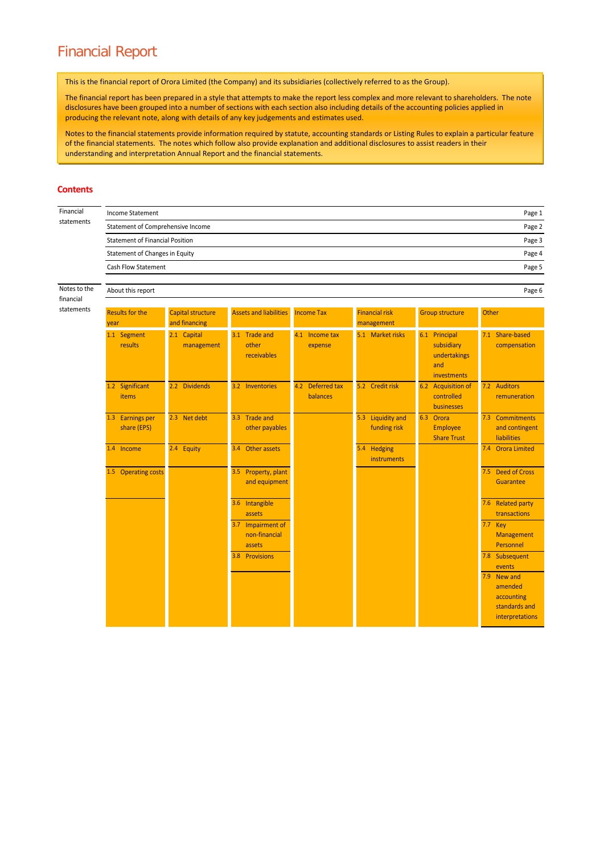# Financial Report

This is the financial report of Orora Limited (the Company) and its subsidiaries (collectively referred to as the Group).

The financial report has been prepared in a style that attempts to make the report less complex and more relevant to shareholders. The note disclosures have been grouped into a number of sections with each section also including details of the accounting policies applied in producing the relevant note, along with details of any key judgements and estimates used.

Notes to the financial statements provide information required by statute, accounting standards or Listing Rules to explain a particular feature of the financial statements. The notes which follow also provide explanation and additional disclosures to assist readers in their understanding and interpretation Annual Report and the financial statements.

#### **Contents**

| Financial                 | <b>Income Statement</b><br>Page 1        |                                           |                                              |                              |                                     |                                                                   |                                                                          |  |  |  |
|---------------------------|------------------------------------------|-------------------------------------------|----------------------------------------------|------------------------------|-------------------------------------|-------------------------------------------------------------------|--------------------------------------------------------------------------|--|--|--|
| statements                | Statement of Comprehensive Income        |                                           |                                              |                              |                                     |                                                                   | Page 2                                                                   |  |  |  |
|                           | <b>Statement of Financial Position</b>   |                                           |                                              |                              |                                     |                                                                   | Page 3                                                                   |  |  |  |
|                           | Statement of Changes in Equity<br>Page 4 |                                           |                                              |                              |                                     |                                                                   |                                                                          |  |  |  |
|                           | Cash Flow Statement<br>Page 5            |                                           |                                              |                              |                                     |                                                                   |                                                                          |  |  |  |
| Notes to the<br>financial | About this report<br>Page 6              |                                           |                                              |                              |                                     |                                                                   |                                                                          |  |  |  |
| statements                | <b>Results for the</b><br>year           | <b>Capital structure</b><br>and financing | <b>Assets and liabilities</b>                | <b>Income Tax</b>            | <b>Financial risk</b><br>management | <b>Group structure</b>                                            | Other                                                                    |  |  |  |
|                           | 1.1 Segment<br>results                   | 2.1 Capital<br>management                 | 3.1 Trade and<br>other<br>receivables        | 4.1 Income tax<br>expense    | 5.1 Market risks                    | 6.1 Principal<br>subsidiary<br>undertakings<br>and<br>investments | 7.1 Share-based<br>compensation                                          |  |  |  |
|                           | 1.2 Significant<br>items                 | 2.2 Dividends                             | 3.2 Inventories                              | 4.2 Deferred tax<br>balances | 5.2 Credit risk                     | 6.2 Acquisition of<br>controlled<br><b>businesses</b>             | 7.2 Auditors<br>remuneration                                             |  |  |  |
|                           | 1.3 Earnings per<br>share (EPS)          | 2.3 Net debt                              | 3.3 Trade and<br>other payables              |                              | 5.3 Liquidity and<br>funding risk   | 6.3 Orora<br><b>Employee</b><br><b>Share Trust</b>                | 7.3 Commitments<br>and contingent<br>liabilities                         |  |  |  |
|                           | 1.4 Income                               | 2.4 Equity                                | 3.4 Other assets                             |                              | 5.4 Hedging<br>instruments          |                                                                   | 7.4 Orora Limited                                                        |  |  |  |
|                           | 1.5 Operating costs                      |                                           | 3.5 Property, plant<br>and equipment         |                              |                                     |                                                                   | 7.5 Deed of Cross<br>Guarantee                                           |  |  |  |
|                           |                                          |                                           | 3.6 Intangible<br>assets                     |                              |                                     |                                                                   | 7.6 Related party<br>transactions                                        |  |  |  |
|                           |                                          |                                           | 3.7 Impairment of<br>non-financial<br>assets |                              |                                     |                                                                   | 7.7 Key<br>Management<br>Personnel                                       |  |  |  |
|                           |                                          |                                           | 3.8 Provisions                               |                              |                                     |                                                                   | 7.8 Subsequent<br>events                                                 |  |  |  |
|                           |                                          |                                           |                                              |                              |                                     |                                                                   | 7.9 New and<br>amended<br>accounting<br>standards and<br>interpretations |  |  |  |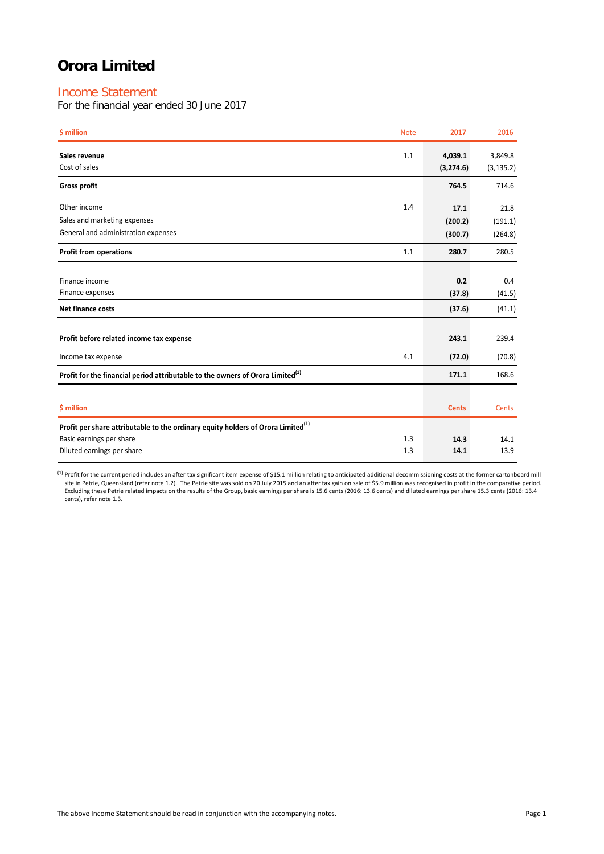# Income Statement

For the financial year ended 30 June 2017

| \$ million                                                                                   | <b>Note</b> | 2017                  | 2016                  |
|----------------------------------------------------------------------------------------------|-------------|-----------------------|-----------------------|
| Sales revenue<br>Cost of sales                                                               | 1.1         | 4,039.1<br>(3, 274.6) | 3,849.8<br>(3, 135.2) |
| <b>Gross profit</b>                                                                          |             | 764.5                 | 714.6                 |
| Other income                                                                                 | 1.4         | 17.1                  | 21.8                  |
| Sales and marketing expenses                                                                 |             | (200.2)               | (191.1)               |
| General and administration expenses                                                          |             | (300.7)               | (264.8)               |
| <b>Profit from operations</b>                                                                | 1.1         | 280.7                 | 280.5                 |
|                                                                                              |             |                       |                       |
| Finance income                                                                               |             | 0.2                   | 0.4                   |
| Finance expenses                                                                             |             | (37.8)                | (41.5)                |
| <b>Net finance costs</b>                                                                     |             | (37.6)                | (41.1)                |
| Profit before related income tax expense                                                     |             | 243.1                 | 239.4                 |
|                                                                                              |             |                       |                       |
| Income tax expense                                                                           | 4.1         | (72.0)                | (70.8)                |
| Profit for the financial period attributable to the owners of Orora Limited <sup>(1)</sup>   |             | 171.1                 | 168.6                 |
|                                                                                              |             |                       |                       |
| \$ million                                                                                   |             | <b>Cents</b>          | Cents                 |
| Profit per share attributable to the ordinary equity holders of Orora Limited <sup>(1)</sup> |             |                       |                       |
| Basic earnings per share                                                                     | 1.3         | 14.3                  | 14.1                  |
| Diluted earnings per share                                                                   | 1.3         | 14.1                  | 13.9                  |

 $^{(1)}$  Profit for the current period includes an after tax significant item expense of \$15.1 million relating to anticipated additional decommissioning costs at the former cartonboard mill site in Petrie, Queensland (refer note 1.2). The Petrie site was sold on 20 July 2015 and an after tax gain on sale of \$5.9 million was recognised in profit in the comparative period. Excluding these Petrie related impacts on the results of the Group, basic earnings per share is 15.6 cents (2016: 13.6 cents) and diluted earnings per share 15.3 cents (2016: 13.4<br>cents), refer note 1.3.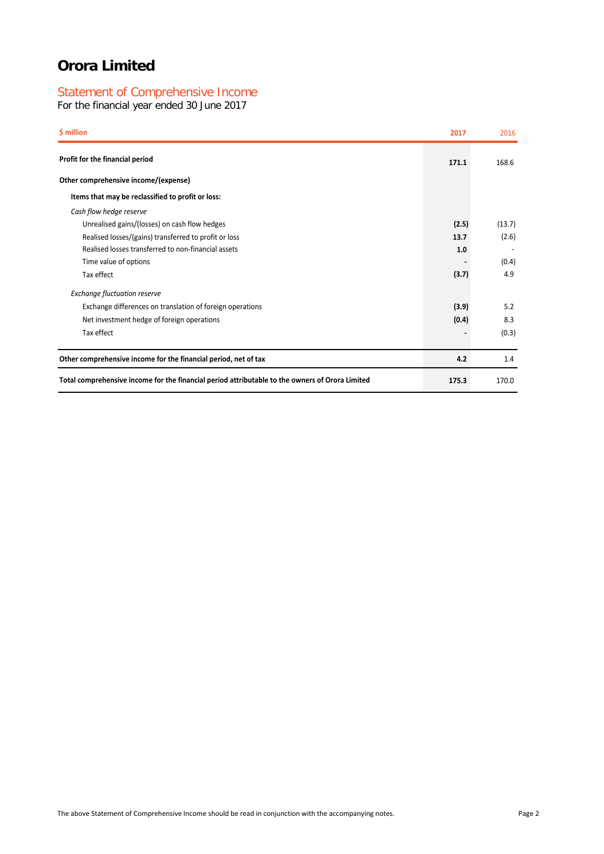# Statement of Comprehensive Income

For the financial year ended 30 June 2017

| \$ million                                                                                      | 2017  | 2016   |
|-------------------------------------------------------------------------------------------------|-------|--------|
| Profit for the financial period                                                                 | 171.1 | 168.6  |
| Other comprehensive income/(expense)                                                            |       |        |
| Items that may be reclassified to profit or loss:                                               |       |        |
| Cash flow hedge reserve                                                                         |       |        |
| Unrealised gains/(losses) on cash flow hedges                                                   | (2.5) | (13.7) |
| Realised losses/(gains) transferred to profit or loss                                           | 13.7  | (2.6)  |
| Realised losses transferred to non-financial assets                                             | 1.0   |        |
| Time value of options                                                                           |       | (0.4)  |
| Tax effect                                                                                      | (3.7) | 4.9    |
| <b>Exchange fluctuation reserve</b>                                                             |       |        |
| Exchange differences on translation of foreign operations                                       | (3.9) | 5.2    |
| Net investment hedge of foreign operations                                                      | (0.4) | 8.3    |
| Tax effect                                                                                      |       | (0.3)  |
| Other comprehensive income for the financial period, net of tax                                 | 4.2   | 1.4    |
| Total comprehensive income for the financial period attributable to the owners of Orora Limited | 175.3 | 170.0  |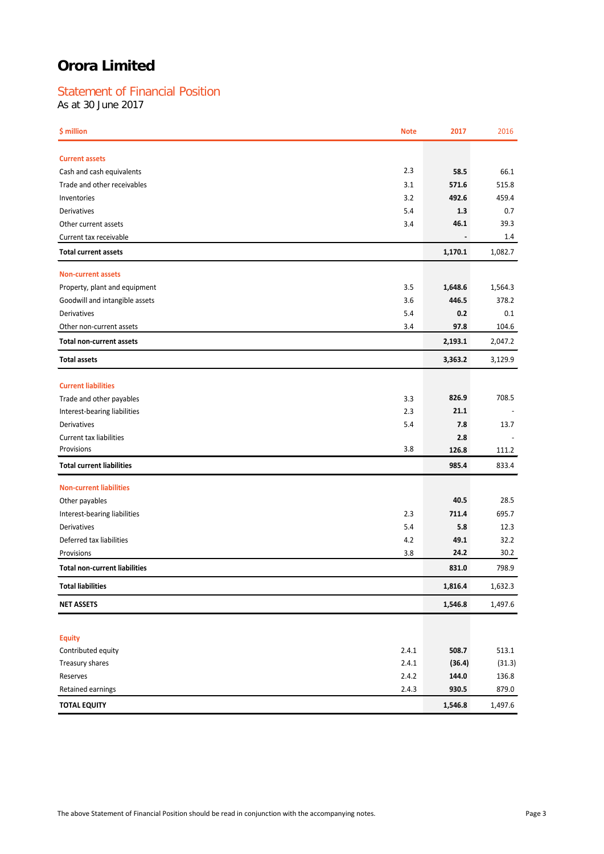# Statement of Financial Position

As at 30 June 2017

| \$ million                                                      | <b>Note</b> | 2017                     | 2016    |
|-----------------------------------------------------------------|-------------|--------------------------|---------|
| <b>Current assets</b>                                           |             |                          |         |
| Cash and cash equivalents                                       | 2.3         | 58.5                     | 66.1    |
| Trade and other receivables                                     | 3.1         | 571.6                    | 515.8   |
| Inventories                                                     | 3.2         | 492.6                    | 459.4   |
| Derivatives                                                     | 5.4         | 1.3                      | 0.7     |
| Other current assets                                            | 3.4         | 46.1                     | 39.3    |
| Current tax receivable                                          |             | $\overline{\phantom{a}}$ | 1.4     |
| <b>Total current assets</b>                                     |             | 1,170.1                  | 1,082.7 |
| <b>Non-current assets</b>                                       |             |                          |         |
|                                                                 | 3.5         | 1,648.6                  | 1,564.3 |
| Property, plant and equipment<br>Goodwill and intangible assets | 3.6         | 446.5                    | 378.2   |
| Derivatives                                                     | 5.4         | 0.2                      | 0.1     |
| Other non-current assets                                        | 3.4         | 97.8                     | 104.6   |
| <b>Total non-current assets</b>                                 |             | 2,193.1                  | 2,047.2 |
|                                                                 |             |                          |         |
| <b>Total assets</b>                                             |             | 3,363.2                  | 3,129.9 |
| <b>Current liabilities</b>                                      |             |                          |         |
| Trade and other payables                                        | 3.3         | 826.9                    | 708.5   |
| Interest-bearing liabilities                                    | 2.3         | 21.1                     |         |
| Derivatives                                                     | 5.4         | 7.8                      | 13.7    |
| <b>Current tax liabilities</b>                                  |             | 2.8                      |         |
| Provisions                                                      | 3.8         | 126.8                    | 111.2   |
| <b>Total current liabilities</b>                                |             | 985.4                    | 833.4   |
|                                                                 |             |                          |         |
| <b>Non-current liabilities</b>                                  |             |                          |         |
| Other payables                                                  |             | 40.5                     | 28.5    |
| Interest-bearing liabilities                                    | 2.3         | 711.4                    | 695.7   |
| Derivatives                                                     | 5.4         | 5.8                      | 12.3    |
| Deferred tax liabilities                                        | 4.2         | 49.1                     | 32.2    |
| Provisions                                                      | 3.8         | 24.2                     | 30.2    |
| <b>Total non-current liabilities</b>                            |             | 831.0                    | 798.9   |
| <b>Total liabilities</b>                                        |             | 1,816.4                  | 1,632.3 |
| <b>NET ASSETS</b>                                               |             | 1,546.8                  | 1,497.6 |
|                                                                 |             |                          |         |
| <b>Equity</b>                                                   |             |                          |         |
| Contributed equity                                              | 2.4.1       | 508.7                    | 513.1   |
| Treasury shares                                                 | 2.4.1       | (36.4)                   | (31.3)  |
| Reserves                                                        | 2.4.2       | 144.0                    | 136.8   |
| Retained earnings                                               | 2.4.3       | 930.5                    | 879.0   |
| <b>TOTAL EQUITY</b>                                             |             | 1,546.8                  | 1,497.6 |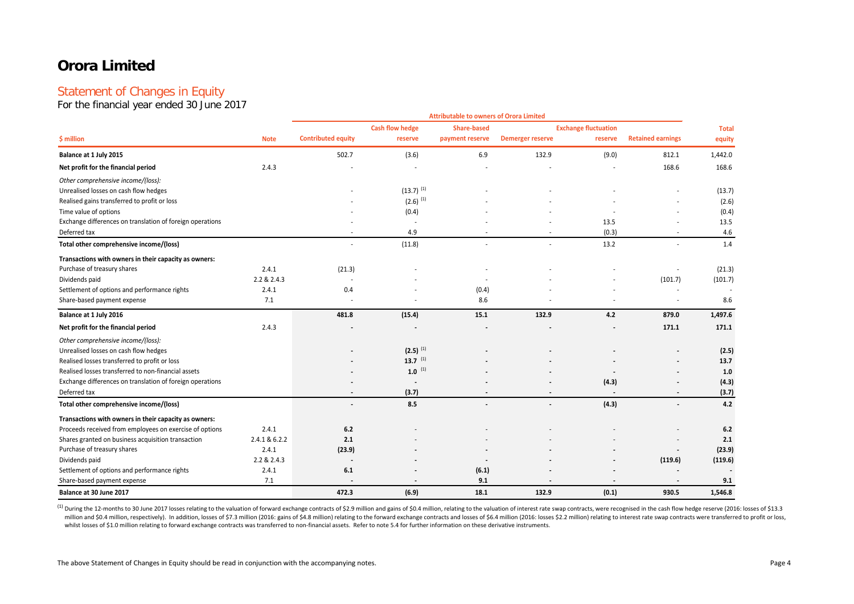# Statement of Changes in Equity

For the financial year ended 30 June 2017

|                                                           |               |                           | <b>Attributable to owners of Orora Limited</b> |                    |                         |                             |                          |                        |  |  |
|-----------------------------------------------------------|---------------|---------------------------|------------------------------------------------|--------------------|-------------------------|-----------------------------|--------------------------|------------------------|--|--|
|                                                           |               |                           | <b>Cash flow hedge</b>                         | <b>Share-based</b> |                         | <b>Exchange fluctuation</b> |                          | <b>Total</b><br>equity |  |  |
| \$ million                                                | <b>Note</b>   | <b>Contributed equity</b> | reserve                                        | payment reserve    | <b>Demerger reserve</b> | reserve                     | <b>Retained earnings</b> |                        |  |  |
| Balance at 1 July 2015                                    |               | 502.7                     | (3.6)                                          | 6.9                | 132.9                   | (9.0)                       | 812.1                    | 1,442.0                |  |  |
| Net profit for the financial period                       | 2.4.3         |                           |                                                |                    |                         |                             | 168.6                    | 168.6                  |  |  |
| Other comprehensive income/(loss):                        |               |                           |                                                |                    |                         |                             |                          |                        |  |  |
| Unrealised losses on cash flow hedges                     |               |                           | $(13.7)^{(1)}$                                 |                    |                         |                             |                          | (13.7)                 |  |  |
| Realised gains transferred to profit or loss              |               |                           | $(2.6)$ <sup>(1)</sup>                         |                    |                         |                             |                          | (2.6)                  |  |  |
| Time value of options                                     |               |                           | (0.4)                                          |                    |                         |                             |                          | (0.4)                  |  |  |
| Exchange differences on translation of foreign operations |               |                           | ÷.                                             |                    |                         | 13.5                        |                          | 13.5                   |  |  |
| Deferred tax                                              |               |                           | 4.9                                            |                    |                         | (0.3)                       |                          | 4.6                    |  |  |
| Total other comprehensive income/(loss)                   |               | $\sim$                    | (11.8)                                         |                    |                         | 13.2                        |                          | 1.4                    |  |  |
| Transactions with owners in their capacity as owners:     |               |                           |                                                |                    |                         |                             |                          |                        |  |  |
| Purchase of treasury shares                               | 2.4.1         | (21.3)                    |                                                |                    |                         |                             |                          | (21.3)                 |  |  |
| Dividends paid                                            | 2.2 & 2.4.3   | $\overline{a}$            |                                                |                    |                         |                             | (101.7)                  | (101.7)                |  |  |
| Settlement of options and performance rights              | 2.4.1         | 0.4                       |                                                | (0.4)              |                         |                             | ٠                        |                        |  |  |
| Share-based payment expense                               | 7.1           |                           |                                                | 8.6                |                         |                             |                          | 8.6                    |  |  |
| Balance at 1 July 2016                                    |               | 481.8                     | (15.4)                                         | 15.1               | 132.9                   | 4.2                         | 879.0                    | 1,497.6                |  |  |
| Net profit for the financial period                       | 2.4.3         |                           |                                                |                    |                         |                             | 171.1                    | 171.1                  |  |  |
| Other comprehensive income/(loss):                        |               |                           |                                                |                    |                         |                             |                          |                        |  |  |
| Unrealised losses on cash flow hedges                     |               |                           | $(2.5)$ <sup>(1)</sup>                         |                    |                         |                             |                          | (2.5)                  |  |  |
| Realised losses transferred to profit or loss             |               |                           | 13.7 $(1)$                                     |                    |                         |                             |                          | 13.7                   |  |  |
| Realised losses transferred to non-financial assets       |               |                           | $1.0$ (1)                                      |                    |                         |                             |                          | 1.0                    |  |  |
| Exchange differences on translation of foreign operations |               |                           |                                                |                    |                         | (4.3)                       |                          | (4.3)                  |  |  |
| Deferred tax                                              |               |                           | (3.7)                                          |                    |                         |                             |                          | (3.7)                  |  |  |
| Total other comprehensive income/(loss)                   |               | $\overline{\phantom{a}}$  | 8.5                                            |                    |                         | (4.3)                       |                          | 4.2                    |  |  |
| Transactions with owners in their capacity as owners:     |               |                           |                                                |                    |                         |                             |                          |                        |  |  |
| Proceeds received from employees on exercise of options   | 2.4.1         | 6.2                       |                                                |                    |                         |                             |                          | 6.2                    |  |  |
| Shares granted on business acquisition transaction        | 2.4.1 & 6.2.2 | 2.1                       |                                                |                    |                         |                             |                          | 2.1                    |  |  |
| Purchase of treasury shares                               | 2.4.1         | (23.9)                    |                                                |                    |                         |                             |                          | (23.9)                 |  |  |
| Dividends paid                                            | 2.2 & 2.4.3   |                           |                                                |                    |                         |                             | (119.6)                  | (119.6)                |  |  |
| Settlement of options and performance rights              | 2.4.1         | 6.1                       |                                                | (6.1)              |                         |                             |                          |                        |  |  |
| Share-based payment expense                               | 7.1           |                           |                                                | 9.1                |                         |                             |                          | 9.1                    |  |  |
| Balance at 30 June 2017                                   |               | 472.3                     | (6.9)                                          | 18.1               | 132.9                   | (0.1)                       | 930.5                    | 1,546.8                |  |  |

(1) During the 12-months to 30 June 2017 losses relating to the valuation of forward exchange contracts of \$2.9 million and gains of \$0.4 million, relating to the valuation of interest rate swap contracts, were recognised million and \$0.4 million, respectively). In addition, losses of \$7.3 million (2016: gains of \$4.8 million) relating to the forward exchange contracts and losses of \$6.4 million (2016: losses \$2.2 million) relating to inter whilst losses of \$1.0 million relating to forward exchange contracts was transferred to non-financial assets. Refer to note 5.4 for further information on these derivative instruments.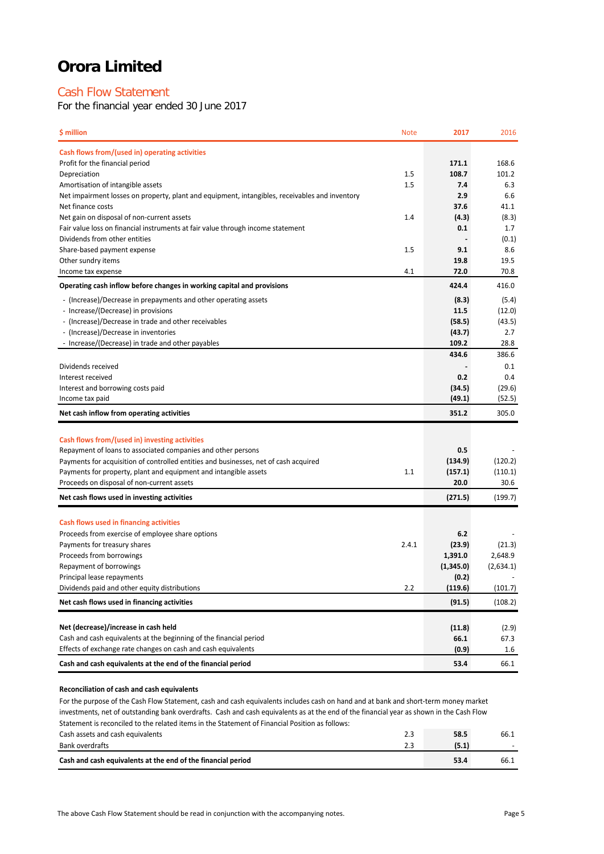# Cash Flow Statement

For the financial year ended 30 June 2017

| \$ million                                                                                                                          | <b>Note</b> | 2017          | 2016          |
|-------------------------------------------------------------------------------------------------------------------------------------|-------------|---------------|---------------|
| Cash flows from/(used in) operating activities                                                                                      |             |               |               |
| Profit for the financial period                                                                                                     |             | 171.1         | 168.6         |
| Depreciation                                                                                                                        | 1.5         | 108.7         | 101.2         |
| Amortisation of intangible assets                                                                                                   | 1.5         | 7.4           | 6.3           |
| Net impairment losses on property, plant and equipment, intangibles, receivables and inventory                                      |             | 2.9           | 6.6           |
| Net finance costs                                                                                                                   |             | 37.6          | 41.1          |
| Net gain on disposal of non-current assets<br>Fair value loss on financial instruments at fair value through income statement       | 1.4         | (4.3)<br>0.1  | (8.3)<br>1.7  |
| Dividends from other entities                                                                                                       |             |               | (0.1)         |
| Share-based payment expense                                                                                                         | 1.5         | 9.1           | 8.6           |
| Other sundry items                                                                                                                  |             | 19.8          | 19.5          |
| Income tax expense                                                                                                                  | 4.1         | 72.0          | 70.8          |
| Operating cash inflow before changes in working capital and provisions                                                              |             | 424.4         | 416.0         |
| - (Increase)/Decrease in prepayments and other operating assets                                                                     |             | (8.3)         | (5.4)         |
| - Increase/(Decrease) in provisions                                                                                                 |             | 11.5          | (12.0)        |
| - (Increase)/Decrease in trade and other receivables                                                                                |             | (58.5)        | (43.5)        |
| - (Increase)/Decrease in inventories                                                                                                |             | (43.7)        | 2.7           |
| - Increase/(Decrease) in trade and other payables                                                                                   |             | 109.2         | 28.8<br>386.6 |
| Dividends received                                                                                                                  |             | 434.6         | 0.1           |
| Interest received                                                                                                                   |             | 0.2           | 0.4           |
| Interest and borrowing costs paid                                                                                                   |             | (34.5)        | (29.6)        |
| Income tax paid                                                                                                                     |             | (49.1)        | (52.5)        |
| Net cash inflow from operating activities                                                                                           |             | 351.2         | 305.0         |
|                                                                                                                                     |             |               |               |
| Cash flows from/(used in) investing activities                                                                                      |             |               |               |
| Repayment of loans to associated companies and other persons                                                                        |             | 0.5           |               |
| Payments for acquisition of controlled entities and businesses, net of cash acquired                                                |             | (134.9)       | (120.2)       |
| Payments for property, plant and equipment and intangible assets                                                                    | 1.1         | (157.1)       | (110.1)       |
| Proceeds on disposal of non-current assets                                                                                          |             | 20.0          | 30.6          |
| Net cash flows used in investing activities                                                                                         |             | (271.5)       | (199.7)       |
| Cash flows used in financing activities                                                                                             |             |               |               |
| Proceeds from exercise of employee share options                                                                                    |             | 6.2           |               |
| Payments for treasury shares                                                                                                        | 2.4.1       | (23.9)        | (21.3)        |
| Proceeds from borrowings                                                                                                            |             | 1,391.0       | 2,648.9       |
| Repayment of borrowings                                                                                                             |             | (1,345.0)     | (2,634.1)     |
| Principal lease repayments                                                                                                          |             | (0.2)         |               |
| Dividends paid and other equity distributions                                                                                       | 2.2         | (119.6)       | (101.7)       |
| Net cash flows used in financing activities                                                                                         |             | (91.5)        | (108.2)       |
|                                                                                                                                     |             |               |               |
| Net (decrease)/increase in cash held                                                                                                |             | (11.8)        | (2.9)         |
| Cash and cash equivalents at the beginning of the financial period<br>Effects of exchange rate changes on cash and cash equivalents |             | 66.1<br>(0.9) | 67.3<br>1.6   |
| Cash and cash equivalents at the end of the financial period                                                                        |             | 53.4          | 66.1          |
|                                                                                                                                     |             |               |               |

### **Reconciliation of cash and cash equivalents**

Cash assets and cash equivalents 2.3 **58.5** 66.1 Bank overdrafts 2.3 **(5.1)** - **Cash and cash equivalents at the end of the financial period 53.4** 66.1 For the purpose of the Cash Flow Statement, cash and cash equivalents includes cash on hand and at bank and short-term money market investments, net of outstanding bank overdrafts. Cash and cash equivalents as at the end of the financial year as shown in the Cash Flow Statement is reconciled to the related items in the Statement of Financial Position as follows: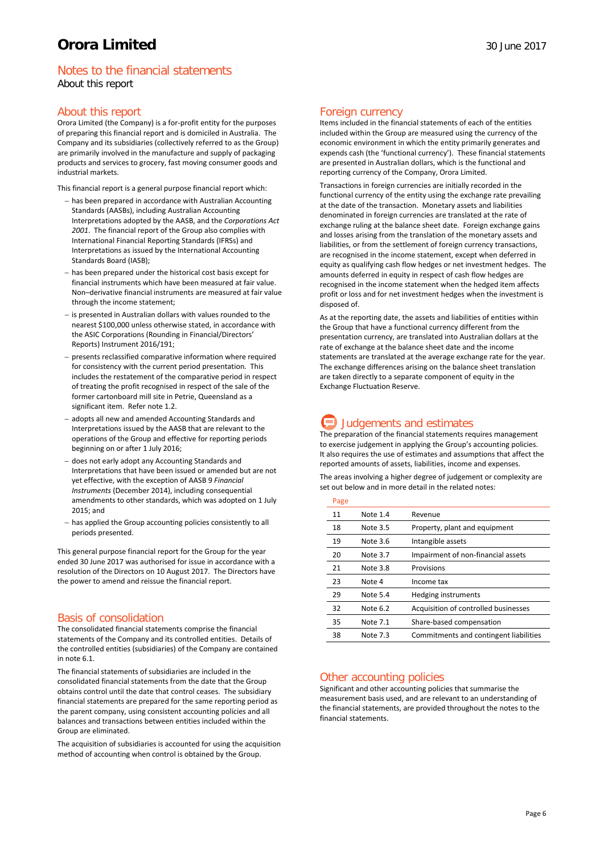# Notes to the financial statements About this report

# About this report

Orora Limited (the Company) is a for-profit entity for the purposes of preparing this financial report and is domiciled in Australia. The Company and its subsidiaries (collectively referred to as the Group) are primarily involved in the manufacture and supply of packaging products and services to grocery, fast moving consumer goods and industrial markets.

This financial report is a general purpose financial report which:

- − has been prepared in accordance with Australian Accounting Standards (AASBs), including Australian Accounting Interpretations adopted by the AASB, and the *Corporations Act 2001*. The financial report of the Group also complies with International Financial Reporting Standards (IFRSs) and Interpretations as issued by the International Accounting Standards Board (IASB);
- has been prepared under the historical cost basis except for financial instruments which have been measured at fair value. Non–derivative financial instruments are measured at fair value through the income statement;
- − is presented in Australian dollars with values rounded to the nearest \$100,000 unless otherwise stated, in accordance with the ASIC Corporations (Rounding in Financial/Directors' Reports) Instrument 2016/191;
- − presents reclassified comparative information where required for consistency with the current period presentation. This includes the restatement of the comparative period in respect of treating the profit recognised in respect of the sale of the former cartonboard mill site in Petrie, Queensland as a significant item. Refer note 1.2.
- − adopts all new and amended Accounting Standards and Interpretations issued by the AASB that are relevant to the operations of the Group and effective for reporting periods beginning on or after 1 July 2016;
- − does not early adopt any Accounting Standards and Interpretations that have been issued or amended but are not yet effective, with the exception of AASB 9 *Financial Instruments* (December 2014), including consequential amendments to other standards, which was adopted on 1 July 2015; and
- has applied the Group accounting policies consistently to all periods presented.

This general purpose financial report for the Group for the year ended 30 June 2017 was authorised for issue in accordance with a resolution of the Directors on 10 August 2017. The Directors have the power to amend and reissue the financial report.

# Basis of consolidation

The consolidated financial statements comprise the financial statements of the Company and its controlled entities. Details of the controlled entities (subsidiaries) of the Company are contained in note 6.1.

The financial statements of subsidiaries are included in the consolidated financial statements from the date that the Group obtains control until the date that control ceases. The subsidiary financial statements are prepared for the same reporting period as the parent company, using consistent accounting policies and all balances and transactions between entities included within the Group are eliminated.

The acquisition of subsidiaries is accounted for using the acquisition method of accounting when control is obtained by the Group.

### Foreign currency

Items included in the financial statements of each of the entities included within the Group are measured using the currency of the economic environment in which the entity primarily generates and expends cash (the 'functional currency'). These financial statements are presented in Australian dollars, which is the functional and reporting currency of the Company, Orora Limited.

Transactions in foreign currencies are initially recorded in the functional currency of the entity using the exchange rate prevailing at the date of the transaction. Monetary assets and liabilities denominated in foreign currencies are translated at the rate of exchange ruling at the balance sheet date. Foreign exchange gains and losses arising from the translation of the monetary assets and liabilities, or from the settlement of foreign currency transactions, are recognised in the income statement, except when deferred in equity as qualifying cash flow hedges or net investment hedges. The amounts deferred in equity in respect of cash flow hedges are recognised in the income statement when the hedged item affects profit or loss and for net investment hedges when the investment is disposed of.

As at the reporting date, the assets and liabilities of entities within the Group that have a functional currency different from the presentation currency, are translated into Australian dollars at the rate of exchange at the balance sheet date and the income statements are translated at the average exchange rate for the year. The exchange differences arising on the balance sheet translation are taken directly to a separate component of equity in the Exchange Fluctuation Reserve.

# **Judgements and estimates**

The preparation of the financial statements requires management to exercise judgement in applying the Group's accounting policies. It also requires the use of estimates and assumptions that affect the reported amounts of assets, liabilities, income and expenses.

The areas involving a higher degree of judgement or complexity are set out below and in more detail in the related notes:

#### Page

| - - - |          |                                        |
|-------|----------|----------------------------------------|
| 11    | Note 1.4 | Revenue                                |
| 18    | Note 3.5 | Property, plant and equipment          |
| 19    | Note 3.6 | Intangible assets                      |
| 20    | Note 3.7 | Impairment of non-financial assets     |
| 21    | Note 3.8 | Provisions                             |
| 23    | Note 4   | Income tax                             |
| 29    | Note 5.4 | <b>Hedging instruments</b>             |
| 32    | Note 6.2 | Acquisition of controlled businesses   |
| 35    | Note 7.1 | Share-based compensation               |
| 38    | Note 7.3 | Commitments and contingent liabilities |

# Other accounting policies

Significant and other accounting policies that summarise the measurement basis used, and are relevant to an understanding of the financial statements, are provided throughout the notes to the financial statements.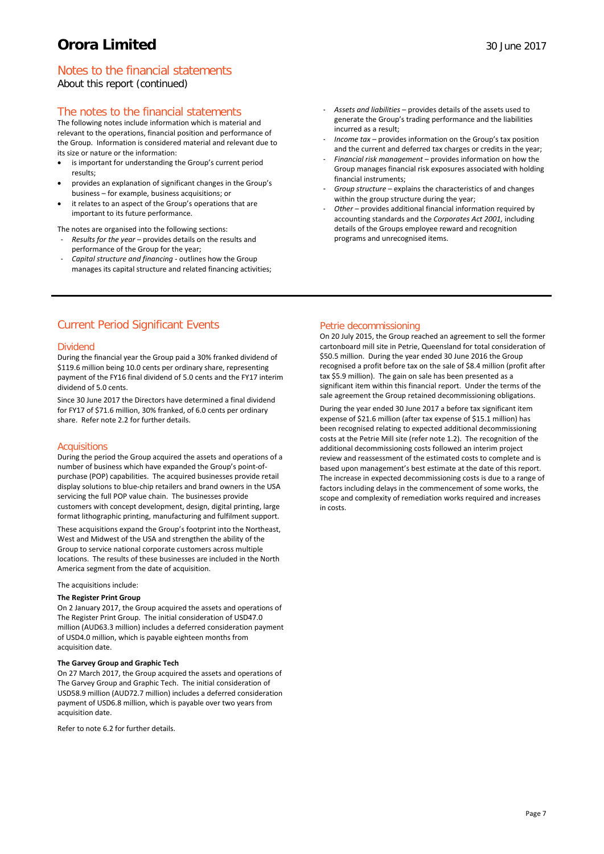# Notes to the financial statements

About this report (continued)

# The notes to the financial statements

The following notes include information which is material and relevant to the operations, financial position and performance of the Group. Information is considered material and relevant due to its size or nature or the information:

- is important for understanding the Group's current period results;
- provides an explanation of significant changes in the Group's business – for example, business acquisitions; or
- it relates to an aspect of the Group's operations that are important to its future performance.
- The notes are organised into the following sections: - *Results for the year* – provides details on the results and
- performance of the Group for the year; - *Capital structure and financing -* outlines how the Group
- manages its capital structure and related financing activities;
- *Assets and liabilities* provides details of the assets used to generate the Group's trading performance and the liabilities incurred as a result;
- *Income tax* provides information on the Group's tax position and the current and deferred tax charges or credits in the year;
- *Financial risk management* provides information on how the Group manages financial risk exposures associated with holding financial instruments;
- *Group structure* explains the characteristics of and changes within the group structure during the year;
- *Other –* provides additional financial information required by accounting standards and the *Corporates Act 2001,* including details of the Groups employee reward and recognition programs and unrecognised items.

# Current Period Significant Events

### Dividend

During the financial year the Group paid a 30% franked dividend of \$119.6 million being 10.0 cents per ordinary share, representing payment of the FY16 final dividend of 5.0 cents and the FY17 interim dividend of 5.0 cents.

Since 30 June 2017 the Directors have determined a final dividend for FY17 of \$71.6 million, 30% franked, of 6.0 cents per ordinary share. Refer note 2.2 for further details.

### **Acquisitions**

During the period the Group acquired the assets and operations of a number of business which have expanded the Group's point-ofpurchase (POP) capabilities. The acquired businesses provide retail display solutions to blue-chip retailers and brand owners in the USA servicing the full POP value chain. The businesses provide customers with concept development, design, digital printing, large format lithographic printing, manufacturing and fulfilment support.

These acquisitions expand the Group's footprint into the Northeast, West and Midwest of the USA and strengthen the ability of the Group to service national corporate customers across multiple locations. The results of these businesses are included in the North America segment from the date of acquisition.

#### The acquisitions include:

#### **The Register Print Group**

On 2 January 2017, the Group acquired the assets and operations of The Register Print Group. The initial consideration of USD47.0 million (AUD63.3 million) includes a deferred consideration payment of USD4.0 million, which is payable eighteen months from acquisition date.

#### **The Garvey Group and Graphic Tech**

On 27 March 2017, the Group acquired the assets and operations of The Garvey Group and Graphic Tech. The initial consideration of USD58.9 million (AUD72.7 million) includes a deferred consideration payment of USD6.8 million, which is payable over two years from acquisition date.

Refer to note 6.2 for further details.

# Petrie decommissioning

On 20 July 2015, the Group reached an agreement to sell the former cartonboard mill site in Petrie, Queensland for total consideration of \$50.5 million. During the year ended 30 June 2016 the Group recognised a profit before tax on the sale of \$8.4 million (profit after tax \$5.9 million). The gain on sale has been presented as a significant item within this financial report. Under the terms of the sale agreement the Group retained decommissioning obligations.

During the year ended 30 June 2017 a before tax significant item expense of \$21.6 million (after tax expense of \$15.1 million) has been recognised relating to expected additional decommissioning costs at the Petrie Mill site (refer note 1.2). The recognition of the additional decommissioning costs followed an interim project review and reassessment of the estimated costs to complete and is based upon management's best estimate at the date of this report. The increase in expected decommissioning costs is due to a range of factors including delays in the commencement of some works, the scope and complexity of remediation works required and increases in costs.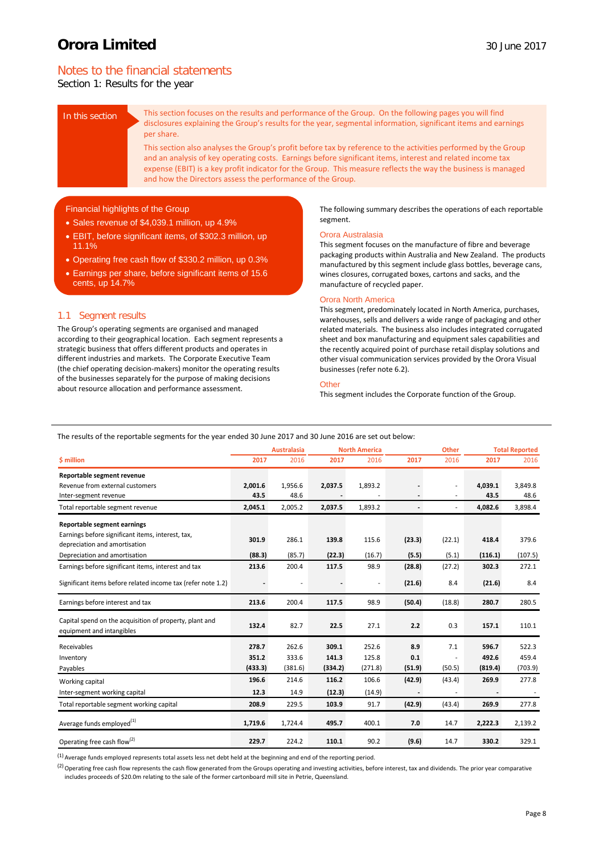# Notes to the financial statements

Section 1: Results for the year

In this section This section focuses on the results and performance of the Group. On the following pages you will find disclosures explaining the Group's results for the year, segmental information, significant items and earnings per share.

> This section also analyses the Group's profit before tax by reference to the activities performed by the Group and an analysis of key operating costs. Earnings before significant items, interest and related income tax expense (EBIT) is a key profit indicator for the Group. This measure reflects the way the business is managed and how the Directors assess the performance of the Group.

### Financial highlights of the Group

- Sales revenue of \$4,039.1 million, up 4.9%
- EBIT, before significant items, of \$302.3 million, up 11.1%
- Operating free cash flow of \$330.2 million, up 0.3%
- Earnings per share, before significant items of 15.6 cents, up 14.7%

### 1.1 Segment results

The Group's operating segments are organised and managed according to their geographical location. Each segment represents a strategic business that offers different products and operates in different industries and markets. The Corporate Executive Team (the chief operating decision-makers) monitor the operating results of the businesses separately for the purpose of making decisions about resource allocation and performance assessment.

The following summary describes the operations of each reportable segment.

#### Orora Australasia

This segment focuses on the manufacture of fibre and beverage packaging products within Australia and New Zealand. The products manufactured by this segment include glass bottles, beverage cans, wines closures, corrugated boxes, cartons and sacks, and the manufacture of recycled paper.

#### Orora North America

This segment, predominately located in North America, purchases, warehouses, sells and delivers a wide range of packaging and other related materials. The business also includes integrated corrugated sheet and box manufacturing and equipment sales capabilities and the recently acquired point of purchase retail display solutions and other visual communication services provided by the Orora Visual businesses (refer note 6.2).

### **Other**

This segment includes the Corporate function of the Group.

The results of the reportable segments for the year ended 30 June 2017 and 30 June 2016 are set out below:

|                                                                                      | <b>Australasia</b> |         |         | <b>North America</b> |                              | <b>Other</b> | <b>Total Reported</b> |         |
|--------------------------------------------------------------------------------------|--------------------|---------|---------|----------------------|------------------------------|--------------|-----------------------|---------|
| \$ million                                                                           | 2017               | 2016    | 2017    | 2016                 | 2017                         | 2016         | 2017                  | 2016    |
| Reportable segment revenue                                                           |                    |         |         |                      |                              |              |                       |         |
| Revenue from external customers                                                      | 2,001.6            | 1,956.6 | 2,037.5 | 1,893.2              |                              |              | 4,039.1               | 3,849.8 |
| Inter-segment revenue                                                                | 43.5               | 48.6    |         |                      |                              |              | 43.5                  | 48.6    |
| Total reportable segment revenue                                                     | 2,045.1            | 2,005.2 | 2,037.5 | 1,893.2              | $\qquad \qquad \blacksquare$ | ٠            | 4,082.6               | 3,898.4 |
| Reportable segment earnings                                                          |                    |         |         |                      |                              |              |                       |         |
| Earnings before significant items, interest, tax,                                    |                    |         |         |                      |                              |              |                       |         |
| depreciation and amortisation                                                        | 301.9              | 286.1   | 139.8   | 115.6                | (23.3)                       | (22.1)       | 418.4                 | 379.6   |
| Depreciation and amortisation                                                        | (88.3)             | (85.7)  | (22.3)  | (16.7)               | (5.5)                        | (5.1)        | (116.1)               | (107.5) |
| Earnings before significant items, interest and tax                                  | 213.6              | 200.4   | 117.5   | 98.9                 | (28.8)                       | (27.2)       | 302.3                 | 272.1   |
| Significant items before related income tax (refer note 1.2)                         |                    |         |         |                      | (21.6)                       | 8.4          | (21.6)                | 8.4     |
| Earnings before interest and tax                                                     | 213.6              | 200.4   | 117.5   | 98.9                 | (50.4)                       | (18.8)       | 280.7                 | 280.5   |
| Capital spend on the acquisition of property, plant and<br>equipment and intangibles | 132.4              | 82.7    | 22.5    | 27.1                 | 2.2                          | 0.3          | 157.1                 | 110.1   |
| Receivables                                                                          | 278.7              | 262.6   | 309.1   | 252.6                | 8.9                          | 7.1          | 596.7                 | 522.3   |
| Inventory                                                                            | 351.2              | 333.6   | 141.3   | 125.8                | 0.1                          |              | 492.6                 | 459.4   |
| Payables                                                                             | (433.3)            | (381.6) | (334.2) | (271.8)              | (51.9)                       | (50.5)       | (819.4)               | (703.9) |
| Working capital                                                                      | 196.6              | 214.6   | 116.2   | 106.6                | (42.9)                       | (43.4)       | 269.9                 | 277.8   |
| Inter-segment working capital                                                        | 12.3               | 14.9    | (12.3)  | (14.9)               |                              |              |                       |         |
| Total reportable segment working capital                                             | 208.9              | 229.5   | 103.9   | 91.7                 | (42.9)                       | (43.4)       | 269.9                 | 277.8   |
| Average funds employed <sup>(1)</sup>                                                | 1,719.6            | 1,724.4 | 495.7   | 400.1                | 7.0                          | 14.7         | 2,222.3               | 2,139.2 |
| Operating free cash flow <sup>(2)</sup>                                              | 229.7              | 224.2   | 110.1   | 90.2                 | (9.6)                        | 14.7         | 330.2                 | 329.1   |

 $<sup>(1)</sup>$  Average funds employed represents total assets less net debt held at the beginning and end of the reporting period</sup>

<sup>(2)</sup> Operating free cash flow represents the cash flow generated from the Groups operating and investing activities, before interest, tax and dividends. The prior year comparative includes proceeds of \$20.0m relating to the sale of the former cartonboard mill site in Petrie, Queensland.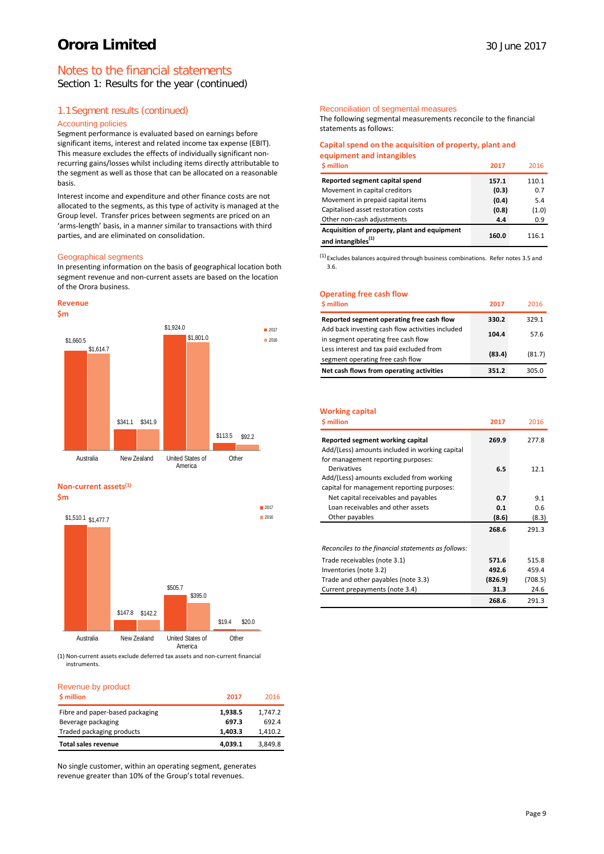# Notes to the financial statements

Section 1: Results for the year (continued)

# 1.1Segment results (continued)

#### Accounting policies

Segment performance is evaluated based on earnings before significant items, interest and related income tax expense (EBIT). This measure excludes the effects of individually significant nonrecurring gains/losses whilst including items directly attributable to the segment as well as those that can be allocated on a reasonable basis.

Interest income and expenditure and other finance costs are not allocated to the segments, as this type of activity is managed at the Group level. Transfer prices between segments are priced on an 'arms-length' basis, in a manner similar to transactions with third parties, and are eliminated on consolidation.

#### Geographical segments

In presenting information on the basis of geographical location both segment revenue and non-current assets are based on the location of the Orora business.





#### **Non-current assets(1) \$m**



(1) Non-current assets exclude deferred tax assets and non-current financial instruments.

### Revenue by product

| \$ million                      | 2017    | 2016    |
|---------------------------------|---------|---------|
| Fibre and paper-based packaging | 1,938.5 | 1,747.2 |
| Beverage packaging              | 697.3   | 692.4   |
| Traded packaging products       | 1,403.3 | 1,410.2 |
| <b>Total sales revenue</b>      | 4,039.1 | 3.849.8 |

No single customer, within an operating segment, generates revenue greater than 10% of the Group's total revenues.

#### Reconciliation of segmental measures

The following segmental measurements reconcile to the financial statements as follows:

#### **Capital spend on the acquisition of property, plant and equipment and intangibles**

| <b>S</b> million                                                               | 2017  | 2016  |
|--------------------------------------------------------------------------------|-------|-------|
| Reported segment capital spend                                                 | 157.1 | 110.1 |
| Movement in capital creditors                                                  | (0.3) | 0.7   |
| Movement in prepaid capital items                                              | (0.4) | 5.4   |
| Capitalised asset restoration costs                                            | (0.8) | (1.0) |
| Other non-cash adjustments                                                     | 4.4   | 0.9   |
| Acquisition of property, plant and equipment<br>and intangibles <sup>(1)</sup> | 160.0 | 116.1 |

(1) Excludes balances acquired through business combinations. Refer notes 3.5 and 3.6.

### **Operating free cash flow**

| \$ million                                                                              | 2011   | 2016   |
|-----------------------------------------------------------------------------------------|--------|--------|
| Reported segment operating free cash flow                                               | 330.2  | 329.1  |
| Add back investing cash flow activities included<br>in segment operating free cash flow | 104.4  | 57.6   |
| Less interest and tax paid excluded from<br>segment operating free cash flow            | (83.4) | (81.7) |
| Net cash flows from operating activities                                                | 351.2  | 305.0  |

#### **Working capital**

| <b>S</b> million                                   | 2017    | 2016    |
|----------------------------------------------------|---------|---------|
| Reported segment working capital                   | 269.9   | 277.8   |
| Add/(Less) amounts included in working capital     |         |         |
| for management reporting purposes:                 |         |         |
| <b>Derivatives</b>                                 | 6.5     | 12.1    |
| Add/(Less) amounts excluded from working           |         |         |
| capital for management reporting purposes:         |         |         |
| Net capital receivables and payables               | 0.7     | 9.1     |
| Loan receivables and other assets                  | 0.1     | 0.6     |
| Other payables                                     | (8.6)   | (8.3)   |
|                                                    | 268.6   | 291.3   |
| Reconciles to the financial statements as follows: |         |         |
| Trade receivables (note 3.1)                       | 571.6   | 515.8   |
| Inventories (note 3.2)                             | 492.6   | 459.4   |
| Trade and other payables (note 3.3)                | (826.9) | (708.5) |
| Current prepayments (note 3.4)                     | 31.3    | 24.6    |
|                                                    | 268.6   | 291.3   |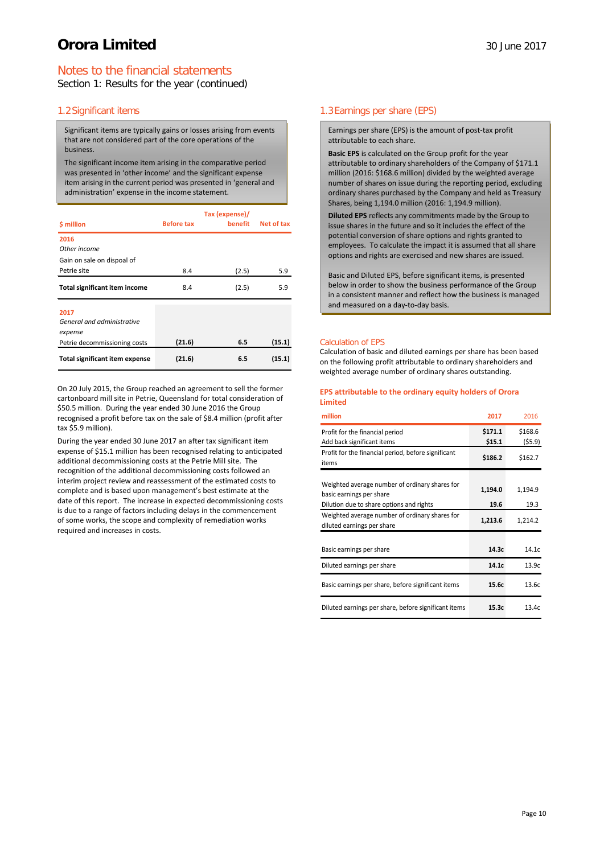# Notes to the financial statements

Section 1: Results for the year (continued)

# 1.2Significant items

Significant items are typically gains or losses arising from events that are not considered part of the core operations of the business.

The significant income item arising in the comparative period was presented in 'other income' and the significant expense item arising in the current period was presented in 'general and administration' expense in the income statement.

| \$ million                                | <b>Before tax</b> | Tax (expense)/<br>benefit | Net of tax |
|-------------------------------------------|-------------------|---------------------------|------------|
| 2016                                      |                   |                           |            |
| Other income                              |                   |                           |            |
| Gain on sale on dispoal of<br>Petrie site | 8.4               | (2.5)                     | 5.9        |
| <b>Total significant item income</b>      | 8.4               | (2.5)                     | 5.9        |
| 2017                                      |                   |                           |            |
| General and administrative                |                   |                           |            |
| expense                                   |                   |                           |            |
| Petrie decommissioning costs              | (21.6)            | 6.5                       | (15.1)     |
| <b>Total significant item expense</b>     | (21.6)            | 6.5                       | (15.1)     |

On 20 July 2015, the Group reached an agreement to sell the former cartonboard mill site in Petrie, Queensland for total consideration of \$50.5 million. During the year ended 30 June 2016 the Group recognised a profit before tax on the sale of \$8.4 million (profit after tax \$5.9 million).

During the year ended 30 June 2017 an after tax significant item expense of \$15.1 million has been recognised relating to anticipated additional decommissioning costs at the Petrie Mill site. The recognition of the additional decommissioning costs followed an interim project review and reassessment of the estimated costs to complete and is based upon management's best estimate at the date of this report. The increase in expected decommissioning costs is due to a range of factors including delays in the commencement of some works, the scope and complexity of remediation works required and increases in costs.

# 1.3Earnings per share (EPS)

Earnings per share (EPS) is the amount of post-tax profit attributable to each share.

**Basic EPS** is calculated on the Group profit for the year attributable to ordinary shareholders of the Company of \$171.1 million (2016: \$168.6 million) divided by the weighted average number of shares on issue during the reporting period, excluding ordinary shares purchased by the Company and held as Treasury Shares, being 1,194.0 million (2016: 1,194.9 million).

**Diluted EPS** reflects any commitments made by the Group to issue shares in the future and so it includes the effect of the potential conversion of share options and rights granted to employees. To calculate the impact it is assumed that all share options and rights are exercised and new shares are issued.

Basic and Diluted EPS, before significant items, is presented below in order to show the business performance of the Group in a consistent manner and reflect how the business is managed and measured on a day-to-day basis.

#### Calculation of EPS

Calculation of basic and diluted earnings per share has been based on the following profit attributable to ordinary shareholders and weighted average number of ordinary shares outstanding.

#### **EPS attributable to the ordinary equity holders of Orora Limited**

| million                                                                                                                | 2017              | 2016              |
|------------------------------------------------------------------------------------------------------------------------|-------------------|-------------------|
| Profit for the financial period<br>Add back significant items                                                          | \$171.1<br>\$15.1 | \$168.6<br>(55.9) |
| Profit for the financial period, before significant<br>items                                                           | \$186.2           | \$162.7           |
| Weighted average number of ordinary shares for<br>basic earnings per share<br>Dilution due to share options and rights | 1,194.0<br>19.6   | 1,194.9<br>19.3   |
| Weighted average number of ordinary shares for<br>diluted earnings per share                                           | 1,213.6           | 1,214.2           |
| Basic earnings per share                                                                                               | 14.3c             | 14.1c             |
| Diluted earnings per share                                                                                             | 14.1c             | 13.9c             |
| Basic earnings per share, before significant items                                                                     | 15.6c             | 13.6c             |
| Diluted earnings per share, before significant items                                                                   | 15.3c             | 13.4c             |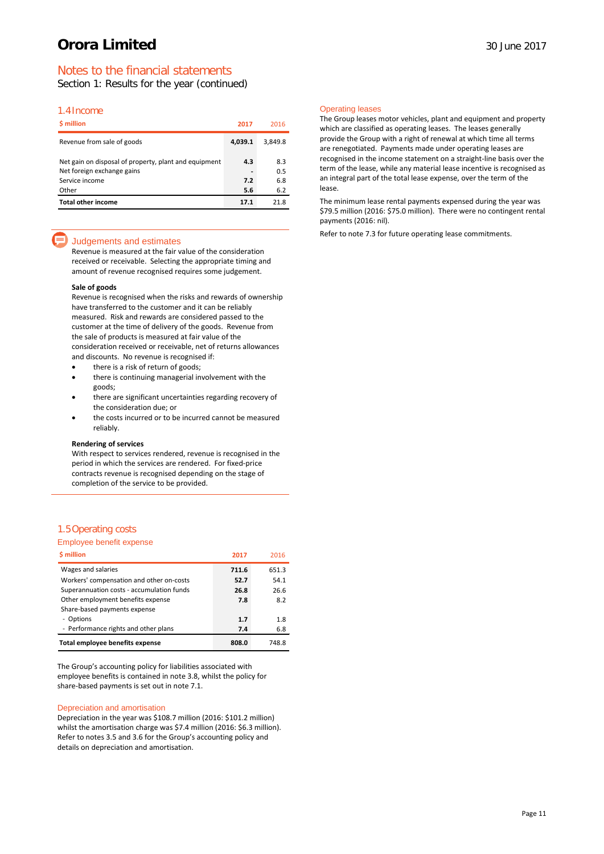# Notes to the financial statements

Section 1: Results for the year (continued)

### 1.4Income

| <b>S</b> million                                                                                      | 2017       | 2016              |
|-------------------------------------------------------------------------------------------------------|------------|-------------------|
| Revenue from sale of goods                                                                            | 4,039.1    | 3,849.8           |
| Net gain on disposal of property, plant and equipment<br>Net foreign exchange gains<br>Service income | 4.3<br>7.2 | 8.3<br>0.5<br>6.8 |
| Other                                                                                                 | 5.6        | 6.2               |
| <b>Total other income</b>                                                                             | 17.1       | 21.8              |

### Judgements and estimates

Revenue is measured at the fair value of the consideration received or receivable. Selecting the appropriate timing and amount of revenue recognised requires some judgement.

#### **Sale of goods**

Revenue is recognised when the risks and rewards of ownership have transferred to the customer and it can be reliably measured. Risk and rewards are considered passed to the customer at the time of delivery of the goods. Revenue from the sale of products is measured at fair value of the consideration received or receivable, net of returns allowances and discounts. No revenue is recognised if:

- there is a risk of return of goods;
- there is continuing managerial involvement with the goods;
- there are significant uncertainties regarding recovery of the consideration due; or
- the costs incurred or to be incurred cannot be measured reliably.

#### **Rendering of services**

With respect to services rendered, revenue is recognised in the period in which the services are rendered. For fixed-price contracts revenue is recognised depending on the stage of completion of the service to be provided.

### 1.5Operating costs

#### Employee benefit expense

| \$ million                                | 2017  | 2016  |
|-------------------------------------------|-------|-------|
| Wages and salaries                        | 711.6 | 651.3 |
| Workers' compensation and other on-costs  | 52.7  | 54.1  |
| Superannuation costs - accumulation funds | 26.8  | 26.6  |
| Other employment benefits expense         | 7.8   | 8.2   |
| Share-based payments expense              |       |       |
| Options                                   | 1.7   | 1.8   |
| - Performance rights and other plans      | 7.4   | 6.8   |
| Total employee benefits expense           | 808.0 | 748.8 |

The Group's accounting policy for liabilities associated with employee benefits is contained in note 3.8, whilst the policy for share-based payments is set out in note 7.1.

#### Depreciation and amortisation

Depreciation in the year was \$108.7 million (2016: \$101.2 million) whilst the amortisation charge was \$7.4 million (2016: \$6.3 million). Refer to notes 3.5 and 3.6 for the Group's accounting policy and details on depreciation and amortisation.

#### Operating leases

The Group leases motor vehicles, plant and equipment and property which are classified as operating leases. The leases generally provide the Group with a right of renewal at which time all terms are renegotiated. Payments made under operating leases are recognised in the income statement on a straight-line basis over the term of the lease, while any material lease incentive is recognised as an integral part of the total lease expense, over the term of the lease.

The minimum lease rental payments expensed during the year was \$79.5 million (2016: \$75.0 million). There were no contingent rental payments (2016: nil).

Refer to note 7.3 for future operating lease commitments.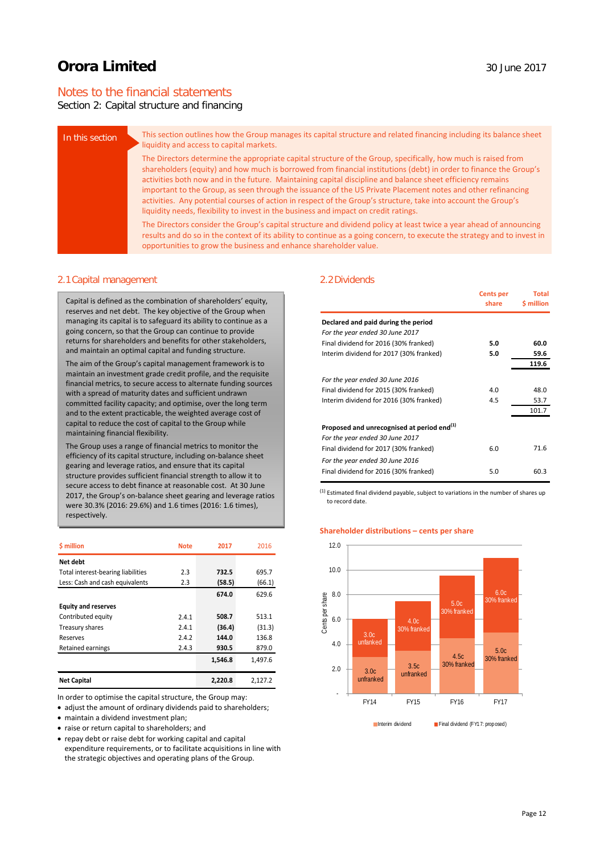# Notes to the financial statements

# Section 2: Capital structure and financing

| In this section | This section outlines how the Group manages its capital structure and related financing including its balance sheet<br>liquidity and access to capital markets.                                                                                                                                                                                                                                                                                                                                                                                                                                                                                                            |
|-----------------|----------------------------------------------------------------------------------------------------------------------------------------------------------------------------------------------------------------------------------------------------------------------------------------------------------------------------------------------------------------------------------------------------------------------------------------------------------------------------------------------------------------------------------------------------------------------------------------------------------------------------------------------------------------------------|
|                 | The Directors determine the appropriate capital structure of the Group, specifically, how much is raised from<br>shareholders (equity) and how much is borrowed from financial institutions (debt) in order to finance the Group's<br>activities both now and in the future. Maintaining capital discipline and balance sheet efficiency remains<br>important to the Group, as seen through the issuance of the US Private Placement notes and other refinancing<br>activities. Any potential courses of action in respect of the Group's structure, take into account the Group's<br>liquidity needs, flexibility to invest in the business and impact on credit ratings. |
|                 | The Directors consider the Group's capital structure and dividend policy at least twice a year ahead of announcing<br>results and do so in the context of its ability to continue as a going concern, to execute the strategy and to invest in<br>opportunities to grow the business and enhance shareholder value.                                                                                                                                                                                                                                                                                                                                                        |

#### 2.1Capital management

Capital is defined as the combination of shareholders' equity, reserves and net debt. The key objective of the Group when managing its capital is to safeguard its ability to continue as a going concern, so that the Group can continue to provide returns for shareholders and benefits for other stakeholders, and maintain an optimal capital and funding structure.

The aim of the Group's capital management framework is to maintain an investment grade credit profile, and the requisite financial metrics, to secure access to alternate funding sources with a spread of maturity dates and sufficient undrawn committed facility capacity; and optimise, over the long term and to the extent practicable, the weighted average cost of capital to reduce the cost of capital to the Group while maintaining financial flexibility.

The Group uses a range of financial metrics to monitor the efficiency of its capital structure, including on-balance sheet gearing and leverage ratios, and ensure that its capital structure provides sufficient financial strength to allow it to secure access to debt finance at reasonable cost. At 30 June 2017, the Group's on-balance sheet gearing and leverage ratios were 30.3% (2016: 29.6%) and 1.6 times (2016: 1.6 times), respectively.

| <b>S</b> million                   | <b>Note</b> | 2017    | 2016    |
|------------------------------------|-------------|---------|---------|
| Net debt                           |             |         |         |
| Total interest-bearing liabilities | 2.3         | 732.5   | 695.7   |
| Less: Cash and cash equivalents    | 2.3         | (58.5)  | (66.1)  |
|                                    |             | 674.0   | 629.6   |
| <b>Equity and reserves</b>         |             |         |         |
| Contributed equity                 | 2.4.1       | 508.7   | 513.1   |
| Treasury shares                    | 2.4.1       | (36.4)  | (31.3)  |
| Reserves                           | 2.4.2       | 144.0   | 136.8   |
| Retained earnings                  | 2.4.3       | 930.5   | 879.0   |
|                                    |             | 1,546.8 | 1,497.6 |
| <b>Net Capital</b>                 |             | 2,220.8 | 2,127.2 |

In order to optimise the capital structure, the Group may:

• adjust the amount of ordinary dividends paid to shareholders;

- maintain a dividend investment plan;
- raise or return capital to shareholders; and
- repay debt or raise debt for working capital and capital

expenditure requirements, or to facilitate acquisitions in line with the strategic objectives and operating plans of the Group.

#### 2.2Dividends

|                                                                                           | <b>Cents per</b><br>share | <b>Total</b><br>\$ million |
|-------------------------------------------------------------------------------------------|---------------------------|----------------------------|
| Declared and paid during the period                                                       |                           |                            |
| For the year ended 30 June 2017                                                           |                           |                            |
| Final dividend for 2016 (30% franked)                                                     | 5.0                       | 60.0                       |
| Interim dividend for 2017 (30% franked)                                                   | 5.0                       | 59.6                       |
|                                                                                           |                           | 119.6                      |
| For the year ended 30 June 2016                                                           |                           |                            |
| Final dividend for 2015 (30% franked)                                                     | 4.0                       | 48.0                       |
| Interim dividend for 2016 (30% franked)                                                   | 4.5                       | 53.7                       |
|                                                                                           |                           | 101.7                      |
| Proposed and unrecognised at period end <sup>(1)</sup><br>For the year ended 30 June 2017 |                           |                            |
| Final dividend for 2017 (30% franked)                                                     | 6.0                       | 71.6                       |
| For the year ended 30 June 2016                                                           |                           |                            |
| Final dividend for 2016 (30% franked)                                                     | 5.0                       | 60.3                       |

 $<sup>(1)</sup>$  Estimated final dividend payable, subject to variations in the number of shares up</sup> to record date.

#### **Shareholder distributions – cents per share**

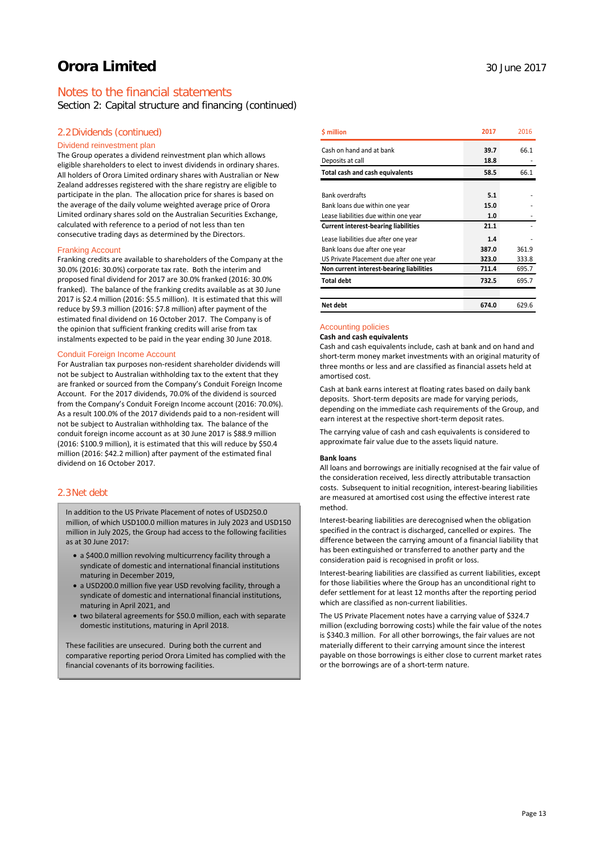# Notes to the financial statements

Section 2: Capital structure and financing (continued)

### 2.2Dividends (continued)

#### Dividend reinvestment plan

The Group operates a dividend reinvestment plan which allows eligible shareholders to elect to invest dividends in ordinary shares. All holders of Orora Limited ordinary shares with Australian or New Zealand addresses registered with the share registry are eligible to participate in the plan. The allocation price for shares is based on the average of the daily volume weighted average price of Orora Limited ordinary shares sold on the Australian Securities Exchange, calculated with reference to a period of not less than ten consecutive trading days as determined by the Directors.

#### Franking Account

Franking credits are available to shareholders of the Company at the 30.0% (2016: 30.0%) corporate tax rate. Both the interim and proposed final dividend for 2017 are 30.0% franked (2016: 30.0% franked). The balance of the franking credits available as at 30 June 2017 is \$2.4 million (2016: \$5.5 million). It is estimated that this will reduce by \$9.3 million (2016: \$7.8 million) after payment of the estimated final dividend on 16 October 2017. The Company is of the opinion that sufficient franking credits will arise from tax instalments expected to be paid in the year ending 30 June 2018.

#### Conduit Foreign Income Account

For Australian tax purposes non-resident shareholder dividends will not be subject to Australian withholding tax to the extent that they are franked or sourced from the Company's Conduit Foreign Income Account. For the 2017 dividends, 70.0% of the dividend is sourced from the Company's Conduit Foreign Income account (2016: 70.0%). As a result 100.0% of the 2017 dividends paid to a non-resident will not be subject to Australian withholding tax. The balance of the conduit foreign income account as at 30 June 2017 is \$88.9 million (2016: \$100.9 million), it is estimated that this will reduce by \$50.4 million (2016: \$42.2 million) after payment of the estimated final dividend on 16 October 2017.

# 2.3Net debt

In addition to the US Private Placement of notes of USD250.0 million, of which USD100.0 million matures in July 2023 and USD150 million in July 2025, the Group had access to the following facilities as at  $30 \text{ lune } 2017$ 

- a \$400.0 million revolving multicurrency facility through a syndicate of domestic and international financial institutions maturing in December 2019,
- a USD200.0 million five year USD revolving facility, through a syndicate of domestic and international financial institutions, maturing in April 2021, and
- two bilateral agreements for \$50.0 million, each with separate domestic institutions, maturing in April 2018.

These facilities are unsecured. During both the current and comparative reporting period Orora Limited has complied with the financial covenants of its borrowing facilities.

| \$ million                                  | 2017  | 2016  |
|---------------------------------------------|-------|-------|
| Cash on hand and at bank                    | 39.7  | 66.1  |
| Deposits at call                            | 18.8  |       |
| Total cash and cash equivalents             | 58.5  | 66.1  |
|                                             |       |       |
| <b>Bank overdrafts</b>                      | 5.1   |       |
| Bank loans due within one year              | 15.0  |       |
| Lease liabilities due within one year       | 1.0   |       |
| <b>Current interest-bearing liabilities</b> | 21.1  |       |
| Lease liabilities due after one year        | 1.4   |       |
| Bank loans due after one year               | 387.0 | 361.9 |
| US Private Placement due after one year     | 323.0 | 333.8 |
| Non current interest-bearing liabilities    | 711.4 | 695.7 |
| <b>Total debt</b>                           | 732.5 | 695.7 |
|                                             |       |       |
| Net debt                                    | 674.0 | 629.6 |

### Accounting policies

**Cash and cash equivalents**

Cash and cash equivalents include, cash at bank and on hand and short-term money market investments with an original maturity of three months or less and are classified as financial assets held at amortised cost.

Cash at bank earns interest at floating rates based on daily bank deposits. Short-term deposits are made for varying periods, depending on the immediate cash requirements of the Group, and earn interest at the respective short-term deposit rates.

The carrying value of cash and cash equivalents is considered to approximate fair value due to the assets liquid nature.

#### **Bank loans**

All loans and borrowings are initially recognised at the fair value of the consideration received, less directly attributable transaction costs. Subsequent to initial recognition, interest-bearing liabilities are measured at amortised cost using the effective interest rate method.

Interest-bearing liabilities are derecognised when the obligation specified in the contract is discharged, cancelled or expires. The difference between the carrying amount of a financial liability that has been extinguished or transferred to another party and the consideration paid is recognised in profit or loss.

Interest-bearing liabilities are classified as current liabilities, except for those liabilities where the Group has an unconditional right to defer settlement for at least 12 months after the reporting period which are classified as non-current liabilities.

The US Private Placement notes have a carrying value of \$324.7 million (excluding borrowing costs) while the fair value of the notes is \$340.3 million. For all other borrowings, the fair values are not materially different to their carrying amount since the interest payable on those borrowings is either close to current market rates or the borrowings are of a short-term nature.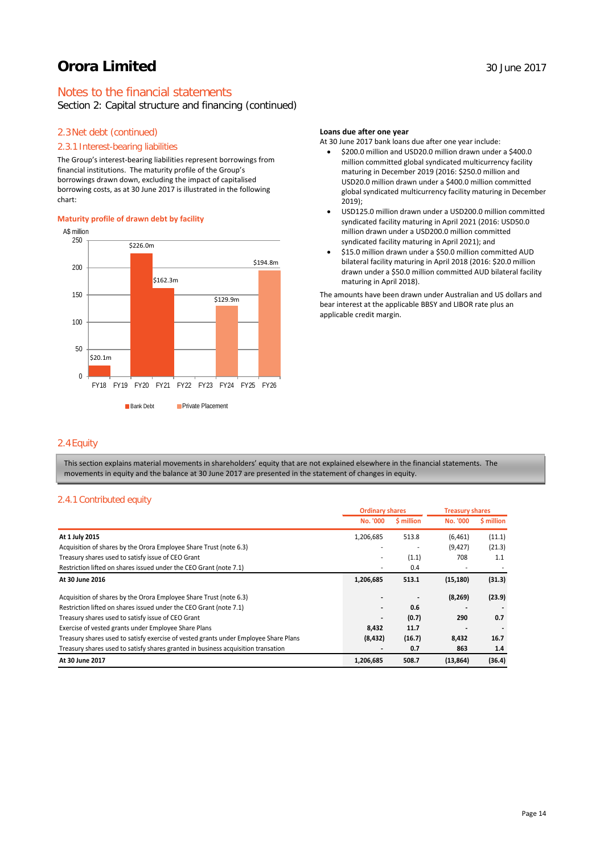# Notes to the financial statements

# Section 2: Capital structure and financing (continued)

# 2.3Net debt (continued)

### 2.3.1 Interest-bearing liabilities

The Group's interest-bearing liabilities represent borrowings from financial institutions. The maturity profile of the Group's borrowings drawn down, excluding the impact of capitalised borrowing costs, as at 30 June 2017 is illustrated in the following chart:

#### **Maturity profile of drawn debt by facility**



### **Loans due after one year**

At 30 June 2017 bank loans due after one year include:

- \$200.0 million and USD20.0 million drawn under a \$400.0 million committed global syndicated multicurrency facility maturing in December 2019 (2016: \$250.0 million and USD20.0 million drawn under a \$400.0 million committed global syndicated multicurrency facility maturing in December 2019);
- USD125.0 million drawn under a USD200.0 million committed syndicated facility maturing in April 2021 (2016: USD50.0 million drawn under a USD200.0 million committed syndicated facility maturing in April 2021); and
- \$15.0 million drawn under a \$50.0 million committed AUD bilateral facility maturing in April 2018 (2016: \$20.0 million drawn under a \$50.0 million committed AUD bilateral facility maturing in April 2018).

The amounts have been drawn under Australian and US dollars and bear interest at the applicable BBSY and LIBOR rate plus an applicable credit margin.

# 2.4Equity

This section explains material movements in shareholders' equity that are not explained elsewhere in the financial statements. The movements in equity and the balance at 30 June 2017 are presented in the statement of changes in equity.

### 2.4.1 Contributed equity

|                                                                                      | <b>Ordinary shares</b> |            | <b>Treasury shares</b> |            |
|--------------------------------------------------------------------------------------|------------------------|------------|------------------------|------------|
|                                                                                      | <b>No. '000</b>        | \$ million | <b>No. '000</b>        | \$ million |
| At 1 July 2015                                                                       | 1,206,685              | 513.8      | (6, 461)               | (11.1)     |
| Acquisition of shares by the Orora Employee Share Trust (note 6.3)                   |                        |            | (9,427)                | (21.3)     |
| Treasury shares used to satisfy issue of CEO Grant                                   |                        | (1.1)      | 708                    | 1.1        |
| Restriction lifted on shares issued under the CEO Grant (note 7.1)                   |                        | 0.4        |                        |            |
| At 30 June 2016                                                                      | 1,206,685              | 513.1      | (15, 180)              | (31.3)     |
| Acquisition of shares by the Orora Employee Share Trust (note 6.3)                   |                        |            | (8, 269)               | (23.9)     |
| Restriction lifted on shares issued under the CEO Grant (note 7.1)                   |                        | 0.6        |                        |            |
| Treasury shares used to satisfy issue of CEO Grant                                   |                        | (0.7)      | 290                    | 0.7        |
| Exercise of vested grants under Employee Share Plans                                 | 8,432                  | 11.7       |                        |            |
| Treasury shares used to satisfy exercise of vested grants under Employee Share Plans | (8, 432)               | (16.7)     | 8,432                  | 16.7       |
| Treasury shares used to satisfy shares granted in business acquisition transation    |                        | 0.7        | 863                    | 1.4        |
| At 30 June 2017                                                                      | 1,206,685              | 508.7      | (13, 864)              | (36.4)     |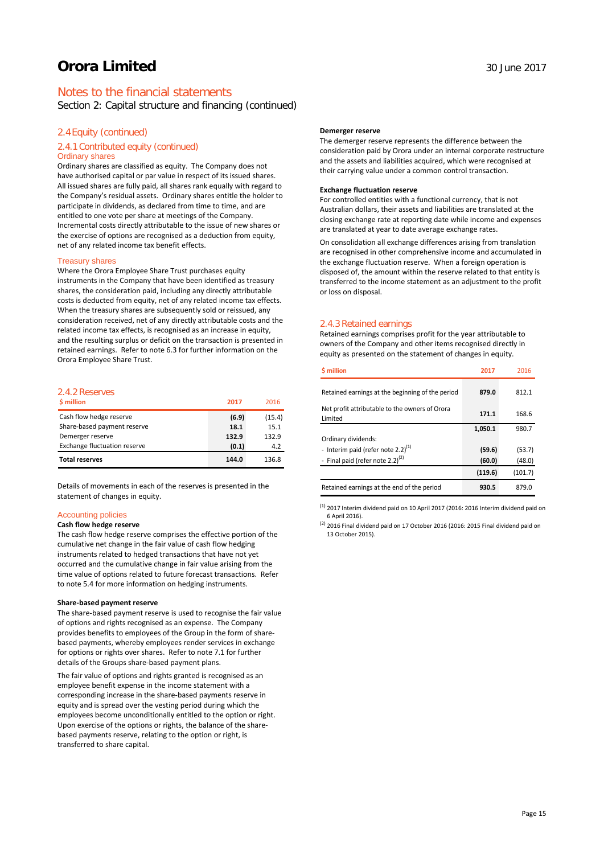# Notes to the financial statements

Section 2: Capital structure and financing (continued)

# 2.4Equity (continued)

#### 2.4.1 Contributed equity (continued) Ordinary shares

Ordinary shares are classified as equity. The Company does not have authorised capital or par value in respect of its issued shares. All issued shares are fully paid, all shares rank equally with regard to the Company's residual assets. Ordinary shares entitle the holder to participate in dividends, as declared from time to time, and are entitled to one vote per share at meetings of the Company. Incremental costs directly attributable to the issue of new shares or the exercise of options are recognised as a deduction from equity, net of any related income tax benefit effects.

#### Treasury shares

Where the Orora Employee Share Trust purchases equity instruments in the Company that have been identified as treasury shares, the consideration paid, including any directly attributable costs is deducted from equity, net of any related income tax effects. When the treasury shares are subsequently sold or reissued, any consideration received, net of any directly attributable costs and the related income tax effects, is recognised as an increase in equity, and the resulting surplus or deficit on the transaction is presented in retained earnings. Refer to note 6.3 for further information on the Orora Employee Share Trust.

# 2.4.2 Reserves

| \$ million                          | 2017  | 2016   |
|-------------------------------------|-------|--------|
| Cash flow hedge reserve             | (6.9) | (15.4) |
| Share-based payment reserve         | 18.1  | 15.1   |
| Demerger reserve                    | 132.9 | 132.9  |
| <b>Exchange fluctuation reserve</b> | (0.1) | 4.2    |
| <b>Total reserves</b>               | 144.0 | 136.8  |

Details of movements in each of the reserves is presented in the statement of changes in equity.

#### Accounting policies

#### **Cash flow hedge reserve**

The cash flow hedge reserve comprises the effective portion of the cumulative net change in the fair value of cash flow hedging instruments related to hedged transactions that have not yet occurred and the cumulative change in fair value arising from the time value of options related to future forecast transactions. Refer to note 5.4 for more information on hedging instruments.

#### **Share-based payment reserve**

The share-based payment reserve is used to recognise the fair value of options and rights recognised as an expense. The Company provides benefits to employees of the Group in the form of sharebased payments, whereby employees render services in exchange for options or rights over shares. Refer to note 7.1 for further details of the Groups share-based payment plans.

The fair value of options and rights granted is recognised as an employee benefit expense in the income statement with a corresponding increase in the share-based payments reserve in equity and is spread over the vesting period during which the employees become unconditionally entitled to the option or right. Upon exercise of the options or rights, the balance of the sharebased payments reserve, relating to the option or right, is transferred to share capital.

#### **Demerger reserve**

The demerger reserve represents the difference between the consideration paid by Orora under an internal corporate restructure and the assets and liabilities acquired, which were recognised at their carrying value under a common control transaction.

#### **Exchange fluctuation reserve**

For controlled entities with a functional currency, that is not Australian dollars, their assets and liabilities are translated at the closing exchange rate at reporting date while income and expenses are translated at year to date average exchange rates.

On consolidation all exchange differences arising from translation are recognised in other comprehensive income and accumulated in the exchange fluctuation reserve. When a foreign operation is disposed of, the amount within the reserve related to that entity is transferred to the income statement as an adjustment to the profit or loss on disposal.

#### 2.4.3 Retained earnings

Retained earnings comprises profit for the year attributable to owners of the Company and other items recognised directly in equity as presented on the statement of changes in equity.

| \$ million                                                | 2017    | 2016    |
|-----------------------------------------------------------|---------|---------|
| Retained earnings at the beginning of the period          | 879.0   | 812.1   |
| Net profit attributable to the owners of Orora<br>Limited | 171.1   | 168.6   |
|                                                           | 1,050.1 | 980.7   |
| Ordinary dividends:                                       |         |         |
| - Interim paid (refer note 2.2) $(1)$                     | (59.6)  | (53.7)  |
| - Final paid (refer note 2.2) $(2)$                       | (60.0)  | (48.0)  |
|                                                           | (119.6) | (101.7) |
| Retained earnings at the end of the period                | 930.5   | 879.0   |

 $^{(1)}$  2017 Interim dividend paid on 10 April 2017 (2016: 2016 Interim dividend paid on 6 April 2016).

(2) 2016 Final dividend paid on 17 October 2016 (2016: 2015 Final dividend paid on 13 October 2015).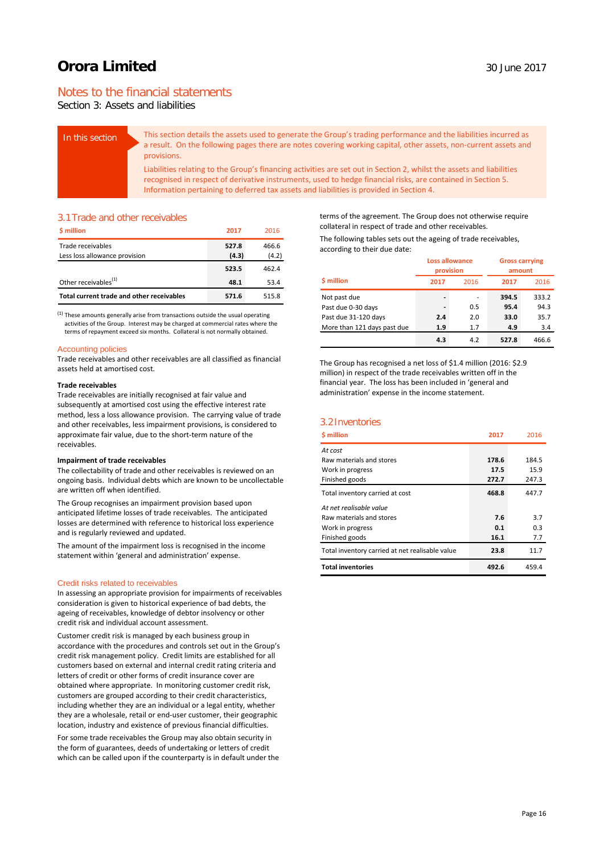# Notes to the financial statements

Section 3: Assets and liabilities

| In this section | This section details the assets used to generate the Group's trading performance and the liabilities incurred as<br>a result. On the following pages there are notes covering working capital, other assets, non-current assets and<br>provisions.                                                                             |
|-----------------|--------------------------------------------------------------------------------------------------------------------------------------------------------------------------------------------------------------------------------------------------------------------------------------------------------------------------------|
|                 | Liabilities relating to the Group's financing activities are set out in Section 2, whilst the assets and liabilities<br>recognised in respect of derivative instruments, used to hedge financial risks, are contained in Section 5.<br>Information pertaining to deferred tax assets and liabilities is provided in Section 4. |

# 3.1Trade and other receivables

| \$ million                                | 2017  | 2016  |
|-------------------------------------------|-------|-------|
| Trade receivables                         | 527.8 | 466.6 |
| Less loss allowance provision             | (4.3) | (4.2) |
|                                           | 523.5 | 462.4 |
| Other receivables <sup>(1)</sup>          | 48.1  | 53.4  |
| Total current trade and other receivables | 571.6 | 515.8 |

 $<sup>(1)</sup>$  These amounts generally arise from transactions outside the usual operating</sup> activities of the Group. Interest may be charged at commercial rates where the terms of repayment exceed six months. Collateral is not normally obtained.

#### Accounting policies

Trade receivables and other receivables are all classified as financial assets held at amortised cost.

#### **Trade receivables**

Trade receivables are initially recognised at fair value and subsequently at amortised cost using the effective interest rate method, less a loss allowance provision. The carrying value of trade and other receivables, less impairment provisions, is considered to approximate fair value, due to the short-term nature of the receivables.

#### **Impairment of trade receivables**

The collectability of trade and other receivables is reviewed on an ongoing basis. Individual debts which are known to be uncollectable are written off when identified.

The Group recognises an impairment provision based upon anticipated lifetime losses of trade receivables. The anticipated losses are determined with reference to historical loss experience and is regularly reviewed and updated.

The amount of the impairment loss is recognised in the income statement within 'general and administration' expense.

#### Credit risks related to receivables

In assessing an appropriate provision for impairments of receivables consideration is given to historical experience of bad debts, the ageing of receivables, knowledge of debtor insolvency or other credit risk and individual account assessment.

Customer credit risk is managed by each business group in accordance with the procedures and controls set out in the Group's credit risk management policy. Credit limits are established for all customers based on external and internal credit rating criteria and letters of credit or other forms of credit insurance cover are obtained where appropriate. In monitoring customer credit risk, customers are grouped according to their credit characteristics, including whether they are an individual or a legal entity, whether they are a wholesale, retail or end-user customer, their geographic location, industry and existence of previous financial difficulties.

For some trade receivables the Group may also obtain security in the form of guarantees, deeds of undertaking or letters of credit which can be called upon if the counterparty is in default under the

terms of the agreement. The Group does not otherwise require collateral in respect of trade and other receivables.

The following tables sets out the ageing of trade receivables, according to their due date:

|                             | <b>Loss allowance</b><br>provision |      |       | <b>Gross carrying</b><br>amount |
|-----------------------------|------------------------------------|------|-------|---------------------------------|
| \$ million                  | 2017                               | 2016 | 2017  | 2016                            |
| Not past due                | -                                  | ۰    | 394.5 | 333.2                           |
| Past due 0-30 days          | -                                  | 0.5  | 95.4  | 94.3                            |
| Past due 31-120 days        | 2.4                                | 2.0  | 33.0  | 35.7                            |
| More than 121 days past due | 1.9                                | 1.7  | 4.9   | 3.4                             |
|                             | 4.3                                | 4.2  | 527.8 | 466.6                           |

The Group has recognised a net loss of \$1.4 million (2016: \$2.9 million) in respect of the trade receivables written off in the financial year. The loss has been included in 'general and administration' expense in the income statement.

### 3.2Inventories

| \$ million                                      | 2017  | 2016  |
|-------------------------------------------------|-------|-------|
| At cost                                         |       |       |
| Raw materials and stores                        | 178.6 | 184.5 |
| Work in progress                                | 17.5  | 15.9  |
| Finished goods                                  | 272.7 | 247.3 |
| Total inventory carried at cost                 | 468.8 | 447.7 |
| At net realisable value                         |       |       |
| Raw materials and stores                        | 7.6   | 3.7   |
| Work in progress                                | 0.1   | 0.3   |
| Finished goods                                  | 16.1  | 7.7   |
| Total inventory carried at net realisable value | 23.8  | 11.7  |
| <b>Total inventories</b>                        | 492.6 | 459.4 |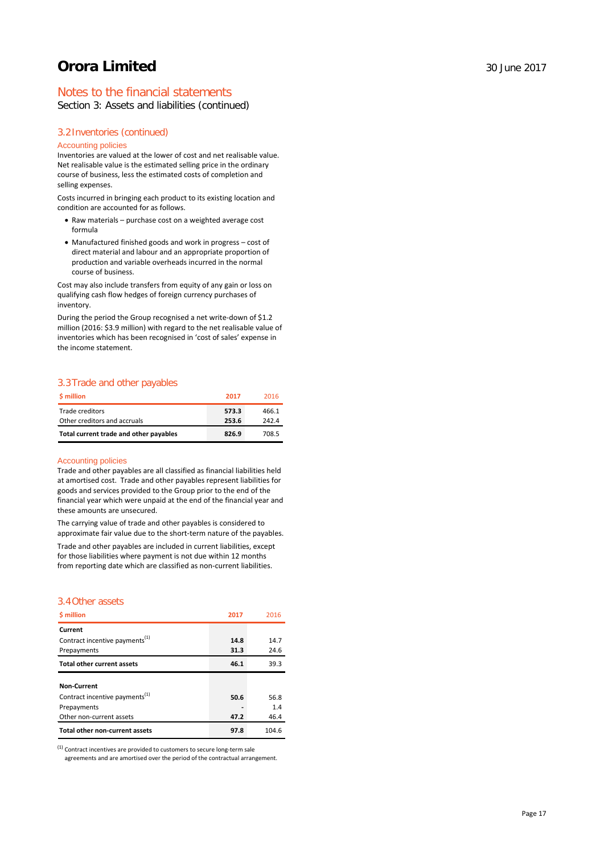# Notes to the financial statements

Section 3: Assets and liabilities (continued)

# 3.2Inventories (continued)

#### Accounting policies

Inventories are valued at the lower of cost and net realisable value. Net realisable value is the estimated selling price in the ordinary course of business, less the estimated costs of completion and selling expenses.

Costs incurred in bringing each product to its existing location and condition are accounted for as follows.

- Raw materials purchase cost on a weighted average cost formula
- Manufactured finished goods and work in progress cost of direct material and labour and an appropriate proportion of production and variable overheads incurred in the normal course of business.

Cost may also include transfers from equity of any gain or loss on qualifying cash flow hedges of foreign currency purchases of inventory.

During the period the Group recognised a net write-down of \$1.2 million (2016: \$3.9 million) with regard to the net realisable value of inventories which has been recognised in 'cost of sales' expense in the income statement.

# 3.3Trade and other payables

| <b>S</b> million                       | 2017  | 2016  |
|----------------------------------------|-------|-------|
| Trade creditors                        | 573.3 | 466.1 |
| Other creditors and accruals           | 253.6 | 242.4 |
| Total current trade and other payables | 826.9 | 708.5 |

#### Accounting policies

Trade and other payables are all classified as financial liabilities held at amortised cost. Trade and other payables represent liabilities for goods and services provided to the Group prior to the end of the financial year which were unpaid at the end of the financial year and these amounts are unsecured.

The carrying value of trade and other payables is considered to approximate fair value due to the short-term nature of the payables.

Trade and other payables are included in current liabilities, except for those liabilities where payment is not due within 12 months from reporting date which are classified as non-current liabilities.

# 3.4Other assets

| \$ million                                 | 2017 | 2016  |
|--------------------------------------------|------|-------|
| Current                                    |      |       |
| Contract incentive payments <sup>(1)</sup> | 14.8 | 14.7  |
| Prepayments                                | 31.3 | 24.6  |
| <b>Total other current assets</b>          | 46.1 | 39.3  |
|                                            |      |       |
| <b>Non-Current</b>                         |      |       |
| Contract incentive payments <sup>(1)</sup> | 50.6 | 56.8  |
| Prepayments                                |      | 1.4   |
| Other non-current assets                   | 47.2 | 46.4  |
| <b>Total other non-current assets</b>      | 97.8 | 104.6 |

(1) Contract incentives are provided to customers to secure long-term sale

agreements and are amortised over the period of the contractual arrangement.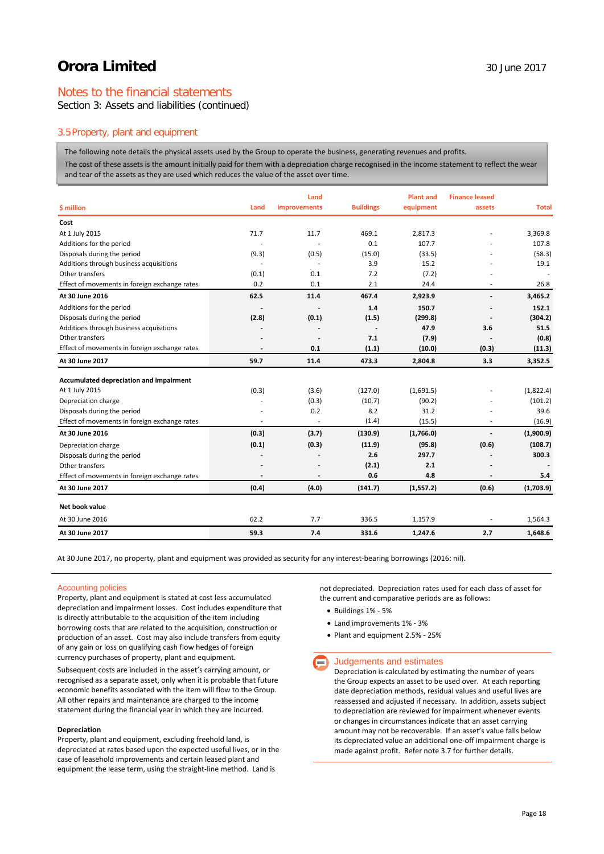# Notes to the financial statements

Section 3: Assets and liabilities (continued)

# 3.5Property, plant and equipment

The following note details the physical assets used by the Group to operate the business, generating revenues and profits.

The cost of these assets is the amount initially paid for them with a depreciation charge recognised in the income statement to reflect the wear and tear of the assets as they are used which reduces the value of the asset over time.

|                                               |       | Land                     |                  | <b>Plant and</b> | <b>Finance leased</b> |              |
|-----------------------------------------------|-------|--------------------------|------------------|------------------|-----------------------|--------------|
| \$ million                                    | Land  | improvements             | <b>Buildings</b> | equipment        | assets                | <b>Total</b> |
| Cost                                          |       |                          |                  |                  |                       |              |
| At 1 July 2015                                | 71.7  | 11.7                     | 469.1            | 2,817.3          |                       | 3,369.8      |
| Additions for the period                      |       |                          | 0.1              | 107.7            |                       | 107.8        |
| Disposals during the period                   | (9.3) | (0.5)                    | (15.0)           | (33.5)           |                       | (58.3)       |
| Additions through business acquisitions       |       | $\overline{\phantom{a}}$ | 3.9              | 15.2             |                       | 19.1         |
| Other transfers                               | (0.1) | 0.1                      | 7.2              | (7.2)            |                       |              |
| Effect of movements in foreign exchange rates | 0.2   | 0.1                      | 2.1              | 24.4             | ٠                     | 26.8         |
| At 30 June 2016                               | 62.5  | 11.4                     | 467.4            | 2,923.9          | $\overline{a}$        | 3.465.2      |
| Additions for the period                      |       |                          | 1.4              | 150.7            |                       | 152.1        |
| Disposals during the period                   | (2.8) | (0.1)                    | (1.5)            | (299.8)          |                       | (304.2)      |
| Additions through business acquisitions       |       |                          |                  | 47.9             | 3.6                   | 51.5         |
| Other transfers                               |       |                          | 7.1              | (7.9)            |                       | (0.8)        |
| Effect of movements in foreign exchange rates |       | 0.1                      | (1.1)            | (10.0)           | (0.3)                 | (11.3)       |
| At 30 June 2017                               | 59.7  | 11.4                     | 473.3            | 2.804.8          | 3.3                   | 3,352.5      |
| Accumulated depreciation and impairment       |       |                          |                  |                  |                       |              |
| At 1 July 2015                                | (0.3) | (3.6)                    | (127.0)          | (1,691.5)        |                       | (1,822.4)    |
| Depreciation charge                           |       | (0.3)                    | (10.7)           | (90.2)           |                       | (101.2)      |
| Disposals during the period                   |       | 0.2                      | 8.2              | 31.2             |                       | 39.6         |
| Effect of movements in foreign exchange rates | ٠     | $\sim$                   | (1.4)            | (15.5)           | ÷                     | (16.9)       |
| At 30 June 2016                               | (0.3) | (3.7)                    | (130.9)          | (1,766.0)        | $\overline{a}$        | (1,900.9)    |
| Depreciation charge                           | (0.1) | (0.3)                    | (11.9)           | (95.8)           | (0.6)                 | (108.7)      |
| Disposals during the period                   |       |                          | 2.6              | 297.7            |                       | 300.3        |
| Other transfers                               |       |                          | (2.1)            | 2.1              |                       |              |
| Effect of movements in foreign exchange rates |       |                          | 0.6              | 4.8              |                       | 5.4          |
| At 30 June 2017                               | (0.4) | (4.0)                    | (141.7)          | (1,557.2)        | (0.6)                 | (1,703.9)    |
| Net book value                                |       |                          |                  |                  |                       |              |
|                                               |       |                          |                  |                  |                       |              |
| At 30 June 2016                               | 62.2  | 7.7                      | 336.5            | 1,157.9          | ٠                     | 1,564.3      |
| At 30 June 2017                               | 59.3  | 7.4                      | 331.6            | 1,247.6          | 2.7                   | 1,648.6      |

At 30 June 2017, no property, plant and equipment was provided as security for any interest-bearing borrowings (2016: nil).

#### Accounting policies

Property, plant and equipment is stated at cost less accumulated depreciation and impairment losses. Cost includes expenditure that is directly attributable to the acquisition of the item including borrowing costs that are related to the acquisition, construction or production of an asset. Cost may also include transfers from equity of any gain or loss on qualifying cash flow hedges of foreign currency purchases of property, plant and equipment.

Subsequent costs are included in the asset's carrying amount, or recognised as a separate asset, only when it is probable that future economic benefits associated with the item will flow to the Group. All other repairs and maintenance are charged to the income statement during the financial year in which they are incurred.

#### **Depreciation**

Property, plant and equipment, excluding freehold land, is depreciated at rates based upon the expected useful lives, or in the case of leasehold improvements and certain leased plant and equipment the lease term, using the straight-line method. Land is

not depreciated. Depreciation rates used for each class of asset for the current and comparative periods are as follows:

- Buildings 1% 5%
- Land improvements 1% 3%
- Plant and equipment 2.5% 25%

#### Judgements and estimates

Depreciation is calculated by estimating the number of years the Group expects an asset to be used over. At each reporting date depreciation methods, residual values and useful lives are reassessed and adjusted if necessary. In addition, assets subject to depreciation are reviewed for impairment whenever events or changes in circumstances indicate that an asset carrying amount may not be recoverable. If an asset's value falls below its depreciated value an additional one-off impairment charge is made against profit. Refer note 3.7 for further details.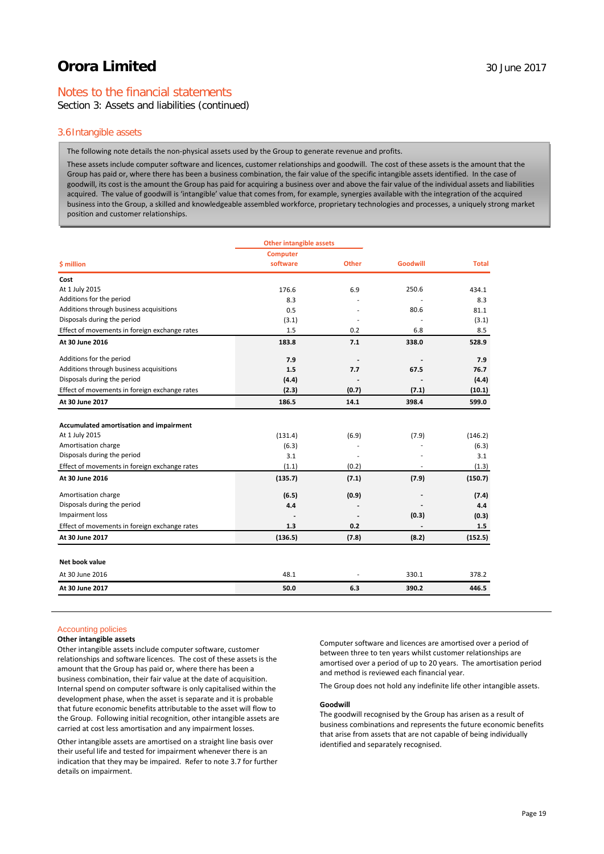# Notes to the financial statements

Section 3: Assets and liabilities (continued)

#### 3.6Intangible assets

The following note details the non-physical assets used by the Group to generate revenue and profits.

These assets include computer software and licences, customer relationships and goodwill. The cost of these assets is the amount that the Group has paid or, where there has been a business combination, the fair value of the specific intangible assets identified. In the case of goodwill, its cost is the amount the Group has paid for acquiring a business over and above the fair value of the individual assets and liabilities acquired. The value of goodwill is 'intangible' value that comes from, for example, synergies available with the integration of the acquired business into the Group, a skilled and knowledgeable assembled workforce, proprietary technologies and processes, a uniquely strong market position and customer relationships.

| <b>Other intangible assets</b> |                                           |                         |              |
|--------------------------------|-------------------------------------------|-------------------------|--------------|
| <b>Computer</b>                |                                           |                         |              |
| software                       | <b>Other</b>                              | <b>Goodwill</b>         | <b>Total</b> |
|                                |                                           |                         |              |
| 176.6                          | 6.9                                       | 250.6                   | 434.1        |
| 8.3                            |                                           |                         | 8.3          |
| 0.5                            |                                           | 80.6                    | 81.1         |
| (3.1)                          |                                           |                         | (3.1)        |
| 1.5                            | 0.2                                       | 6.8                     | 8.5          |
| 183.8                          | 7.1                                       | 338.0                   | 528.9        |
| 7.9                            |                                           |                         | 7.9          |
| 1.5                            | 7.7                                       | 67.5                    | 76.7         |
| (4.4)                          |                                           |                         | (4.4)        |
| (2.3)                          | (0.7)                                     | (7.1)                   | (10.1)       |
| 186.5                          | 14.1                                      | 398.4                   | 599.0        |
|                                |                                           |                         |              |
|                                |                                           |                         | (146.2)      |
|                                |                                           |                         | (6.3)        |
|                                |                                           |                         | 3.1          |
|                                |                                           |                         | (1.3)        |
| (135.7)                        | (7.1)                                     | (7.9)                   | (150.7)      |
|                                |                                           |                         | (7.4)        |
| 4.4                            |                                           |                         | 4.4          |
|                                |                                           | (0.3)                   | (0.3)        |
| 1.3                            | 0.2                                       |                         | 1.5          |
| (136.5)                        | (7.8)                                     | (8.2)                   | (152.5)      |
|                                |                                           |                         |              |
| 48.1                           |                                           | 330.1                   | 378.2        |
| 50.0                           | 6.3                                       | 390.2                   | 446.5        |
|                                | (131.4)<br>(6.3)<br>3.1<br>(1.1)<br>(6.5) | (6.9)<br>(0.2)<br>(0.9) | (7.9)        |

### Accounting policies

#### **Other intangible assets**

Other intangible assets include computer software, customer relationships and software licences. The cost of these assets is the amount that the Group has paid or, where there has been a business combination, their fair value at the date of acquisition. Internal spend on computer software is only capitalised within the development phase, when the asset is separate and it is probable that future economic benefits attributable to the asset will flow to the Group. Following initial recognition, other intangible assets are carried at cost less amortisation and any impairment losses.

Other intangible assets are amortised on a straight line basis over their useful life and tested for impairment whenever there is an indication that they may be impaired. Refer to note 3.7 for further details on impairment.

Computer software and licences are amortised over a period of between three to ten years whilst customer relationships are amortised over a period of up to 20 years. The amortisation period and method is reviewed each financial year.

The Group does not hold any indefinite life other intangible assets.

#### **Goodwill**

The goodwill recognised by the Group has arisen as a result of business combinations and represents the future economic benefits that arise from assets that are not capable of being individually identified and separately recognised.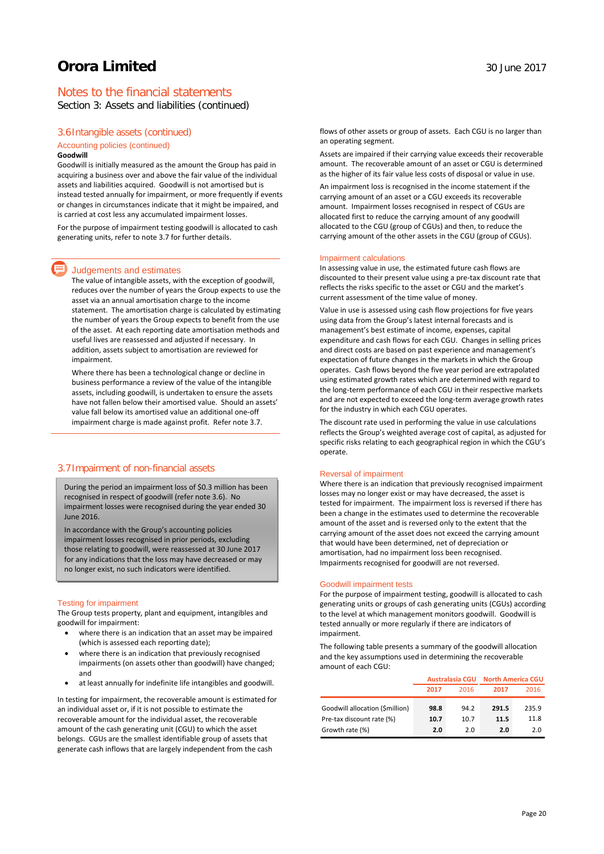# Notes to the financial statements

Section 3: Assets and liabilities (continued)

#### 3.6Intangible assets (continued)

#### Accounting policies (continued) **Goodwill**

Goodwill is initially measured as the amount the Group has paid in acquiring a business over and above the fair value of the individual assets and liabilities acquired. Goodwill is not amortised but is instead tested annually for impairment, or more frequently if events or changes in circumstances indicate that it might be impaired, and is carried at cost less any accumulated impairment losses.

For the purpose of impairment testing goodwill is allocated to cash generating units, refer to note 3.7 for further details.

#### Judgements and estimates

The value of intangible assets, with the exception of goodwill, reduces over the number of years the Group expects to use the asset via an annual amortisation charge to the income statement. The amortisation charge is calculated by estimating the number of years the Group expects to benefit from the use of the asset. At each reporting date amortisation methods and useful lives are reassessed and adjusted if necessary. In addition, assets subject to amortisation are reviewed for impairment.

Where there has been a technological change or decline in business performance a review of the value of the intangible assets, including goodwill, is undertaken to ensure the assets have not fallen below their amortised value. Should an assets' value fall below its amortised value an additional one-off impairment charge is made against profit. Refer note 3.7.

### 3.7Impairment of non-financial assets

During the period an impairment loss of \$0.3 million has been recognised in respect of goodwill (refer note 3.6). No impairment losses were recognised during the year ended 30 June 2016.

In accordance with the Group's accounting policies impairment losses recognised in prior periods, excluding those relating to goodwill, were reassessed at 30 June 2017 for any indications that the loss may have decreased or may no longer exist, no such indicators were identified.

#### Testing for impairment

The Group tests property, plant and equipment, intangibles and goodwill for impairment:

- where there is an indication that an asset may be impaired (which is assessed each reporting date);
- where there is an indication that previously recognised impairments (on assets other than goodwill) have changed; and
- at least annually for indefinite life intangibles and goodwill.

In testing for impairment, the recoverable amount is estimated for an individual asset or, if it is not possible to estimate the recoverable amount for the individual asset, the recoverable amount of the cash generating unit (CGU) to which the asset belongs. CGUs are the smallest identifiable group of assets that generate cash inflows that are largely independent from the cash

flows of other assets or group of assets. Each CGU is no larger than an operating segment.

Assets are impaired if their carrying value exceeds their recoverable amount. The recoverable amount of an asset or CGU is determined as the higher of its fair value less costs of disposal or value in use.

An impairment loss is recognised in the income statement if the carrying amount of an asset or a CGU exceeds its recoverable amount. Impairment losses recognised in respect of CGUs are allocated first to reduce the carrying amount of any goodwill allocated to the CGU (group of CGUs) and then, to reduce the carrying amount of the other assets in the CGU (group of CGUs).

#### Impairment calculations

In assessing value in use, the estimated future cash flows are discounted to their present value using a pre-tax discount rate that reflects the risks specific to the asset or CGU and the market's current assessment of the time value of money.

Value in use is assessed using cash flow projections for five years using data from the Group's latest internal forecasts and is management's best estimate of income, expenses, capital expenditure and cash flows for each CGU. Changes in selling prices and direct costs are based on past experience and management's expectation of future changes in the markets in which the Group operates. Cash flows beyond the five year period are extrapolated using estimated growth rates which are determined with regard to the long-term performance of each CGU in their respective markets and are not expected to exceed the long-term average growth rates for the industry in which each CGU operates.

The discount rate used in performing the value in use calculations reflects the Group's weighted average cost of capital, as adjusted for specific risks relating to each geographical region in which the CGU's operate.

#### Reversal of impairment

Where there is an indication that previously recognised impairment losses may no longer exist or may have decreased, the asset is tested for impairment. The impairment loss is reversed if there has been a change in the estimates used to determine the recoverable amount of the asset and is reversed only to the extent that the carrying amount of the asset does not exceed the carrying amount that would have been determined, net of depreciation or amortisation, had no impairment loss been recognised. Impairments recognised for goodwill are not reversed.

#### Goodwill impairment tests

For the purpose of impairment testing, goodwill is allocated to cash generating units or groups of cash generating units (CGUs) according to the level at which management monitors goodwill. Goodwill is tested annually or more regularly if there are indicators of impairment.

The following table presents a summary of the goodwill allocation and the key assumptions used in determining the recoverable amount of each CGU:

|                                 | <b>Australasia CGU</b> |      | <b>North America CGU</b> |       |
|---------------------------------|------------------------|------|--------------------------|-------|
|                                 | 2017                   | 2016 | 2017                     | 2016  |
| Goodwill allocation (\$million) | 98.8                   | 94.2 | 291.5                    | 235.9 |
| Pre-tax discount rate (%)       | 10.7                   | 10.7 | 11.5                     | 11.8  |
| Growth rate (%)                 | 2.0                    | 2.0  | 2.0                      | 2.0   |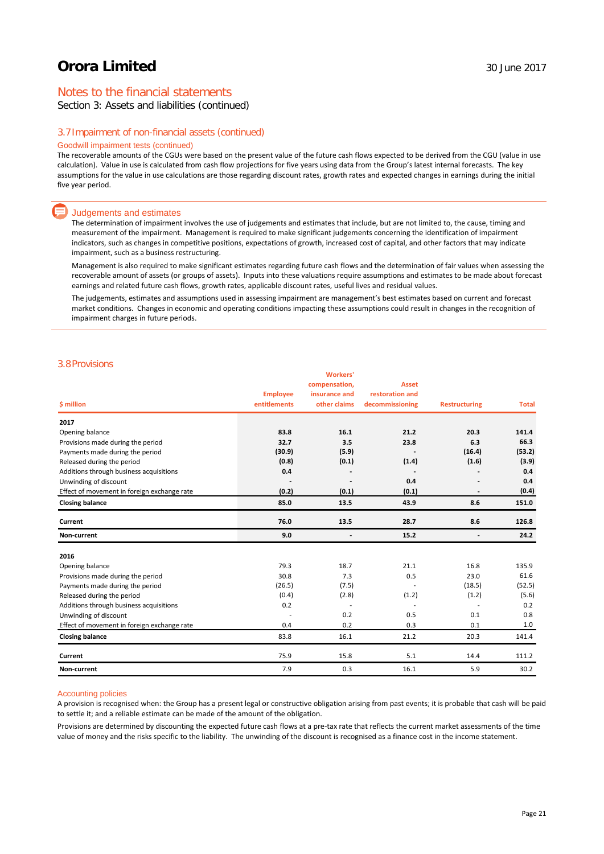# Notes to the financial statements

Section 3: Assets and liabilities (continued)

#### 3.7Impairment of non-financial assets (continued)

### Goodwill impairment tests (continued)

The recoverable amounts of the CGUs were based on the present value of the future cash flows expected to be derived from the CGU (value in use calculation). Value in use is calculated from cash flow projections for five years using data from the Group's latest internal forecasts. The key assumptions for the value in use calculations are those regarding discount rates, growth rates and expected changes in earnings during the initial five year period.

#### Judgements and estimates

The determination of impairment involves the use of judgements and estimates that include, but are not limited to, the cause, timing and measurement of the impairment. Management is required to make significant judgements concerning the identification of impairment indicators, such as changes in competitive positions, expectations of growth, increased cost of capital, and other factors that may indicate impairment, such as a business restructuring.

Management is also required to make significant estimates regarding future cash flows and the determination of fair values when assessing the recoverable amount of assets (or groups of assets). Inputs into these valuations require assumptions and estimates to be made about forecast earnings and related future cash flows, growth rates, applicable discount rates, useful lives and residual values.

The judgements, estimates and assumptions used in assessing impairment are management's best estimates based on current and forecast market conditions. Changes in economic and operating conditions impacting these assumptions could result in changes in the recognition of impairment charges in future periods.

### 3.8Provisions

|                                             | <b>Employee</b> | <b>Workers'</b><br>compensation,<br>insurance and | <b>Asset</b><br>restoration and |                              |              |
|---------------------------------------------|-----------------|---------------------------------------------------|---------------------------------|------------------------------|--------------|
| \$ million                                  | entitlements    | other claims                                      | decommissioning                 | <b>Restructuring</b>         | <b>Total</b> |
| 2017                                        |                 |                                                   |                                 |                              |              |
| Opening balance                             | 83.8            | 16.1                                              | 21.2                            | 20.3                         | 141.4        |
| Provisions made during the period           | 32.7            | 3.5                                               | 23.8                            | 6.3                          | 66.3         |
| Payments made during the period             | (30.9)          | (5.9)                                             |                                 | (16.4)                       | (53.2)       |
| Released during the period                  | (0.8)           | (0.1)                                             | (1.4)                           | (1.6)                        | (3.9)        |
| Additions through business acquisitions     | 0.4             |                                                   |                                 |                              | 0.4          |
| Unwinding of discount                       |                 |                                                   | 0.4                             |                              | 0.4          |
| Effect of movement in foreign exchange rate | (0.2)           | (0.1)                                             | (0.1)                           |                              | (0.4)        |
| <b>Closing balance</b>                      | 85.0            | 13.5                                              | 43.9                            | 8.6                          | 151.0        |
| Current                                     | 76.0            | 13.5                                              | 28.7                            | 8.6                          | 126.8        |
| Non-current                                 | 9.0             | $\overline{\phantom{a}}$                          | 15.2                            | $\qquad \qquad \blacksquare$ | 24.2         |
| 2016                                        |                 |                                                   |                                 |                              |              |
| Opening balance                             | 79.3            | 18.7                                              | 21.1                            | 16.8                         | 135.9        |
| Provisions made during the period           | 30.8            | 7.3                                               | 0.5                             | 23.0                         | 61.6         |
| Payments made during the period             | (26.5)          | (7.5)                                             |                                 | (18.5)                       | (52.5)       |
| Released during the period                  | (0.4)           | (2.8)                                             | (1.2)                           | (1.2)                        | (5.6)        |
| Additions through business acquisitions     | 0.2             | $\overline{\phantom{a}}$                          | $\overline{\phantom{a}}$        | $\overline{\phantom{a}}$     | 0.2          |
| Unwinding of discount                       |                 | 0.2                                               | 0.5                             | 0.1                          | 0.8          |
| Effect of movement in foreign exchange rate | 0.4             | 0.2                                               | 0.3                             | 0.1                          | 1.0          |
| <b>Closing balance</b>                      | 83.8            | 16.1                                              | 21.2                            | 20.3                         | 141.4        |
| Current                                     | 75.9            | 15.8                                              | 5.1                             | 14.4                         | 111.2        |
| Non-current                                 | 7.9             | 0.3                                               | 16.1                            | 5.9                          | 30.2         |

#### Accounting policies

A provision is recognised when: the Group has a present legal or constructive obligation arising from past events; it is probable that cash will be paid to settle it; and a reliable estimate can be made of the amount of the obligation.

Provisions are determined by discounting the expected future cash flows at a pre-tax rate that reflects the current market assessments of the time value of money and the risks specific to the liability. The unwinding of the discount is recognised as a finance cost in the income statement.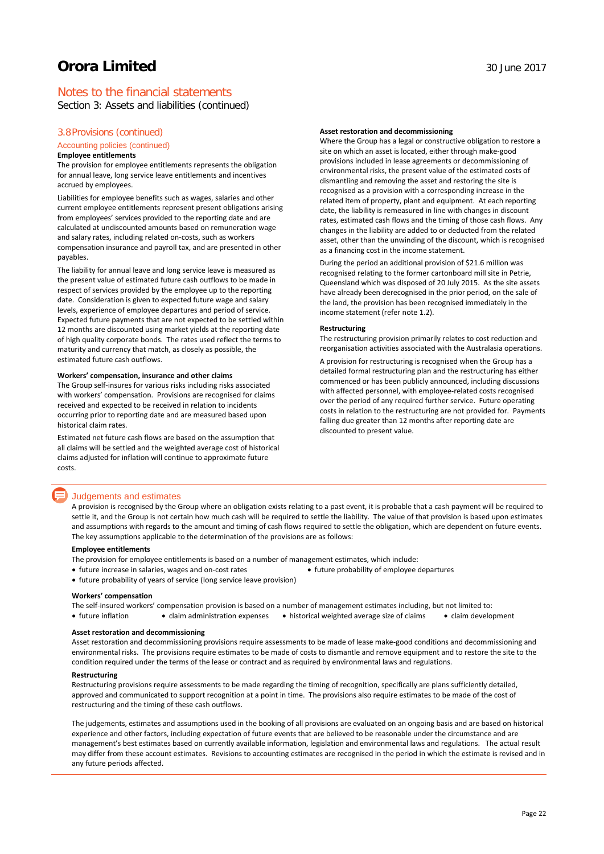# Notes to the financial statements

Section 3: Assets and liabilities (continued)

### 3.8Provisions (continued)

#### Accounting policies (continued)

#### **Employee entitlements**

The provision for employee entitlements represents the obligation for annual leave, long service leave entitlements and incentives accrued by employees.

Liabilities for employee benefits such as wages, salaries and other current employee entitlements represent present obligations arising from employees' services provided to the reporting date and are calculated at undiscounted amounts based on remuneration wage and salary rates, including related on-costs, such as workers compensation insurance and payroll tax, and are presented in other payables.

The liability for annual leave and long service leave is measured as the present value of estimated future cash outflows to be made in respect of services provided by the employee up to the reporting date. Consideration is given to expected future wage and salary levels, experience of employee departures and period of service. Expected future payments that are not expected to be settled within 12 months are discounted using market yields at the reporting date of high quality corporate bonds. The rates used reflect the terms to maturity and currency that match, as closely as possible, the estimated future cash outflows.

#### **Workers' compensation, insurance and other claims**

The Group self-insures for various risks including risks associated with workers' compensation. Provisions are recognised for claims received and expected to be received in relation to incidents occurring prior to reporting date and are measured based upon historical claim rates.

Estimated net future cash flows are based on the assumption that all claims will be settled and the weighted average cost of historical claims adjusted for inflation will continue to approximate future costs.

#### Judgements and estimates

A provision is recognised by the Group where an obligation exists relating to a past event, it is probable that a cash payment will be required to settle it, and the Group is not certain how much cash will be required to settle the liability. The value of that provision is based upon estimates and assumptions with regards to the amount and timing of cash flows required to settle the obligation, which are dependent on future events. The key assumptions applicable to the determination of the provisions are as follows:

#### **Employee entitlements**

The provision for employee entitlements is based on a number of management estimates, which include:

- future increase in salaries, wages and on-cost rates **•** future probability of employee departures
- future probability of years of service (long service leave provision)

#### **Workers' compensation**

The self-insured workers' compensation provision is based on a number of management estimates including, but not limited to:

• future inflation • claim administration expenses • historical weighted average size of claims • claim development

#### **Asset restoration and decommissioning**

Asset restoration and decommissioning provisions require assessments to be made of lease make-good conditions and decommissioning and environmental risks. The provisions require estimates to be made of costs to dismantle and remove equipment and to restore the site to the condition required under the terms of the lease or contract and as required by environmental laws and regulations.

#### **Restructuring**

Restructuring provisions require assessments to be made regarding the timing of recognition, specifically are plans sufficiently detailed, approved and communicated to support recognition at a point in time. The provisions also require estimates to be made of the cost of restructuring and the timing of these cash outflows.

The judgements, estimates and assumptions used in the booking of all provisions are evaluated on an ongoing basis and are based on historical experience and other factors, including expectation of future events that are believed to be reasonable under the circumstance and are management's best estimates based on currently available information, legislation and environmental laws and regulations. The actual result may differ from these account estimates. Revisions to accounting estimates are recognised in the period in which the estimate is revised and in any future periods affected.

#### **Asset restoration and decommissioning**

Where the Group has a legal or constructive obligation to restore a site on which an asset is located, either through make-good provisions included in lease agreements or decommissioning of environmental risks, the present value of the estimated costs of dismantling and removing the asset and restoring the site is recognised as a provision with a corresponding increase in the related item of property, plant and equipment. At each reporting date, the liability is remeasured in line with changes in discount rates, estimated cash flows and the timing of those cash flows. Any changes in the liability are added to or deducted from the related asset, other than the unwinding of the discount, which is recognised as a financing cost in the income statement.

During the period an additional provision of \$21.6 million was recognised relating to the former cartonboard mill site in Petrie, Queensland which was disposed of 20 July 2015. As the site assets have already been derecognised in the prior period, on the sale of the land, the provision has been recognised immediately in the income statement (refer note 1.2).

#### **Restructuring**

The restructuring provision primarily relates to cost reduction and reorganisation activities associated with the Australasia operations.

A provision for restructuring is recognised when the Group has a detailed formal restructuring plan and the restructuring has either commenced or has been publicly announced, including discussions with affected personnel, with employee-related costs recognised over the period of any required further service. Future operating costs in relation to the restructuring are not provided for. Payments falling due greater than 12 months after reporting date are discounted to present value.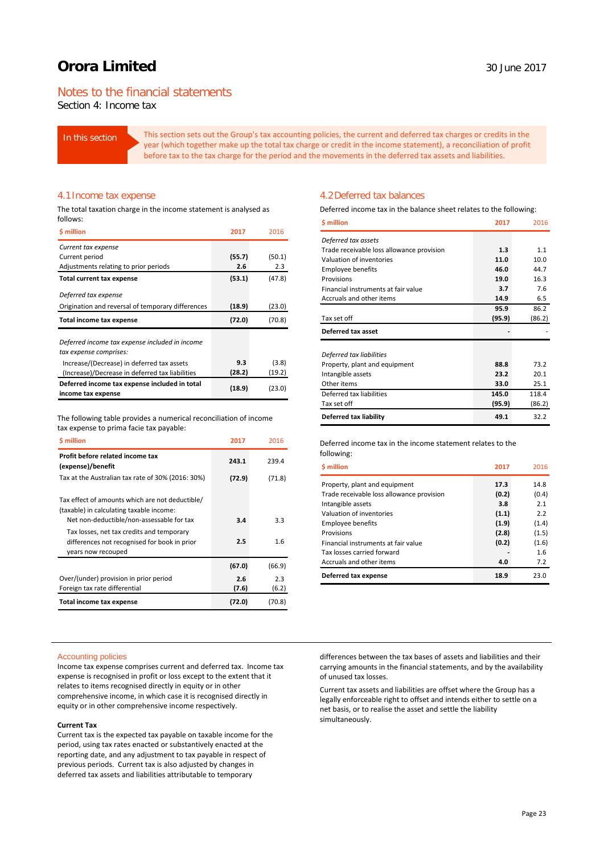# Notes to the financial statements

Section 4: Income tax

In this section This section sets out the Group's tax accounting policies, the current and deferred tax charges or credits in the year (which together make up the total tax charge or credit in the income statement), a reconciliation of profit before tax to the tax charge for the period and the movements in the deferred tax assets and liabilities.

#### 4.1Income tax expense

The total taxation charge in the income statement is analysed as follows:

| <b>S</b> million                                  | 2017   | 2016   |
|---------------------------------------------------|--------|--------|
| Current tax expense                               |        |        |
| Current period                                    | (55.7) | (50.1) |
| Adjustments relating to prior periods             | 2.6    | 2.3    |
| <b>Total current tax expense</b>                  | (53.1) | (47.8) |
| Deferred tax expense                              |        |        |
| Origination and reversal of temporary differences | (18.9) | (23.0) |
| Total income tax expense                          | (72.0) | (70.8) |
| Deferred income tax expense included in income    |        |        |
| tax expense comprises:                            |        |        |
| Increase/(Decrease) in deferred tax assets        | 9.3    | (3.8)  |
| (Increase)/Decrease in deferred tax liabilities   | (28.2) | (19.2) |
| Deferred income tax expense included in total     | (18.9) | (23.0) |
| income tax expense                                |        |        |

The following table provides a numerical reconciliation of income tax expense to prima facie tax payable:

| <b>S</b> million                                                                                                | 2017         | 2016         |
|-----------------------------------------------------------------------------------------------------------------|--------------|--------------|
| Profit before related income tax<br>(expense)/benefit                                                           | 243.1        | 239.4        |
| Tax at the Australian tax rate of 30% (2016: 30%)                                                               | (72.9)       | (71.8)       |
| Tax effect of amounts which are not deductible/<br>(taxable) in calculating taxable income:                     |              |              |
| Net non-deductible/non-assessable for tax                                                                       | 3.4          | 3.3          |
| Tax losses, net tax credits and temporary<br>differences not recognised for book in prior<br>years now recouped | 2.5          | 1.6          |
|                                                                                                                 | (67.0)       | (66.9)       |
| Over/(under) provision in prior period<br>Foreign tax rate differential                                         | 2.6<br>(7.6) | 2.3<br>(6.2) |
| Total income tax expense                                                                                        | (72.0)       | (70.8)       |

### 4.2Deferred tax balances

Deferred income tax in the balance sheet relates to the following:

| <b>S</b> million                          | 2017   | 2016   |
|-------------------------------------------|--------|--------|
| Deferred tax assets                       |        |        |
| Trade receivable loss allowance provision | 1.3    | 1.1    |
| Valuation of inventories                  | 11.0   | 10.0   |
| <b>Employee benefits</b>                  | 46.0   | 44.7   |
| Provisions                                | 19.0   | 16.3   |
| Financial instruments at fair value       | 3.7    | 7.6    |
| Accruals and other items                  | 14.9   | 6.5    |
|                                           | 95.9   | 86.2   |
| Tax set off                               | (95.9) | (86.2) |
| Deferred tax asset                        |        |        |
|                                           |        |        |
| Deferred tax liabilities                  | 88.8   | 73.2   |
| Property, plant and equipment             | 23.2   | 20.1   |
| Intangible assets<br>Other items          | 33.0   | 25.1   |
| Deferred tax liabilities                  |        |        |
| Tax set off                               | 145.0  | 118.4  |
|                                           | (95.9) | (86.2) |
| Deferred tax liability                    | 49.1   | 32.2   |

Deferred income tax in the income statement relates to the following:

| <b>S</b> million                          | 2017  | 2016  |
|-------------------------------------------|-------|-------|
| Property, plant and equipment             | 17.3  | 14.8  |
| Trade receivable loss allowance provision | (0.2) | (0.4) |
| Intangible assets                         | 3.8   | 2.1   |
| Valuation of inventories                  | (1.1) | 2.2   |
| <b>Employee benefits</b>                  | (1.9) | (1.4) |
| Provisions                                | (2.8) | (1.5) |
| Financial instruments at fair value       | (0.2) | (1.6) |
| Tax losses carried forward                |       | 1.6   |
| Accruals and other items                  | 4.0   | 7.2   |
| Deferred tax expense                      | 18.9  | 23.0  |

#### Accounting policies

Income tax expense comprises current and deferred tax. Income tax expense is recognised in profit or loss except to the extent that it relates to items recognised directly in equity or in other comprehensive income, in which case it is recognised directly in equity or in other comprehensive income respectively.

#### **Current Tax**

Current tax is the expected tax payable on taxable income for the period, using tax rates enacted or substantively enacted at the reporting date, and any adjustment to tax payable in respect of previous periods. Current tax is also adjusted by changes in deferred tax assets and liabilities attributable to temporary

differences between the tax bases of assets and liabilities and their carrying amounts in the financial statements, and by the availability of unused tax losses.

Current tax assets and liabilities are offset where the Group has a legally enforceable right to offset and intends either to settle on a net basis, or to realise the asset and settle the liability simultaneously.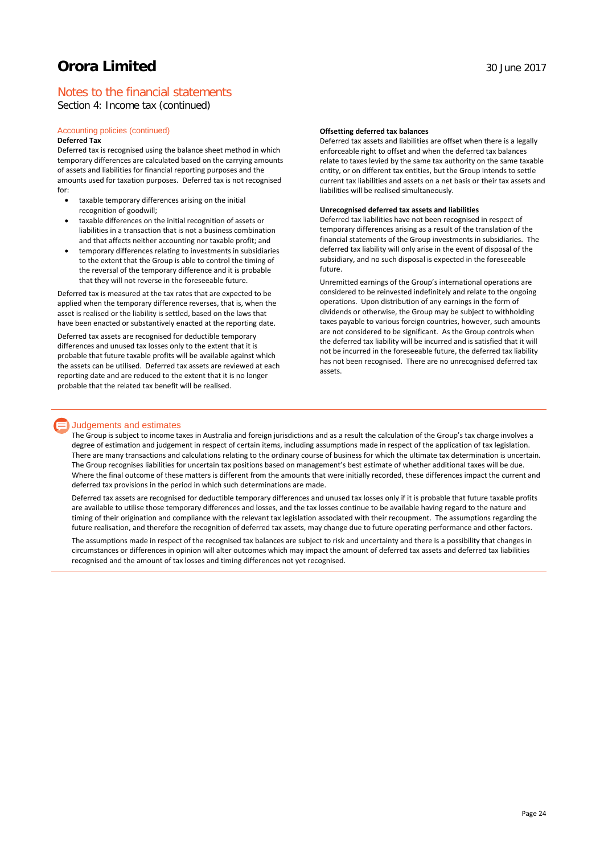# Notes to the financial statements

Section 4: Income tax (continued)

#### Accounting policies (continued) **Deferred Tax**

Deferred tax is recognised using the balance sheet method in which temporary differences are calculated based on the carrying amounts of assets and liabilities for financial reporting purposes and the amounts used for taxation purposes. Deferred tax is not recognised for:

- taxable temporary differences arising on the initial recognition of goodwill;
- taxable differences on the initial recognition of assets or liabilities in a transaction that is not a business combination and that affects neither accounting nor taxable profit; and
- temporary differences relating to investments in subsidiaries to the extent that the Group is able to control the timing of the reversal of the temporary difference and it is probable that they will not reverse in the foreseeable future.

Deferred tax is measured at the tax rates that are expected to be applied when the temporary difference reverses, that is, when the asset is realised or the liability is settled, based on the laws that have been enacted or substantively enacted at the reporting date.

Deferred tax assets are recognised for deductible temporary differences and unused tax losses only to the extent that it is probable that future taxable profits will be available against which the assets can be utilised. Deferred tax assets are reviewed at each reporting date and are reduced to the extent that it is no longer probable that the related tax benefit will be realised.

#### **Offsetting deferred tax balances**

Deferred tax assets and liabilities are offset when there is a legally enforceable right to offset and when the deferred tax balances relate to taxes levied by the same tax authority on the same taxable entity, or on different tax entities, but the Group intends to settle current tax liabilities and assets on a net basis or their tax assets and liabilities will be realised simultaneously.

#### **Unrecognised deferred tax assets and liabilities**

Deferred tax liabilities have not been recognised in respect of temporary differences arising as a result of the translation of the financial statements of the Group investments in subsidiaries. The deferred tax liability will only arise in the event of disposal of the subsidiary, and no such disposal is expected in the foreseeable future.

Unremitted earnings of the Group's international operations are considered to be reinvested indefinitely and relate to the ongoing operations. Upon distribution of any earnings in the form of dividends or otherwise, the Group may be subject to withholding taxes payable to various foreign countries, however, such amounts are not considered to be significant. As the Group controls when the deferred tax liability will be incurred and is satisfied that it will not be incurred in the foreseeable future, the deferred tax liability has not been recognised. There are no unrecognised deferred tax assets.

### **Judgements and estimates**

The Group is subject to income taxes in Australia and foreign jurisdictions and as a result the calculation of the Group's tax charge involves a degree of estimation and judgement in respect of certain items, including assumptions made in respect of the application of tax legislation. There are many transactions and calculations relating to the ordinary course of business for which the ultimate tax determination is uncertain. The Group recognises liabilities for uncertain tax positions based on management's best estimate of whether additional taxes will be due. Where the final outcome of these matters is different from the amounts that were initially recorded, these differences impact the current and deferred tax provisions in the period in which such determinations are made.

Deferred tax assets are recognised for deductible temporary differences and unused tax losses only if it is probable that future taxable profits are available to utilise those temporary differences and losses, and the tax losses continue to be available having regard to the nature and timing of their origination and compliance with the relevant tax legislation associated with their recoupment. The assumptions regarding the future realisation, and therefore the recognition of deferred tax assets, may change due to future operating performance and other factors.

The assumptions made in respect of the recognised tax balances are subject to risk and uncertainty and there is a possibility that changes in circumstances or differences in opinion will alter outcomes which may impact the amount of deferred tax assets and deferred tax liabilities recognised and the amount of tax losses and timing differences not yet recognised.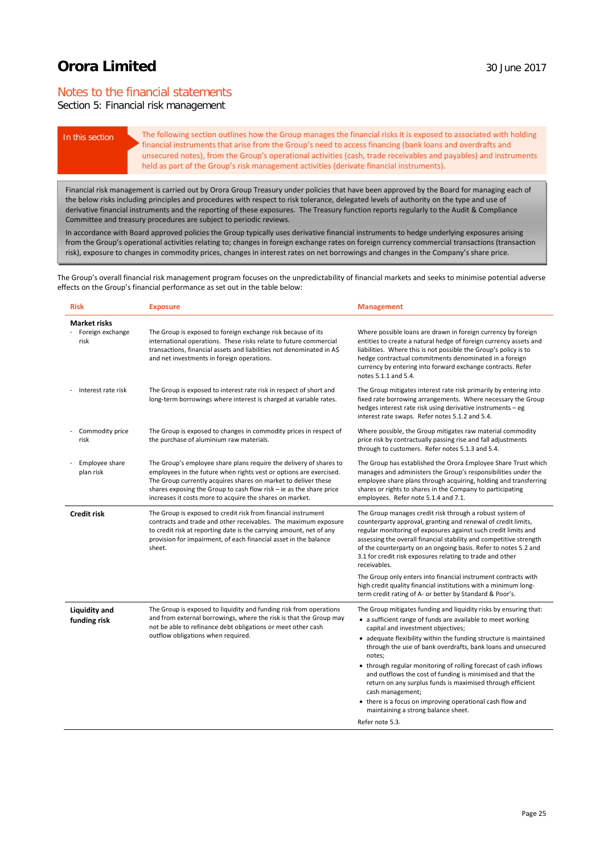# Notes to the financial statements

# Section 5: Financial risk management

In this section The following section outlines how the Group manages the financial risks it is exposed to associated with holding financial instruments that arise from the Group's need to access financing (bank loans and overdrafts and unsecured notes), from the Group's operational activities (cash, trade receivables and payables) and instruments held as part of the Group's risk management activities (derivate financial instruments).

Financial risk management is carried out by Orora Group Treasury under policies that have been approved by the Board for managing each of the below risks including principles and procedures with respect to risk tolerance, delegated levels of authority on the type and use of derivative financial instruments and the reporting of these exposures. The Treasury function reports regularly to the Audit & Compliance Committee and treasury procedures are subject to periodic reviews.

In accordance with Board approved policies the Group typically uses derivative financial instruments to hedge underlying exposures arising from the Group's operational activities relating to; changes in foreign exchange rates on foreign currency commercial transactions (transaction risk), exposure to changes in commodity prices, changes in interest rates on net borrowings and changes in the Company's share price.

The Group's overall financial risk management program focuses on the unpredictability of financial markets and seeks to minimise potential adverse effects on the Group's financial performance as set out in the table below:

| <b>Risk</b>                                     | <b>Exposure</b>                                                                                                                                                                                                                                                                                                                               | <b>Management</b>                                                                                                                                                                                                                                                                                                                                                                                                                                                                                                                                                                                                                                                |
|-------------------------------------------------|-----------------------------------------------------------------------------------------------------------------------------------------------------------------------------------------------------------------------------------------------------------------------------------------------------------------------------------------------|------------------------------------------------------------------------------------------------------------------------------------------------------------------------------------------------------------------------------------------------------------------------------------------------------------------------------------------------------------------------------------------------------------------------------------------------------------------------------------------------------------------------------------------------------------------------------------------------------------------------------------------------------------------|
| <b>Market risks</b><br>Foreign exchange<br>risk | The Group is exposed to foreign exchange risk because of its<br>international operations. These risks relate to future commercial<br>transactions, financial assets and liabilities not denominated in A\$<br>and net investments in foreign operations.                                                                                      | Where possible loans are drawn in foreign currency by foreign<br>entities to create a natural hedge of foreign currency assets and<br>liabilities. Where this is not possible the Group's policy is to<br>hedge contractual commitments denominated in a foreign<br>currency by entering into forward exchange contracts. Refer<br>notes 5.1.1 and 5.4.                                                                                                                                                                                                                                                                                                          |
| Interest rate risk                              | The Group is exposed to interest rate risk in respect of short and<br>long-term borrowings where interest is charged at variable rates.                                                                                                                                                                                                       | The Group mitigates interest rate risk primarily by entering into<br>fixed rate borrowing arrangements. Where necessary the Group<br>hedges interest rate risk using derivative instruments - eg<br>interest rate swaps. Refer notes 5.1.2 and 5.4.                                                                                                                                                                                                                                                                                                                                                                                                              |
| Commodity price<br>risk                         | The Group is exposed to changes in commodity prices in respect of<br>the purchase of aluminium raw materials.                                                                                                                                                                                                                                 | Where possible, the Group mitigates raw material commodity<br>price risk by contractually passing rise and fall adjustments<br>through to customers. Refer notes 5.1.3 and 5.4.                                                                                                                                                                                                                                                                                                                                                                                                                                                                                  |
| Employee share<br>plan risk                     | The Group's employee share plans require the delivery of shares to<br>employees in the future when rights vest or options are exercised.<br>The Group currently acquires shares on market to deliver these<br>shares exposing the Group to cash flow risk - ie as the share price<br>increases it costs more to acquire the shares on market. | The Group has established the Orora Employee Share Trust which<br>manages and administers the Group's responsibilities under the<br>employee share plans through acquiring, holding and transferring<br>shares or rights to shares in the Company to participating<br>employees. Refer note 5.1.4 and 7.1.                                                                                                                                                                                                                                                                                                                                                       |
| <b>Credit risk</b>                              | The Group is exposed to credit risk from financial instrument<br>contracts and trade and other receivables. The maximum exposure<br>to credit risk at reporting date is the carrying amount, net of any<br>provision for impairment, of each financial asset in the balance<br>sheet.                                                         | The Group manages credit risk through a robust system of<br>counterparty approval, granting and renewal of credit limits,<br>regular monitoring of exposures against such credit limits and<br>assessing the overall financial stability and competitive strength<br>of the counterparty on an ongoing basis. Refer to notes 5.2 and<br>3.1 for credit risk exposures relating to trade and other<br>receivables.                                                                                                                                                                                                                                                |
|                                                 |                                                                                                                                                                                                                                                                                                                                               | The Group only enters into financial instrument contracts with<br>high credit quality financial institutions with a minimum long-<br>term credit rating of A- or better by Standard & Poor's.                                                                                                                                                                                                                                                                                                                                                                                                                                                                    |
| <b>Liquidity and</b><br>funding risk            | The Group is exposed to liquidity and funding risk from operations<br>and from external borrowings, where the risk is that the Group may<br>not be able to refinance debt obligations or meet other cash<br>outflow obligations when required.                                                                                                | The Group mitigates funding and liquidity risks by ensuring that:<br>• a sufficient range of funds are available to meet working<br>capital and investment objectives;<br>• adequate flexibility within the funding structure is maintained<br>through the use of bank overdrafts, bank loans and unsecured<br>notes;<br>• through regular monitoring of rolling forecast of cash inflows<br>and outflows the cost of funding is minimised and that the<br>return on any surplus funds is maximised through efficient<br>cash management;<br>• there is a focus on improving operational cash flow and<br>maintaining a strong balance sheet.<br>Refer note 5.3. |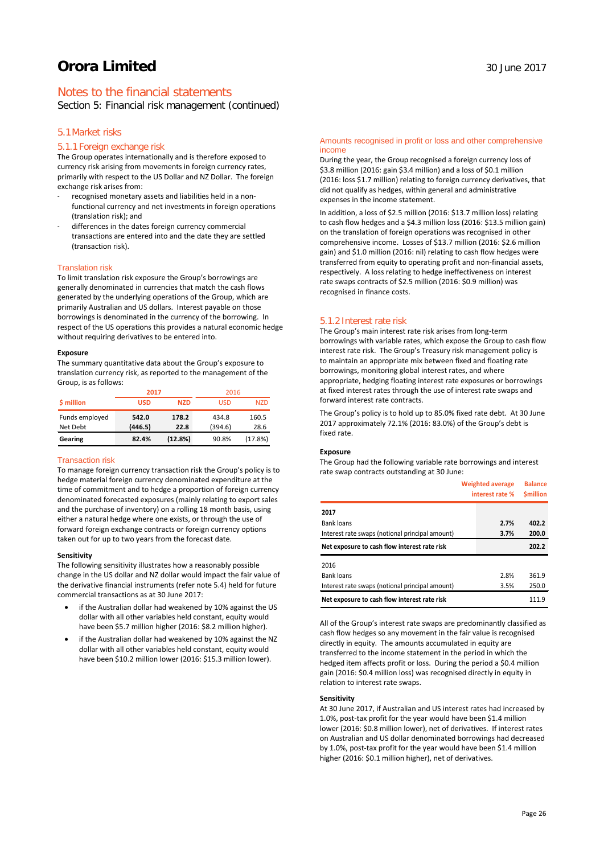Section 5: Financial risk management (continued)

# 5.1Market risks

### 5.1.1 Foreign exchange risk

The Group operates internationally and is therefore exposed to currency risk arising from movements in foreign currency rates, primarily with respect to the US Dollar and NZ Dollar. The foreign exchange risk arises from:

- recognised monetary assets and liabilities held in a nonfunctional currency and net investments in foreign operations (translation risk); and
- differences in the dates foreign currency commercial transactions are entered into and the date they are settled (transaction risk).

#### Translation risk

To limit translation risk exposure the Group's borrowings are generally denominated in currencies that match the cash flows generated by the underlying operations of the Group, which are primarily Australian and US dollars. Interest payable on those borrowings is denominated in the currency of the borrowing. In respect of the US operations this provides a natural economic hedge without requiring derivatives to be entered into.

#### **Exposure**

The summary quantitative data about the Group's exposure to translation currency risk, as reported to the management of the Group, is as follows:

|                | 2017       |            | 2016    |            |
|----------------|------------|------------|---------|------------|
| \$ million     | <b>USD</b> | <b>NZD</b> | USD     | <b>NZD</b> |
| Funds employed | 542.0      | 178.2      | 434.8   | 160.5      |
| Net Debt       | (446.5)    | 22.8       | (394.6) | 28.6       |
| Gearing        | 82.4%      | (12.8%)    | 90.8%   | (17.8%)    |

#### Transaction risk

To manage foreign currency transaction risk the Group's policy is to hedge material foreign currency denominated expenditure at the time of commitment and to hedge a proportion of foreign currency denominated forecasted exposures (mainly relating to export sales and the purchase of inventory) on a rolling 18 month basis, using either a natural hedge where one exists, or through the use of forward foreign exchange contracts or foreign currency options taken out for up to two years from the forecast date.

#### **Sensitivity**

The following sensitivity illustrates how a reasonably possible change in the US dollar and NZ dollar would impact the fair value of the derivative financial instruments (refer note 5.4) held for future commercial transactions as at 30 June 2017:

- if the Australian dollar had weakened by 10% against the US dollar with all other variables held constant, equity would have been \$5.7 million higher (2016: \$8.2 million higher).
- if the Australian dollar had weakened by 10% against the NZ dollar with all other variables held constant, equity would have been \$10.2 million lower (2016: \$15.3 million lower).

#### Amounts recognised in profit or loss and other comprehensive income

During the year, the Group recognised a foreign currency loss of \$3.8 million (2016: gain \$3.4 million) and a loss of \$0.1 million (2016: loss \$1.7 million) relating to foreign currency derivatives, that did not qualify as hedges, within general and administrative expenses in the income statement.

In addition, a loss of \$2.5 million (2016: \$13.7 million loss) relating to cash flow hedges and a \$4.3 million loss (2016: \$13.5 million gain) on the translation of foreign operations was recognised in other comprehensive income. Losses of \$13.7 million (2016: \$2.6 million gain) and \$1.0 million (2016: nil) relating to cash flow hedges were transferred from equity to operating profit and non-financial assets, respectively. A loss relating to hedge ineffectiveness on interest rate swaps contracts of \$2.5 million (2016: \$0.9 million) was recognised in finance costs.

#### 5.1.2 Interest rate risk

The Group's main interest rate risk arises from long-term borrowings with variable rates, which expose the Group to cash flow interest rate risk. The Group's Treasury risk management policy is to maintain an appropriate mix between fixed and floating rate borrowings, monitoring global interest rates, and where appropriate, hedging floating interest rate exposures or borrowings at fixed interest rates through the use of interest rate swaps and forward interest rate contracts.

The Group's policy is to hold up to 85.0% fixed rate debt. At 30 June 2017 approximately 72.1% (2016: 83.0%) of the Group's debt is fixed rate.

#### **Exposure**

The Group had the following variable rate borrowings and interest rate swap contracts outstanding at 30 June:

|                                                 |  | <b>Weighted average</b><br>interest rate % | <b>Balance</b><br><b>Smillion</b> |  |
|-------------------------------------------------|--|--------------------------------------------|-----------------------------------|--|
| 2017                                            |  |                                            |                                   |  |
| <b>Bank loans</b>                               |  | 2.7%                                       | 402.2                             |  |
| Interest rate swaps (notional principal amount) |  | 3.7%                                       | 200.0                             |  |
| Net exposure to cash flow interest rate risk    |  |                                            | 202.2                             |  |
| 2016                                            |  |                                            |                                   |  |
| <b>Bank loans</b>                               |  | 2.8%                                       | 361.9                             |  |
| Interest rate swaps (notional principal amount) |  | 3.5%                                       | 250.0                             |  |
| Net exposure to cash flow interest rate risk    |  |                                            | 111.9                             |  |

All of the Group's interest rate swaps are predominantly classified as cash flow hedges so any movement in the fair value is recognised directly in equity. The amounts accumulated in equity are transferred to the income statement in the period in which the hedged item affects profit or loss. During the period a \$0.4 million gain (2016: \$0.4 million loss) was recognised directly in equity in relation to interest rate swaps.

#### **Sensitivity**

At 30 June 2017, if Australian and US interest rates had increased by 1.0%, post-tax profit for the year would have been \$1.4 million lower (2016: \$0.8 million lower), net of derivatives. If interest rates on Australian and US dollar denominated borrowings had decreased by 1.0%, post-tax profit for the year would have been \$1.4 million higher (2016: \$0.1 million higher), net of derivatives.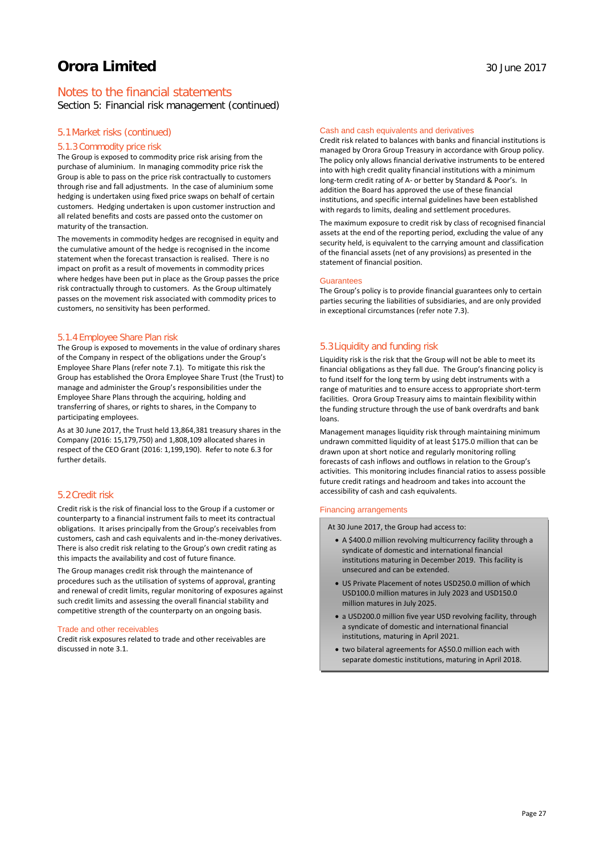# Notes to the financial statements

Section 5: Financial risk management (continued)

### 5.1Market risks (continued)

### 5.1.3 Commodity price risk

The Group is exposed to commodity price risk arising from the purchase of aluminium. In managing commodity price risk the Group is able to pass on the price risk contractually to customers through rise and fall adjustments. In the case of aluminium some hedging is undertaken using fixed price swaps on behalf of certain customers. Hedging undertaken is upon customer instruction and all related benefits and costs are passed onto the customer on maturity of the transaction.

The movements in commodity hedges are recognised in equity and the cumulative amount of the hedge is recognised in the income statement when the forecast transaction is realised. There is no impact on profit as a result of movements in commodity prices where hedges have been put in place as the Group passes the price risk contractually through to customers. As the Group ultimately passes on the movement risk associated with commodity prices to customers, no sensitivity has been performed.

#### 5.1.4 Employee Share Plan risk

The Group is exposed to movements in the value of ordinary shares of the Company in respect of the obligations under the Group's Employee Share Plans (refer note 7.1). To mitigate this risk the Group has established the Orora Employee Share Trust (the Trust) to manage and administer the Group's responsibilities under the Employee Share Plans through the acquiring, holding and transferring of shares, or rights to shares, in the Company to participating employees.

As at 30 June 2017, the Trust held 13,864,381 treasury shares in the Company (2016: 15,179,750) and 1,808,109 allocated shares in respect of the CEO Grant (2016: 1,199,190). Refer to note 6.3 for further details.

### 5.2Credit risk

Credit risk is the risk of financial loss to the Group if a customer or counterparty to a financial instrument fails to meet its contractual obligations. It arises principally from the Group's receivables from customers, cash and cash equivalents and in-the-money derivatives. There is also credit risk relating to the Group's own credit rating as this impacts the availability and cost of future finance.

The Group manages credit risk through the maintenance of procedures such as the utilisation of systems of approval, granting and renewal of credit limits, regular monitoring of exposures against such credit limits and assessing the overall financial stability and competitive strength of the counterparty on an ongoing basis.

#### Trade and other receivables

Credit risk exposures related to trade and other receivables are discussed in note 3.1.

#### Cash and cash equivalents and derivatives

Credit risk related to balances with banks and financial institutions is managed by Orora Group Treasury in accordance with Group policy. The policy only allows financial derivative instruments to be entered into with high credit quality financial institutions with a minimum long-term credit rating of A- or better by Standard & Poor's. In addition the Board has approved the use of these financial institutions, and specific internal guidelines have been established with regards to limits, dealing and settlement procedures.

The maximum exposure to credit risk by class of recognised financial assets at the end of the reporting period, excluding the value of any security held, is equivalent to the carrying amount and classification of the financial assets (net of any provisions) as presented in the statement of financial position.

#### Guarantees

The Group's policy is to provide financial guarantees only to certain parties securing the liabilities of subsidiaries, and are only provided in exceptional circumstances (refer note 7.3).

#### 5.3Liquidity and funding risk

Liquidity risk is the risk that the Group will not be able to meet its financial obligations as they fall due. The Group's financing policy is to fund itself for the long term by using debt instruments with a range of maturities and to ensure access to appropriate short-term facilities. Orora Group Treasury aims to maintain flexibility within the funding structure through the use of bank overdrafts and bank loans.

Management manages liquidity risk through maintaining minimum undrawn committed liquidity of at least \$175.0 million that can be drawn upon at short notice and regularly monitoring rolling forecasts of cash inflows and outflows in relation to the Group's activities. This monitoring includes financial ratios to assess possible future credit ratings and headroom and takes into account the accessibility of cash and cash equivalents.

#### Financing arrangements

At 30 June 2017, the Group had access to:

- A \$400.0 million revolving multicurrency facility through a syndicate of domestic and international financial institutions maturing in December 2019. This facility is unsecured and can be extended.
- US Private Placement of notes USD250.0 million of which USD100.0 million matures in July 2023 and USD150.0 million matures in July 2025.
- a USD200.0 million five year USD revolving facility, through a syndicate of domestic and international financial institutions, maturing in April 2021.
- two bilateral agreements for A\$50.0 million each with separate domestic institutions, maturing in April 2018.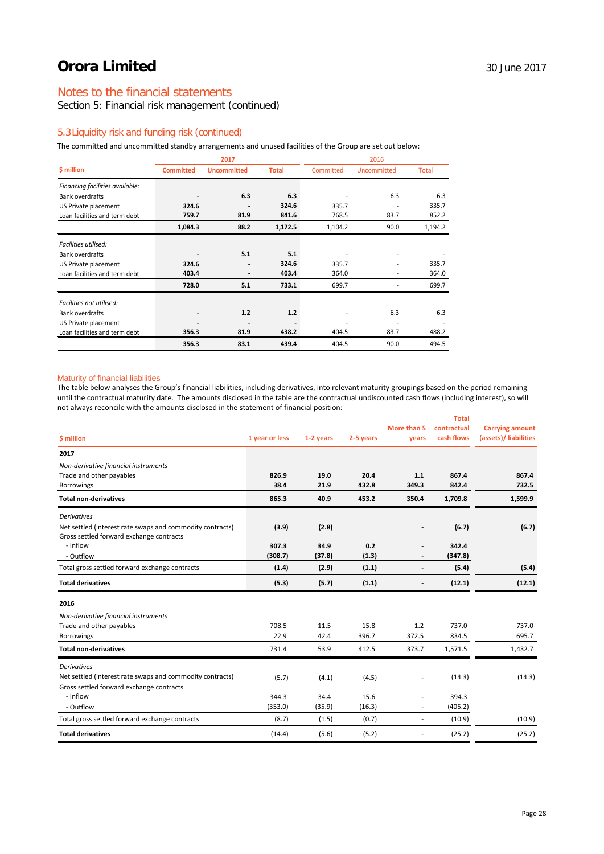# Notes to the financial statements

Section 5: Financial risk management (continued)

# 5.3Liquidity risk and funding risk (continued)

The committed and uncommitted standby arrangements and unused facilities of the Group are set out below:

|                                 | 2017             |                              |              | 2016      |             |         |
|---------------------------------|------------------|------------------------------|--------------|-----------|-------------|---------|
| \$ million                      | <b>Committed</b> | <b>Uncommitted</b>           | <b>Total</b> | Committed | Uncommitted | Total   |
| Financing facilities available: |                  |                              |              |           |             |         |
| <b>Bank overdrafts</b>          |                  | 6.3                          | 6.3          |           | 6.3         | 6.3     |
| US Private placement            | 324.6            |                              | 324.6        | 335.7     |             | 335.7   |
| Loan facilities and term debt   | 759.7            | 81.9                         | 841.6        | 768.5     | 83.7        | 852.2   |
|                                 | 1,084.3          | 88.2                         | 1,172.5      | 1,104.2   | 90.0        | 1,194.2 |
| Facilities utilised:            |                  |                              |              |           |             |         |
| <b>Bank overdrafts</b>          |                  | 5.1                          | 5.1          |           |             |         |
| US Private placement            | 324.6            | $\qquad \qquad \blacksquare$ | 324.6        | 335.7     |             | 335.7   |
| Loan facilities and term debt   | 403.4            | $\qquad \qquad \blacksquare$ | 403.4        | 364.0     |             | 364.0   |
|                                 | 728.0            | 5.1                          | 733.1        | 699.7     |             | 699.7   |
| Facilities not utilised:        |                  |                              |              |           |             |         |
| <b>Bank overdrafts</b>          |                  | 1.2                          | 1.2          |           | 6.3         | 6.3     |
| US Private placement            |                  |                              |              |           |             |         |
| Loan facilities and term debt   | 356.3            | 81.9                         | 438.2        | 404.5     | 83.7        | 488.2   |
|                                 | 356.3            | 83.1                         | 439.4        | 404.5     | 90.0        | 494.5   |

#### Maturity of financial liabilities

The table below analyses the Group's financial liabilities, including derivatives, into relevant maturity groupings based on the period remaining until the contractual maturity date. The amounts disclosed in the table are the contractual undiscounted cash flows (including interest), so will not always reconcile with the amounts disclosed in the statement of financial position:

|                                                           |                |           |           |                              | <b>Total</b> |                        |
|-----------------------------------------------------------|----------------|-----------|-----------|------------------------------|--------------|------------------------|
|                                                           |                |           |           | More than 5                  | contractual  | <b>Carrying amount</b> |
| \$ million                                                | 1 year or less | 1-2 years | 2-5 years | years                        | cash flows   | (assets)/ liabilities  |
| 2017                                                      |                |           |           |                              |              |                        |
| Non-derivative financial instruments                      |                |           |           |                              |              |                        |
| Trade and other payables                                  | 826.9          | 19.0      | 20.4      | 1.1                          | 867.4        | 867.4                  |
| Borrowings                                                | 38.4           | 21.9      | 432.8     | 349.3                        | 842.4        | 732.5                  |
| <b>Total non-derivatives</b>                              | 865.3          | 40.9      | 453.2     | 350.4                        | 1,709.8      | 1,599.9                |
| <b>Derivatives</b>                                        |                |           |           |                              |              |                        |
| Net settled (interest rate swaps and commodity contracts) | (3.9)          | (2.8)     |           |                              | (6.7)        | (6.7)                  |
| Gross settled forward exchange contracts                  |                |           |           |                              |              |                        |
| - Inflow                                                  | 307.3          | 34.9      | 0.2       |                              | 342.4        |                        |
| - Outflow                                                 | (308.7)        | (37.8)    | (1.3)     |                              | (347.8)      |                        |
| Total gross settled forward exchange contracts            | (1.4)          | (2.9)     | (1.1)     | $\overline{\phantom{0}}$     | (5.4)        | (5.4)                  |
| <b>Total derivatives</b>                                  | (5.3)          | (5.7)     | (1.1)     | $\qquad \qquad \blacksquare$ | (12.1)       | (12.1)                 |
| 2016                                                      |                |           |           |                              |              |                        |
| Non-derivative financial instruments                      |                |           |           |                              |              |                        |
| Trade and other payables                                  | 708.5          | 11.5      | 15.8      | 1.2                          | 737.0        | 737.0                  |
| <b>Borrowings</b>                                         | 22.9           | 42.4      | 396.7     | 372.5                        | 834.5        | 695.7                  |
| <b>Total non-derivatives</b>                              | 731.4          | 53.9      | 412.5     | 373.7                        | 1,571.5      | 1,432.7                |
| <b>Derivatives</b>                                        |                |           |           |                              |              |                        |
| Net settled (interest rate swaps and commodity contracts) | (5.7)          | (4.1)     | (4.5)     |                              | (14.3)       | (14.3)                 |
| Gross settled forward exchange contracts                  |                |           |           |                              |              |                        |
| - Inflow                                                  | 344.3          | 34.4      | 15.6      | ä,                           | 394.3        |                        |
| - Outflow                                                 | (353.0)        | (35.9)    | (16.3)    |                              | (405.2)      |                        |
| Total gross settled forward exchange contracts            | (8.7)          | (1.5)     | (0.7)     | ä,                           | (10.9)       | (10.9)                 |
| <b>Total derivatives</b>                                  | (14.4)         | (5.6)     | (5.2)     | $\overline{\phantom{0}}$     | (25.2)       | (25.2)                 |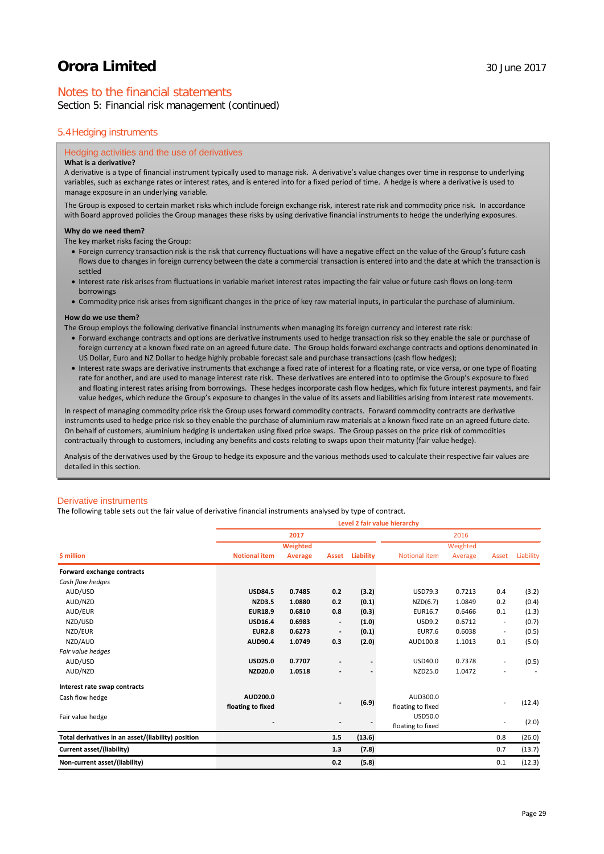# Notes to the financial statements

Section 5: Financial risk management (continued)

### 5.4Hedging instruments

#### Hedging activities and the use of derivatives

# **What is a derivative?**

A derivative is a type of financial instrument typically used to manage risk. A derivative's value changes over time in response to underlying variables, such as exchange rates or interest rates, and is entered into for a fixed period of time. A hedge is where a derivative is used to manage exposure in an underlying variable.

The Group is exposed to certain market risks which include foreign exchange risk, interest rate risk and commodity price risk. In accordance with Board approved policies the Group manages these risks by using derivative financial instruments to hedge the underlying exposures.

#### **Why do we need them?**

The key market risks facing the Group:

- Foreign currency transaction risk is the risk that currency fluctuations will have a negative effect on the value of the Group's future cash flows due to changes in foreign currency between the date a commercial transaction is entered into and the date at which the transaction is settled
- Interest rate risk arises from fluctuations in variable market interest rates impacting the fair value or future cash flows on long-term borrowings
- Commodity price risk arises from significant changes in the price of key raw material inputs, in particular the purchase of aluminium.

#### **How do we use them?**

The Group employs the following derivative financial instruments when managing its foreign currency and interest rate risk:

- Forward exchange contracts and options are derivative instruments used to hedge transaction risk so they enable the sale or purchase of foreign currency at a known fixed rate on an agreed future date. The Group holds forward exchange contracts and options denominated in US Dollar, Euro and NZ Dollar to hedge highly probable forecast sale and purchase transactions (cash flow hedges);
- Interest rate swaps are derivative instruments that exchange a fixed rate of interest for a floating rate, or vice versa, or one type of floating rate for another, and are used to manage interest rate risk. These derivatives are entered into to optimise the Group's exposure to fixed and floating interest rates arising from borrowings. These hedges incorporate cash flow hedges, which fix future interest payments, and fair value hedges, which reduce the Group's exposure to changes in the value of its assets and liabilities arising from interest rate movements.

In respect of managing commodity price risk the Group uses forward commodity contracts. Forward commodity contracts are derivative instruments used to hedge price risk so they enable the purchase of aluminium raw materials at a known fixed rate on an agreed future date. On behalf of customers, aluminium hedging is undertaken using fixed price swaps. The Group passes on the price risk of commodities contractually through to customers, including any benefits and costs relating to swaps upon their maturity (fair value hedge).

Analysis of the derivatives used by the Group to hedge its exposure and the various methods used to calculate their respective fair values are detailed in this section.

#### Derivative instruments

The following table sets out the fair value of derivative financial instruments analysed by type of contract.

|                                                    | Level 2 fair value hierarchy |                 |                              |           |                      |          |                          |           |  |
|----------------------------------------------------|------------------------------|-----------------|------------------------------|-----------|----------------------|----------|--------------------------|-----------|--|
|                                                    |                              | 2017            |                              |           |                      | 2016     |                          |           |  |
|                                                    |                              | <b>Weighted</b> |                              |           |                      | Weighted |                          |           |  |
| <b>\$</b> million                                  | <b>Notional item</b>         | Average         | Asset                        | Liability | <b>Notional item</b> | Average  | Asset                    | Liability |  |
| Forward exchange contracts                         |                              |                 |                              |           |                      |          |                          |           |  |
| Cash flow hedges                                   |                              |                 |                              |           |                      |          |                          |           |  |
| AUD/USD                                            | <b>USD84.5</b>               | 0.7485          | 0.2                          | (3.2)     | USD79.3              | 0.7213   | 0.4                      | (3.2)     |  |
| AUD/NZD                                            | <b>NZD3.5</b>                | 1.0880          | 0.2                          | (0.1)     | NZD(6.7)             | 1.0849   | 0.2                      | (0.4)     |  |
| AUD/EUR                                            | <b>EUR18.9</b>               | 0.6810          | 0.8                          | (0.3)     | EUR16.7              | 0.6466   | 0.1                      | (1.3)     |  |
| NZD/USD                                            | <b>USD16.4</b>               | 0.6983          | $\qquad \qquad \blacksquare$ | (1.0)     | <b>USD9.2</b>        | 0.6712   | $\overline{\phantom{a}}$ | (0.7)     |  |
| NZD/EUR                                            | <b>EUR2.8</b>                | 0.6273          |                              | (0.1)     | <b>EUR7.6</b>        | 0.6038   | $\overline{a}$           | (0.5)     |  |
| NZD/AUD                                            | AUD90.4                      | 1.0749          | 0.3                          | (2.0)     | AUD100.8             | 1.1013   | 0.1                      | (5.0)     |  |
| Fair value hedges                                  |                              |                 |                              |           |                      |          |                          |           |  |
| AUD/USD                                            | <b>USD25.0</b>               | 0.7707          |                              |           | USD40.0              | 0.7378   |                          | (0.5)     |  |
| AUD/NZD                                            | NZD20.0                      | 1.0518          |                              |           | NZD25.0              | 1.0472   |                          |           |  |
| Interest rate swap contracts                       |                              |                 |                              |           |                      |          |                          |           |  |
| Cash flow hedge                                    | AUD200.0                     |                 |                              |           | AUD300.0             |          |                          |           |  |
|                                                    | floating to fixed            |                 |                              | (6.9)     | floating to fixed    |          |                          | (12.4)    |  |
| Fair value hedge                                   |                              |                 |                              |           | USD50.0              |          |                          |           |  |
|                                                    |                              |                 |                              |           | floating to fixed    |          |                          | (2.0)     |  |
| Total derivatives in an asset/(liability) position |                              |                 | 1.5                          | (13.6)    |                      |          | 0.8                      | (26.0)    |  |
| Current asset/(liability)                          |                              |                 | 1.3                          | (7.8)     |                      |          | 0.7                      | (13.7)    |  |
| Non-current asset/(liability)                      |                              |                 | 0.2                          | (5.8)     |                      |          | 0.1                      | (12.3)    |  |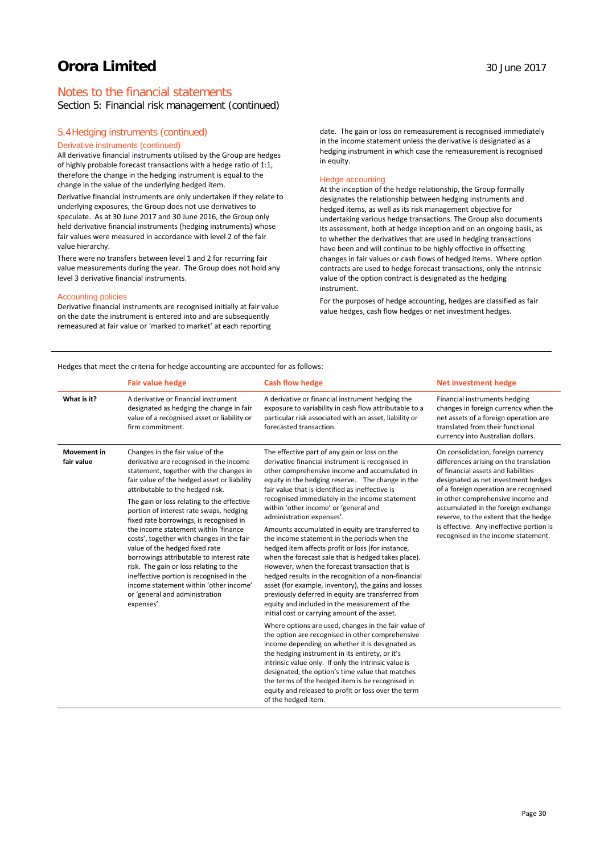# Notes to the financial statements

# Section 5: Financial risk management (continued)

#### 5.4Hedging instruments (continued)

### Derivative instruments (continued)

All derivative financial instruments utilised by the Group are hedges of highly probable forecast transactions with a hedge ratio of 1:1, therefore the change in the hedging instrument is equal to the change in the value of the underlying hedged item.

Derivative financial instruments are only undertaken if they relate to underlying exposures, the Group does not use derivatives to speculate. As at 30 June 2017 and 30 June 2016, the Group only held derivative financial instruments (hedging instruments) whose fair values were measured in accordance with level 2 of the fair value hierarchy.

There were no transfers between level 1 and 2 for recurring fair value measurements during the year. The Group does not hold any level 3 derivative financial instruments.

### Accounting policies

Derivative financial instruments are recognised initially at fair value on the date the instrument is entered into and are subsequently remeasured at fair value or 'marked to market' at each reporting

date. The gain or loss on remeasurement is recognised immediately in the income statement unless the derivative is designated as a hedging instrument in which case the remeasurement is recognised in equity.

#### Hedge accounting

At the inception of the hedge relationship, the Group formally designates the relationship between hedging instruments and hedged items, as well as its risk management objective for undertaking various hedge transactions. The Group also documents its assessment, both at hedge inception and on an ongoing basis, as to whether the derivatives that are used in hedging transactions have been and will continue to be highly effective in offsetting changes in fair values or cash flows of hedged items. Where option contracts are used to hedge forecast transactions, only the intrinsic value of the option contract is designated as the hedging instrument.

For the purposes of hedge accounting, hedges are classified as fair value hedges, cash flow hedges or net investment hedges.

Hedges that meet the criteria for hedge accounting are accounted for as follows:

|                                  | <b>Fair value hedge</b>                                                                                                                                                                                                                                                                                                                                                                                                                                                                                                                                                                                                                                                                          | <b>Cash flow hedge</b>                                                                                                                                                                                                                                                                                                                                                                                                                                                                                                                                                                                                                                                                                                                                                                                                                                                                                                                                                                                                                                                                                                                                                                                                                                                                                                                                                                      | <b>Net investment hedge</b>                                                                                                                                                                                                                                                                                                                                                                                 |
|----------------------------------|--------------------------------------------------------------------------------------------------------------------------------------------------------------------------------------------------------------------------------------------------------------------------------------------------------------------------------------------------------------------------------------------------------------------------------------------------------------------------------------------------------------------------------------------------------------------------------------------------------------------------------------------------------------------------------------------------|---------------------------------------------------------------------------------------------------------------------------------------------------------------------------------------------------------------------------------------------------------------------------------------------------------------------------------------------------------------------------------------------------------------------------------------------------------------------------------------------------------------------------------------------------------------------------------------------------------------------------------------------------------------------------------------------------------------------------------------------------------------------------------------------------------------------------------------------------------------------------------------------------------------------------------------------------------------------------------------------------------------------------------------------------------------------------------------------------------------------------------------------------------------------------------------------------------------------------------------------------------------------------------------------------------------------------------------------------------------------------------------------|-------------------------------------------------------------------------------------------------------------------------------------------------------------------------------------------------------------------------------------------------------------------------------------------------------------------------------------------------------------------------------------------------------------|
| What is it?                      | A derivative or financial instrument<br>designated as hedging the change in fair<br>value of a recognised asset or liability or<br>firm commitment.                                                                                                                                                                                                                                                                                                                                                                                                                                                                                                                                              | A derivative or financial instrument hedging the<br>exposure to variability in cash flow attributable to a<br>particular risk associated with an asset, liability or<br>forecasted transaction.                                                                                                                                                                                                                                                                                                                                                                                                                                                                                                                                                                                                                                                                                                                                                                                                                                                                                                                                                                                                                                                                                                                                                                                             | Financial instruments hedging<br>changes in foreign currency when the<br>net assets of a foreign operation are<br>translated from their functional<br>currency into Australian dollars.                                                                                                                                                                                                                     |
| <b>Movement</b> in<br>fair value | Changes in the fair value of the<br>derivative are recognised in the income<br>statement, together with the changes in<br>fair value of the hedged asset or liability<br>attributable to the hedged risk.<br>The gain or loss relating to the effective<br>portion of interest rate swaps, hedging<br>fixed rate borrowings, is recognised in<br>the income statement within 'finance<br>costs', together with changes in the fair<br>value of the hedged fixed rate<br>borrowings attributable to interest rate<br>risk. The gain or loss relating to the<br>ineffective portion is recognised in the<br>income statement within 'other income'<br>or 'general and administration<br>expenses'. | The effective part of any gain or loss on the<br>derivative financial instrument is recognised in<br>other comprehensive income and accumulated in<br>equity in the hedging reserve. The change in the<br>fair value that is identified as ineffective is<br>recognised immediately in the income statement<br>within 'other income' or 'general and<br>administration expenses'.<br>Amounts accumulated in equity are transferred to<br>the income statement in the periods when the<br>hedged item affects profit or loss (for instance,<br>when the forecast sale that is hedged takes place).<br>However, when the forecast transaction that is<br>hedged results in the recognition of a non-financial<br>asset (for example, inventory), the gains and losses<br>previously deferred in equity are transferred from<br>equity and included in the measurement of the<br>initial cost or carrying amount of the asset.<br>Where options are used, changes in the fair value of<br>the option are recognised in other comprehensive<br>income depending on whether it is designated as<br>the hedging instrument in its entirety, or it's<br>intrinsic value only. If only the intrinsic value is<br>designated, the option's time value that matches<br>the terms of the hedged item is be recognised in<br>equity and released to profit or loss over the term<br>of the hedged item. | On consolidation, foreign currency<br>differences arising on the translation<br>of financial assets and liabilities<br>designated as net investment hedges<br>of a foreign operation are recognised<br>in other comprehensive income and<br>accumulated in the foreign exchange<br>reserve, to the extent that the hedge<br>is effective. Any ineffective portion is<br>recognised in the income statement. |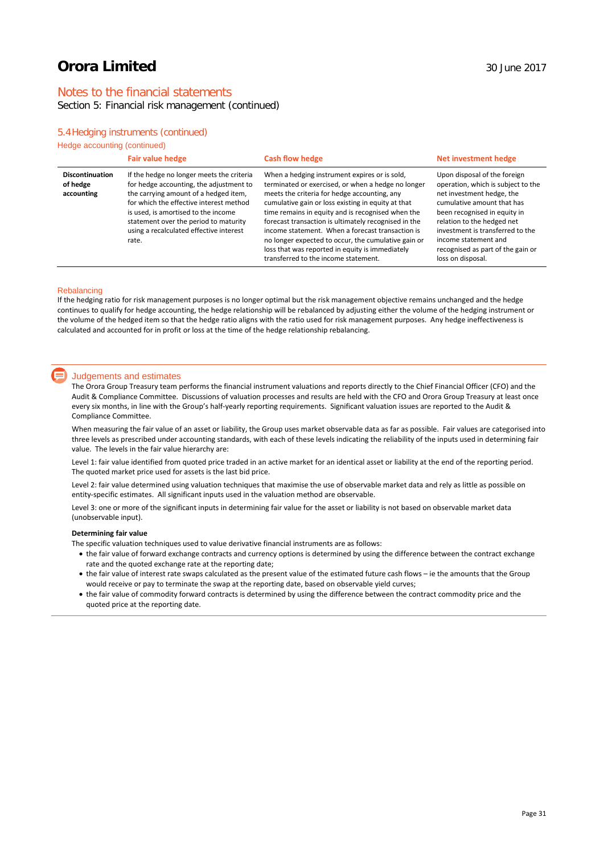# Notes to the financial statements

# Section 5: Financial risk management (continued)

# 5.4Hedging instruments (continued)

|  | Hedge accounting (continued) |  |  |
|--|------------------------------|--|--|
|--|------------------------------|--|--|

|                                                  | <b>Fair value hedge</b>                                                                                                                                                                                                                                                                                      | <b>Cash flow hedge</b>                                                                                                                                                                                                                                                                                                                                                                                                                                                                                                       | Net investment hedge                                                                                                                                                                                                                                                                                              |
|--------------------------------------------------|--------------------------------------------------------------------------------------------------------------------------------------------------------------------------------------------------------------------------------------------------------------------------------------------------------------|------------------------------------------------------------------------------------------------------------------------------------------------------------------------------------------------------------------------------------------------------------------------------------------------------------------------------------------------------------------------------------------------------------------------------------------------------------------------------------------------------------------------------|-------------------------------------------------------------------------------------------------------------------------------------------------------------------------------------------------------------------------------------------------------------------------------------------------------------------|
| <b>Discontinuation</b><br>of hedge<br>accounting | If the hedge no longer meets the criteria<br>for hedge accounting, the adjustment to<br>the carrying amount of a hedged item,<br>for which the effective interest method<br>is used, is amortised to the income<br>statement over the period to maturity<br>using a recalculated effective interest<br>rate. | When a hedging instrument expires or is sold,<br>terminated or exercised, or when a hedge no longer<br>meets the criteria for hedge accounting, any<br>cumulative gain or loss existing in equity at that<br>time remains in equity and is recognised when the<br>forecast transaction is ultimately recognised in the<br>income statement. When a forecast transaction is<br>no longer expected to occur, the cumulative gain or<br>loss that was reported in equity is immediately<br>transferred to the income statement. | Upon disposal of the foreign<br>operation, which is subject to the<br>net investment hedge, the<br>cumulative amount that has<br>been recognised in equity in<br>relation to the hedged net<br>investment is transferred to the<br>income statement and<br>recognised as part of the gain or<br>loss on disposal. |

#### **Rebalancing**

If the hedging ratio for risk management purposes is no longer optimal but the risk management objective remains unchanged and the hedge continues to qualify for hedge accounting, the hedge relationship will be rebalanced by adjusting either the volume of the hedging instrument or the volume of the hedged item so that the hedge ratio aligns with the ratio used for risk management purposes. Any hedge ineffectiveness is calculated and accounted for in profit or loss at the time of the hedge relationship rebalancing.

#### Judgements and estimates

The Orora Group Treasury team performs the financial instrument valuations and reports directly to the Chief Financial Officer (CFO) and the Audit & Compliance Committee. Discussions of valuation processes and results are held with the CFO and Orora Group Treasury at least once every six months, in line with the Group's half-yearly reporting requirements. Significant valuation issues are reported to the Audit & Compliance Committee.

When measuring the fair value of an asset or liability, the Group uses market observable data as far as possible. Fair values are categorised into three levels as prescribed under accounting standards, with each of these levels indicating the reliability of the inputs used in determining fair value. The levels in the fair value hierarchy are:

Level 1: fair value identified from quoted price traded in an active market for an identical asset or liability at the end of the reporting period. The quoted market price used for assets is the last bid price.

Level 2: fair value determined using valuation techniques that maximise the use of observable market data and rely as little as possible on entity-specific estimates. All significant inputs used in the valuation method are observable.

Level 3: one or more of the significant inputs in determining fair value for the asset or liability is not based on observable market data (unobservable input).

#### **Determining fair value**

The specific valuation techniques used to value derivative financial instruments are as follows:

- the fair value of forward exchange contracts and currency options is determined by using the difference between the contract exchange rate and the quoted exchange rate at the reporting date;
- the fair value of interest rate swaps calculated as the present value of the estimated future cash flows ie the amounts that the Group would receive or pay to terminate the swap at the reporting date, based on observable yield curves;
- the fair value of commodity forward contracts is determined by using the difference between the contract commodity price and the quoted price at the reporting date.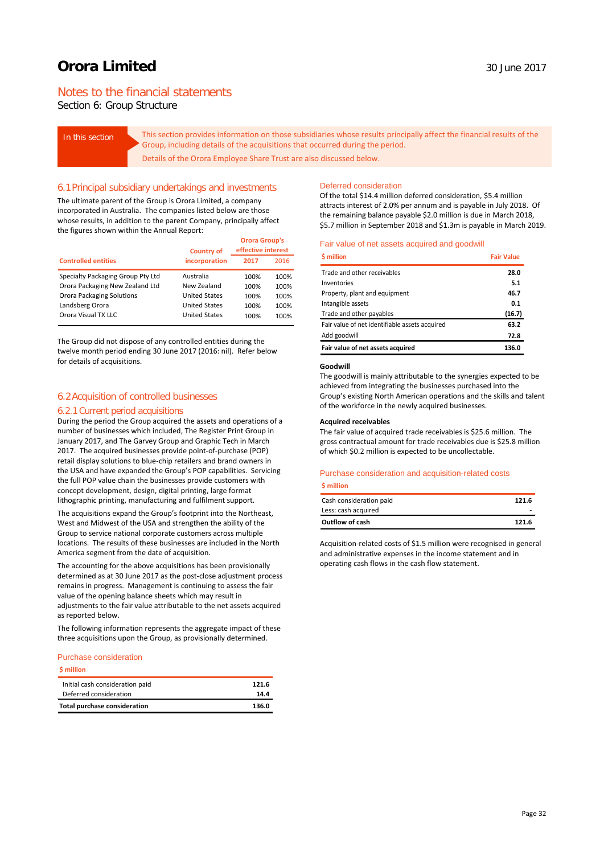# Notes to the financial statements

Section 6: Group Structure

In this section **This section provides information on those subsidiaries whose results principally affect the financial results of the** Group, including details of the acquisitions that occurred during the period. Details of the Orora Employee Share Trust are also discussed below.

#### 6.1Principal subsidiary undertakings and investments

The ultimate parent of the Group is Orora Limited, a company incorporated in Australia. The companies listed below are those whose results, in addition to the parent Company, principally affect the figures shown within the Annual Report:

| <b>Country of</b>                 |                      | <b>Orora Group's</b><br>effective interest |      |  |
|-----------------------------------|----------------------|--------------------------------------------|------|--|
| <b>Controlled entities</b>        | incorporation        | 2017                                       | 2016 |  |
| Specialty Packaging Group Pty Ltd | Australia            | 100%                                       | 100% |  |
| Orora Packaging New Zealand Ltd   | New Zealand          | 100%                                       | 100% |  |
| <b>Orora Packaging Solutions</b>  | <b>United States</b> | 100%                                       | 100% |  |
| Landsberg Orora                   | <b>United States</b> | 100%                                       | 100% |  |
| Orora Visual TX LLC               | <b>United States</b> | 100%                                       | 100% |  |

The Group did not dispose of any controlled entities during the twelve month period ending 30 June 2017 (2016: nil). Refer below for details of acquisitions.

### 6.2Acquisition of controlled businesses

#### 6.2.1 Current period acquisitions

During the period the Group acquired the assets and operations of a number of businesses which included, The Register Print Group in January 2017, and The Garvey Group and Graphic Tech in March 2017. The acquired businesses provide point-of-purchase (POP) retail display solutions to blue-chip retailers and brand owners in the USA and have expanded the Group's POP capabilities. Servicing the full POP value chain the businesses provide customers with concept development, design, digital printing, large format lithographic printing, manufacturing and fulfilment support.

The acquisitions expand the Group's footprint into the Northeast, West and Midwest of the USA and strengthen the ability of the Group to service national corporate customers across multiple locations. The results of these businesses are included in the North America segment from the date of acquisition.

The accounting for the above acquisitions has been provisionally determined as at 30 June 2017 as the post-close adjustment process remains in progress. Management is continuing to assess the fair value of the opening balance sheets which may result in adjustments to the fair value attributable to the net assets acquired as reported below.

The following information represents the aggregate impact of these three acquisitions upon the Group, as provisionally determined.

#### Purchase consideration

#### **\$ million**

| <b>Total purchase consideration</b> | 136.0 |
|-------------------------------------|-------|
| Deferred consideration              | 14.4  |
| Initial cash consideration paid     | 121.6 |

### Deferred consideration

Of the total \$14.4 million deferred consideration, \$5.4 million attracts interest of 2.0% per annum and is payable in July 2018. Of the remaining balance payable \$2.0 million is due in March 2018, \$5.7 million in September 2018 and \$1.3m is payable in March 2019.

#### Fair value of net assets acquired and goodwill

| <b>S</b> million                               | <b>Fair Value</b> |
|------------------------------------------------|-------------------|
| Trade and other receivables                    | 28.0              |
| Inventories                                    | 5.1               |
| Property, plant and equipment                  | 46.7              |
| Intangible assets                              | 0.1               |
| Trade and other payables                       | (16.7)            |
| Fair value of net identifiable assets acquired | 63.2              |
| Add goodwill                                   | 72.8              |
| Fair value of net assets acquired              | 136.0             |

#### **Goodwill**

The goodwill is mainly attributable to the synergies expected to be achieved from integrating the businesses purchased into the Group's existing North American operations and the skills and talent of the workforce in the newly acquired businesses.

#### **Acquired receivables**

The fair value of acquired trade receivables is \$25.6 million. The gross contractual amount for trade receivables due is \$25.8 million of which \$0.2 million is expected to be uncollectable.

#### Purchase consideration and acquisition-related costs

#### **\$ million**

| Cash consideration paid | 121.6 |
|-------------------------|-------|
| Less: cash acquired     |       |
| Outflow of cash         | 121.6 |

Acquisition-related costs of \$1.5 million were recognised in general and administrative expenses in the income statement and in operating cash flows in the cash flow statement.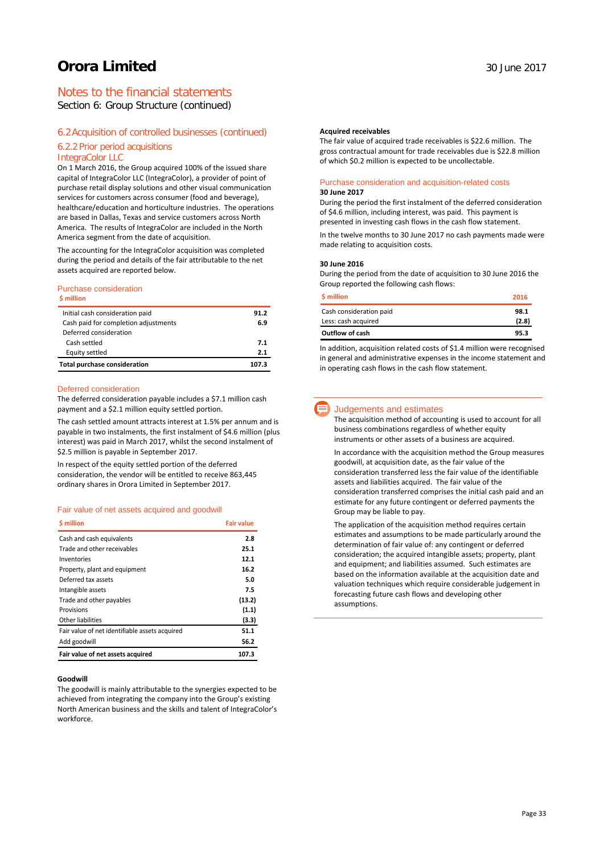# Notes to the financial statements

Section 6: Group Structure (continued)

### 6.2Acquisition of controlled businesses (continued)

### 6.2.2 Prior period acquisitions

#### IntegraColor LLC

On 1 March 2016, the Group acquired 100% of the issued share capital of IntegraColor LLC (IntegraColor), a provider of point of purchase retail display solutions and other visual communication services for customers across consumer (food and beverage), healthcare/education and horticulture industries. The operations are based in Dallas, Texas and service customers across North America. The results of IntegraColor are included in the North America segment from the date of acquisition.

The accounting for the IntegraColor acquisition was completed during the period and details of the fair attributable to the net assets acquired are reported below.

#### Purchase consideration

| <b>S</b> million                     |      |
|--------------------------------------|------|
| Initial cash consideration paid      | 91.2 |
| Cash paid for completion adjustments | 6.9  |
| Deferred consideration               |      |
| Cash settled                         | 7.1  |
| Equity settled                       | 2.1  |
| <b>Total purchase consideration</b>  | 1073 |

#### Deferred consideration

The deferred consideration payable includes a \$7.1 million cash payment and a \$2.1 million equity settled portion.

The cash settled amount attracts interest at 1.5% per annum and is payable in two instalments, the first instalment of \$4.6 million (plus interest) was paid in March 2017, whilst the second instalment of \$2.5 million is payable in September 2017.

In respect of the equity settled portion of the deferred consideration, the vendor will be entitled to receive 863,445 ordinary shares in Orora Limited in September 2017.

#### Fair value of net assets acquired and goodwill

| <b>S</b> million                               | <b>Fair value</b> |
|------------------------------------------------|-------------------|
| Cash and cash equivalents                      | 2.8               |
| Trade and other receivables                    | 25.1              |
| Inventories                                    | 12.1              |
| Property, plant and equipment                  | 16.2              |
| Deferred tax assets                            | 5.0               |
| Intangible assets                              | 7.5               |
| Trade and other payables                       | (13.2)            |
| Provisions                                     | (1.1)             |
| Other liabilities                              | (3.3)             |
| Fair value of net identifiable assets acquired | 51.1              |
| Add goodwill                                   | 56.2              |
| Fair value of net assets acquired              | 107.3             |

#### **Goodwill**

The goodwill is mainly attributable to the synergies expected to be achieved from integrating the company into the Group's existing North American business and the skills and talent of IntegraColor's workforce.

#### **Acquired receivables**

The fair value of acquired trade receivables is \$22.6 million. The gross contractual amount for trade receivables due is \$22.8 million of which \$0.2 million is expected to be uncollectable.

#### Purchase consideration and acquisition-related costs **30 June 2017**

During the period the first instalment of the deferred consideration of \$4.6 million, including interest, was paid. This payment is presented in investing cash flows in the cash flow statement.

In the twelve months to 30 June 2017 no cash payments made were made relating to acquisition costs.

#### **30 June 2016**

During the period from the date of acquisition to 30 June 2016 the Group reported the following cash flows:

| <b>S</b> million        | 2016  |
|-------------------------|-------|
| Cash consideration paid | 98.1  |
| Less: cash acquired     | (2.8) |
| Outflow of cash         | 95.3  |

In addition, acquisition related costs of \$1.4 million were recognised in general and administrative expenses in the income statement and in operating cash flows in the cash flow statement.

# Judgements and estimates

The acquisition method of accounting is used to account for all business combinations regardless of whether equity instruments or other assets of a business are acquired.

In accordance with the acquisition method the Group measures goodwill, at acquisition date, as the fair value of the consideration transferred less the fair value of the identifiable assets and liabilities acquired. The fair value of the consideration transferred comprises the initial cash paid and an estimate for any future contingent or deferred payments the Group may be liable to pay.

The application of the acquisition method requires certain estimates and assumptions to be made particularly around the determination of fair value of: any contingent or deferred consideration; the acquired intangible assets; property, plant and equipment; and liabilities assumed. Such estimates are based on the information available at the acquisition date and valuation techniques which require considerable judgement in forecasting future cash flows and developing other assumptions.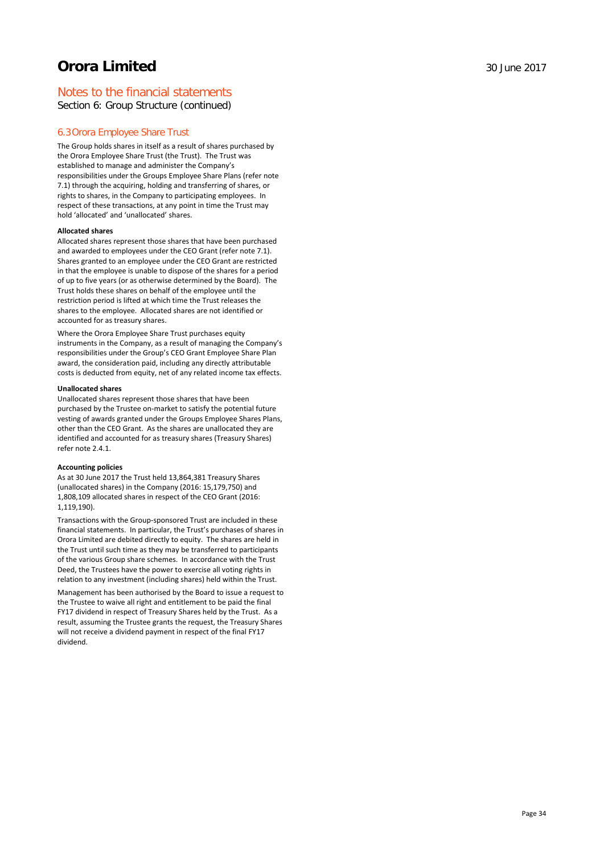# Notes to the financial statements

Section 6: Group Structure (continued)

# 6.3Orora Employee Share Trust

The Group holds shares in itself as a result of shares purchased by the Orora Employee Share Trust (the Trust). The Trust was established to manage and administer the Company's responsibilities under the Groups Employee Share Plans (refer note 7.1) through the acquiring, holding and transferring of shares, or rights to shares, in the Company to participating employees. In respect of these transactions, at any point in time the Trust may hold 'allocated' and 'unallocated' shares.

#### **Allocated shares**

Allocated shares represent those shares that have been purchased and awarded to employees under the CEO Grant (refer note 7.1). Shares granted to an employee under the CEO Grant are restricted in that the employee is unable to dispose of the shares for a period of up to five years (or as otherwise determined by the Board). The Trust holds these shares on behalf of the employee until the restriction period is lifted at which time the Trust releases the shares to the employee. Allocated shares are not identified or accounted for as treasury shares.

Where the Orora Employee Share Trust purchases equity instruments in the Company, as a result of managing the Company's responsibilities under the Group's CEO Grant Employee Share Plan award, the consideration paid, including any directly attributable costs is deducted from equity, net of any related income tax effects.

#### **Unallocated shares**

Unallocated shares represent those shares that have been purchased by the Trustee on-market to satisfy the potential future vesting of awards granted under the Groups Employee Shares Plans, other than the CEO Grant. As the shares are unallocated they are identified and accounted for as treasury shares (Treasury Shares) refer note 2.4.1.

#### **Accounting policies**

As at 30 June 2017 the Trust held 13,864,381 Treasury Shares (unallocated shares) in the Company (2016: 15,179,750) and 1,808,109 allocated shares in respect of the CEO Grant (2016: 1,119,190).

Transactions with the Group-sponsored Trust are included in these financial statements. In particular, the Trust's purchases of shares in Orora Limited are debited directly to equity. The shares are held in the Trust until such time as they may be transferred to participants of the various Group share schemes. In accordance with the Trust Deed, the Trustees have the power to exercise all voting rights in relation to any investment (including shares) held within the Trust.

Management has been authorised by the Board to issue a request to the Trustee to waive all right and entitlement to be paid the final FY17 dividend in respect of Treasury Shares held by the Trust. As a result, assuming the Trustee grants the request, the Treasury Shares will not receive a dividend payment in respect of the final FY17 dividend.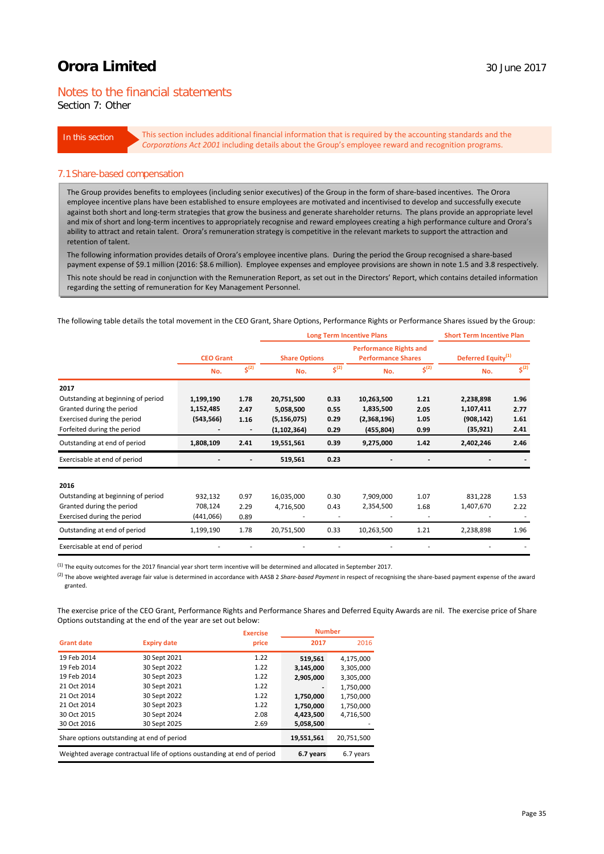# Notes to the financial statements

Section 7: Other

In this section This section includes additional financial information that is required by the accounting standards and the *Corporations Act 2001* including details about the Group's employee reward and recognition programs.

#### 7.1Share-based compensation

The Group provides benefits to employees (including senior executives) of the Group in the form of share-based incentives. The Orora employee incentive plans have been established to ensure employees are motivated and incentivised to develop and successfully execute against both short and long-term strategies that grow the business and generate shareholder returns. The plans provide an appropriate level and mix of short and long-term incentives to appropriately recognise and reward employees creating a high performance culture and Orora's ability to attract and retain talent. Orora's remuneration strategy is competitive in the relevant markets to support the attraction and retention of talent.

The following information provides details of Orora's employee incentive plans. During the period the Group recognised a share-based payment expense of \$9.1 million (2016: \$8.6 million). Employee expenses and employee provisions are shown in note 1.5 and 3.8 respectively.

This note should be read in conjunction with the Remuneration Report, as set out in the Directors' Report, which contains detailed information regarding the setting of remuneration for Key Management Personnel.

The following table details the total movement in the CEO Grant, Share Options, Performance Rights or Performance Shares issued by the Group:

|                                    |                  |                          | <b>Long Term Incentive Plans</b> |                    |                                                            | <b>Short Term Incentive Plan</b><br>Deferred Equity <sup>(1)</sup> |            |                    |
|------------------------------------|------------------|--------------------------|----------------------------------|--------------------|------------------------------------------------------------|--------------------------------------------------------------------|------------|--------------------|
|                                    | <b>CEO Grant</b> |                          | <b>Share Options</b>             |                    | <b>Performance Rights and</b><br><b>Performance Shares</b> |                                                                    |            |                    |
|                                    | No.              | $\overline{\xi^{(2)}}$   | No.                              | $\mathsf{S}^{(2)}$ | No.                                                        | $5^{(2)}$                                                          | No.        | $\mathsf{S}^{(2)}$ |
| 2017                               |                  |                          |                                  |                    |                                                            |                                                                    |            |                    |
| Outstanding at beginning of period | 1,199,190        | 1.78                     | 20,751,500                       | 0.33               | 10,263,500                                                 | 1.21                                                               | 2,238,898  | 1.96               |
| Granted during the period          | 1,152,485        | 2.47                     | 5,058,500                        | 0.55               | 1,835,500                                                  | 2.05                                                               | 1,107,411  | 2.77               |
| Exercised during the period        | (543, 566)       | 1.16                     | (5, 156, 075)                    | 0.29               | (2,368,196)                                                | 1.05                                                               | (908, 142) | 1.61               |
| Forfeited during the period        |                  | $\overline{\phantom{a}}$ | (1, 102, 364)                    | 0.29               | (455, 804)                                                 | 0.99                                                               | (35, 921)  | 2.41               |
| Outstanding at end of period       | 1,808,109        | 2.41                     | 19,551,561                       | 0.39               | 9,275,000                                                  | 1.42                                                               | 2,402,246  | 2.46               |
| Exercisable at end of period       |                  |                          | 519,561                          | 0.23               |                                                            |                                                                    |            |                    |
| 2016                               |                  |                          |                                  |                    |                                                            |                                                                    |            |                    |
| Outstanding at beginning of period | 932,132          | 0.97                     | 16,035,000                       | 0.30               | 7,909,000                                                  | 1.07                                                               | 831,228    | 1.53               |
| Granted during the period          | 708,124          | 2.29                     | 4,716,500                        | 0.43               | 2,354,500                                                  | 1.68                                                               | 1,407,670  | 2.22               |
| Exercised during the period        | (441,066)        | 0.89                     |                                  |                    |                                                            | ٠                                                                  |            |                    |
| Outstanding at end of period       | 1,199,190        | 1.78                     | 20,751,500                       | 0.33               | 10,263,500                                                 | 1.21                                                               | 2,238,898  | 1.96               |
| Exercisable at end of period       |                  |                          |                                  |                    |                                                            |                                                                    |            |                    |

 $^{(1)}$  The equity outcomes for the 2017 financial year short term incentive will be determined and allocated in September 2017.

(2) The above weighted average fair value is determined in accordance with AASB 2 *Share-based Payment* in respect of recognising the share-based payment expense of the award granted.

The exercise price of the CEO Grant, Performance Rights and Performance Shares and Deferred Equity Awards are nil. The exercise price of Share Options outstanding at the end of the year are set out below:

|                                                                          |                    | <b>Exercise</b> | <b>Number</b> |            |
|--------------------------------------------------------------------------|--------------------|-----------------|---------------|------------|
| <b>Grant date</b>                                                        | <b>Expiry date</b> | price           | 2017          | 2016       |
| 19 Feb 2014                                                              | 30 Sept 2021       | 1.22            | 519,561       | 4,175,000  |
| 19 Feb 2014                                                              | 30 Sept 2022       | 1.22            | 3,145,000     | 3,305,000  |
| 19 Feb 2014                                                              | 30 Sept 2023       | 1.22            | 2,905,000     | 3,305,000  |
| 21 Oct 2014                                                              | 30 Sept 2021       | 1.22            |               | 1,750,000  |
| 21 Oct 2014                                                              | 30 Sept 2022       | 1.22            | 1,750,000     | 1,750,000  |
| 21 Oct 2014                                                              | 30 Sept 2023       | 1.22            | 1,750,000     | 1,750,000  |
| 30 Oct 2015                                                              | 30 Sept 2024       | 2.08            | 4,423,500     | 4,716,500  |
| 30 Oct 2016                                                              | 30 Sept 2025       | 2.69            | 5,058,500     |            |
| Share options outstanding at end of period                               |                    |                 | 19,551,561    | 20,751,500 |
| Weighted average contractual life of options oustanding at end of period |                    |                 | 6.7 years     | 6.7 years  |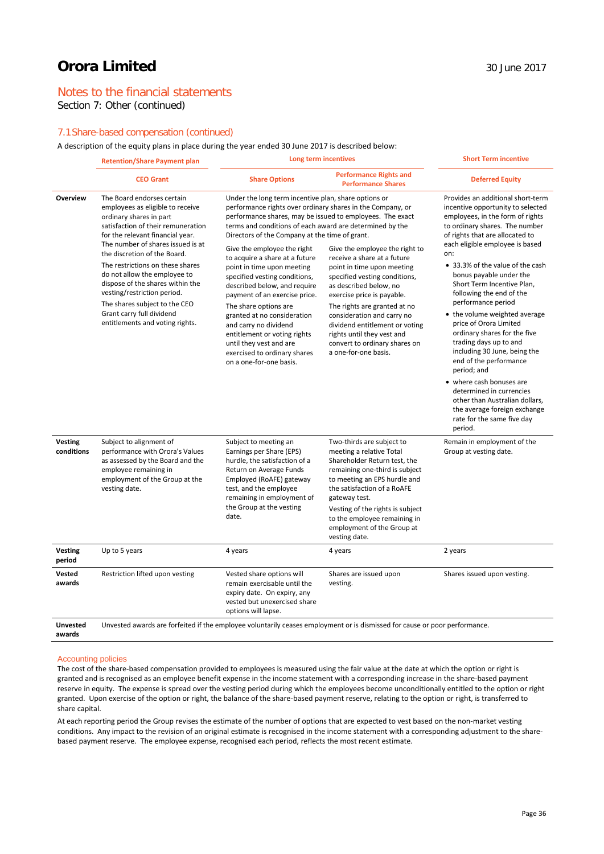# Notes to the financial statements

Section 7: Other (continued)

# 7.1Share-based compensation (continued)

A description of the equity plans in place during the year ended 30 June 2017 is described below:

|                              | <b>Retention/Share Payment plan</b>                                                                                                                                                                                                                                                                                                                                                                                                                                              | Long term incentives                                                                                                                                                                                                                                                                                                                                                                                                                                                                                                                                                                                                                                                                                  |                                                                                                                                                                                                                                                                                                                                                                             | <b>Short Term incentive</b>                                                                                                                                                                                                                                                                                                                                                                                                                                                                                                                                                                                                                                                                                                               |  |
|------------------------------|----------------------------------------------------------------------------------------------------------------------------------------------------------------------------------------------------------------------------------------------------------------------------------------------------------------------------------------------------------------------------------------------------------------------------------------------------------------------------------|-------------------------------------------------------------------------------------------------------------------------------------------------------------------------------------------------------------------------------------------------------------------------------------------------------------------------------------------------------------------------------------------------------------------------------------------------------------------------------------------------------------------------------------------------------------------------------------------------------------------------------------------------------------------------------------------------------|-----------------------------------------------------------------------------------------------------------------------------------------------------------------------------------------------------------------------------------------------------------------------------------------------------------------------------------------------------------------------------|-------------------------------------------------------------------------------------------------------------------------------------------------------------------------------------------------------------------------------------------------------------------------------------------------------------------------------------------------------------------------------------------------------------------------------------------------------------------------------------------------------------------------------------------------------------------------------------------------------------------------------------------------------------------------------------------------------------------------------------------|--|
|                              | <b>CEO Grant</b>                                                                                                                                                                                                                                                                                                                                                                                                                                                                 | <b>Share Options</b>                                                                                                                                                                                                                                                                                                                                                                                                                                                                                                                                                                                                                                                                                  | <b>Performance Rights and</b><br><b>Performance Shares</b>                                                                                                                                                                                                                                                                                                                  | <b>Deferred Equity</b>                                                                                                                                                                                                                                                                                                                                                                                                                                                                                                                                                                                                                                                                                                                    |  |
| Overview                     | The Board endorses certain<br>employees as eligible to receive<br>ordinary shares in part<br>satisfaction of their remuneration<br>for the relevant financial year.<br>The number of shares issued is at<br>the discretion of the Board.<br>The restrictions on these shares<br>do not allow the employee to<br>dispose of the shares within the<br>vesting/restriction period.<br>The shares subject to the CEO<br>Grant carry full dividend<br>entitlements and voting rights. | Under the long term incentive plan, share options or<br>performance rights over ordinary shares in the Company, or<br>performance shares, may be issued to employees. The exact<br>terms and conditions of each award are determined by the<br>Directors of the Company at the time of grant.<br>Give the employee the right<br>to acquire a share at a future<br>point in time upon meeting<br>specified vesting conditions,<br>described below, and require<br>payment of an exercise price.<br>The share options are<br>granted at no consideration<br>and carry no dividend<br>entitlement or voting rights<br>until they vest and are<br>exercised to ordinary shares<br>on a one-for-one basis. | Give the employee the right to<br>receive a share at a future<br>point in time upon meeting<br>specified vesting conditions,<br>as described below, no<br>exercise price is payable.<br>The rights are granted at no<br>consideration and carry no<br>dividend entitlement or voting<br>rights until they vest and<br>convert to ordinary shares on<br>a one-for-one basis. | Provides an additional short-term<br>incentive opportunity to selected<br>employees, in the form of rights<br>to ordinary shares. The number<br>of rights that are allocated to<br>each eligible employee is based<br>on:<br>• 33.3% of the value of the cash<br>bonus payable under the<br>Short Term Incentive Plan,<br>following the end of the<br>performance period<br>• the volume weighted average<br>price of Orora Limited<br>ordinary shares for the five<br>trading days up to and<br>including 30 June, being the<br>end of the performance<br>period; and<br>• where cash bonuses are<br>determined in currencies<br>other than Australian dollars,<br>the average foreign exchange<br>rate for the same five day<br>period. |  |
| <b>Vesting</b><br>conditions | Subject to alignment of<br>performance with Orora's Values<br>as assessed by the Board and the<br>employee remaining in<br>employment of the Group at the<br>vesting date.                                                                                                                                                                                                                                                                                                       | Subject to meeting an<br>Earnings per Share (EPS)<br>hurdle, the satisfaction of a<br>Return on Average Funds<br>Employed (RoAFE) gateway<br>test, and the employee<br>remaining in employment of<br>the Group at the vesting<br>date.                                                                                                                                                                                                                                                                                                                                                                                                                                                                | Two-thirds are subject to<br>meeting a relative Total<br>Shareholder Return test, the<br>remaining one-third is subject<br>to meeting an EPS hurdle and<br>the satisfaction of a RoAFE<br>gateway test.<br>Vesting of the rights is subject<br>to the employee remaining in<br>employment of the Group at<br>vesting date.                                                  | Remain in employment of the<br>Group at vesting date.                                                                                                                                                                                                                                                                                                                                                                                                                                                                                                                                                                                                                                                                                     |  |
| <b>Vesting</b><br>period     | Up to 5 years                                                                                                                                                                                                                                                                                                                                                                                                                                                                    | 4 years                                                                                                                                                                                                                                                                                                                                                                                                                                                                                                                                                                                                                                                                                               | 4 years                                                                                                                                                                                                                                                                                                                                                                     | 2 years                                                                                                                                                                                                                                                                                                                                                                                                                                                                                                                                                                                                                                                                                                                                   |  |
| Vested<br>awards             | Restriction lifted upon vesting                                                                                                                                                                                                                                                                                                                                                                                                                                                  | Vested share options will<br>remain exercisable until the<br>expiry date. On expiry, any<br>vested but unexercised share<br>options will lapse.                                                                                                                                                                                                                                                                                                                                                                                                                                                                                                                                                       | Shares are issued upon<br>vesting.                                                                                                                                                                                                                                                                                                                                          | Shares issued upon vesting.                                                                                                                                                                                                                                                                                                                                                                                                                                                                                                                                                                                                                                                                                                               |  |
| <b>Unvested</b><br>awards    | Unvested awards are forfeited if the employee voluntarily ceases employment or is dismissed for cause or poor performance.                                                                                                                                                                                                                                                                                                                                                       |                                                                                                                                                                                                                                                                                                                                                                                                                                                                                                                                                                                                                                                                                                       |                                                                                                                                                                                                                                                                                                                                                                             |                                                                                                                                                                                                                                                                                                                                                                                                                                                                                                                                                                                                                                                                                                                                           |  |

#### Accounting policies

The cost of the share-based compensation provided to employees is measured using the fair value at the date at which the option or right is granted and is recognised as an employee benefit expense in the income statement with a corresponding increase in the share-based payment reserve in equity. The expense is spread over the vesting period during which the employees become unconditionally entitled to the option or right granted. Upon exercise of the option or right, the balance of the share-based payment reserve, relating to the option or right, is transferred to share capital.

At each reporting period the Group revises the estimate of the number of options that are expected to vest based on the non-market vesting conditions. Any impact to the revision of an original estimate is recognised in the income statement with a corresponding adjustment to the sharebased payment reserve. The employee expense, recognised each period, reflects the most recent estimate.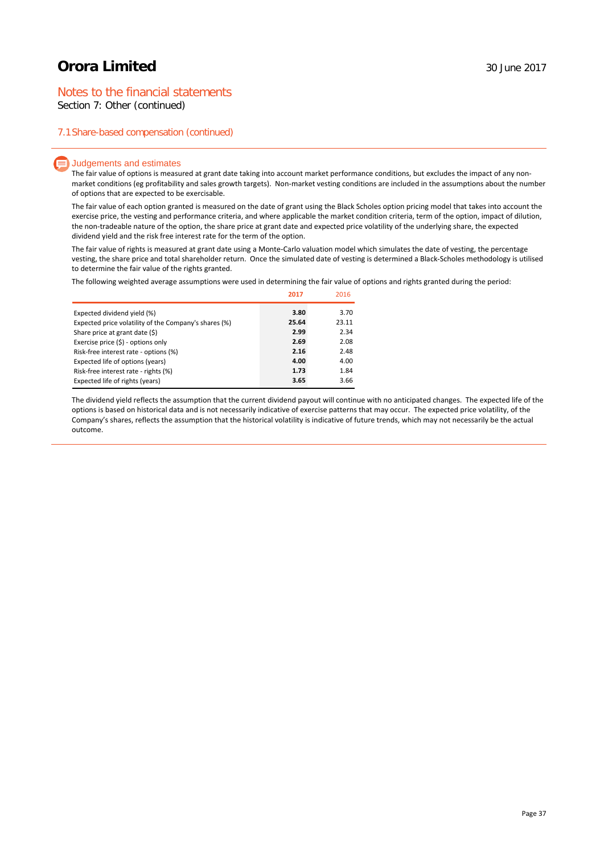# Notes to the financial statements

Section 7: Other (continued)

### 7.1Share-based compensation (continued)

#### $\equiv$  Judgements and estimates

The fair value of options is measured at grant date taking into account market performance conditions, but excludes the impact of any nonmarket conditions (eg profitability and sales growth targets). Non-market vesting conditions are included in the assumptions about the number of options that are expected to be exercisable.

The fair value of each option granted is measured on the date of grant using the Black Scholes option pricing model that takes into account the exercise price, the vesting and performance criteria, and where applicable the market condition criteria, term of the option, impact of dilution, the non-tradeable nature of the option, the share price at grant date and expected price volatility of the underlying share, the expected dividend yield and the risk free interest rate for the term of the option.

The fair value of rights is measured at grant date using a Monte-Carlo valuation model which simulates the date of vesting, the percentage vesting, the share price and total shareholder return. Once the simulated date of vesting is determined a Black-Scholes methodology is utilised to determine the fair value of the rights granted.

The following weighted average assumptions were used in determining the fair value of options and rights granted during the period:

|                                                       | 2017  | 2016  |
|-------------------------------------------------------|-------|-------|
| Expected dividend yield (%)                           | 3.80  | 3.70  |
| Expected price volatility of the Company's shares (%) | 25.64 | 23.11 |
| Share price at grant date (\$)                        | 2.99  | 2.34  |
| Exercise price $(\xi)$ - options only                 | 2.69  | 2.08  |
| Risk-free interest rate - options (%)                 | 2.16  | 2.48  |
| Expected life of options (years)                      | 4.00  | 4.00  |
| Risk-free interest rate - rights (%)                  | 1.73  | 1.84  |
| Expected life of rights (years)                       | 3.65  | 3.66  |

The dividend yield reflects the assumption that the current dividend payout will continue with no anticipated changes. The expected life of the options is based on historical data and is not necessarily indicative of exercise patterns that may occur. The expected price volatility, of the Company's shares, reflects the assumption that the historical volatility is indicative of future trends, which may not necessarily be the actual outcome.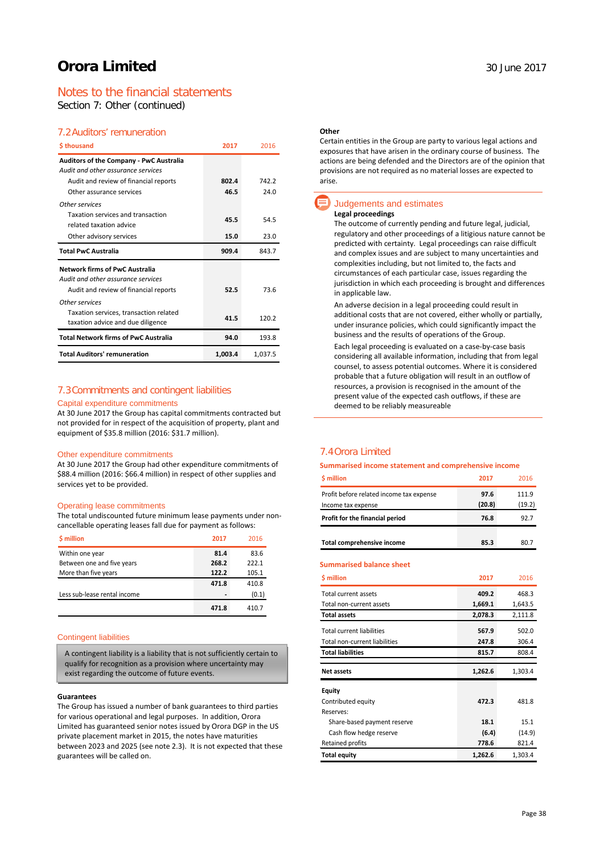# Notes to the financial statements

Section 7: Other (continued)

# 7.2Auditors' remuneration

| \$thousand                                                   | 2017    | 2016    |
|--------------------------------------------------------------|---------|---------|
| Auditors of the Company - PwC Australia                      |         |         |
| Audit and other assurance services                           |         |         |
| Audit and review of financial reports                        | 802.4   | 742.2   |
| Other assurance services                                     | 46.5    | 24.0    |
| Other services                                               |         |         |
| Taxation services and transaction<br>related taxation advice | 45.5    | 54.5    |
| Other advisory services                                      | 15.0    | 23.0    |
| <b>Total PwC Australia</b>                                   | 909.4   | 843.7   |
| <b>Network firms of PwC Australia</b>                        |         |         |
| Audit and other assurance services                           |         |         |
| Audit and review of financial reports                        | 52.5    | 73.6    |
| Other services                                               |         |         |
| Taxation services, transaction related                       |         |         |
| taxation advice and due diligence                            | 41.5    | 120.2   |
| <b>Total Network firms of PwC Australia</b>                  | 94.0    | 193.8   |
| <b>Total Auditors' remuneration</b>                          | 1,003.4 | 1,037.5 |

### 7.3Commitments and contingent liabilities

#### Capital expenditure commitments

At 30 June 2017 the Group has capital commitments contracted but not provided for in respect of the acquisition of property, plant and equipment of \$35.8 million (2016: \$31.7 million).

#### Other expenditure commitments

At 30 June 2017 the Group had other expenditure commitments of \$88.4 million (2016: \$66.4 million) in respect of other supplies and services yet to be provided.

#### Operating lease commitments

The total undiscounted future minimum lease payments under noncancellable operating leases fall due for payment as follows:

| \$ million                   | 2017  | 2016  |
|------------------------------|-------|-------|
| Within one year              | 81.4  | 83.6  |
| Between one and five years   | 268.2 | 222.1 |
| More than five years         | 122.2 | 105.1 |
|                              | 471.8 | 410.8 |
| Less sub-lease rental income |       | (0.1) |
|                              | 471.8 | 410.7 |

### Contingent liabilities

A contingent liability is a liability that is not sufficiently certain to qualify for recognition as a provision where uncertainty may exist regarding the outcome of future events.

#### **Guarantees**

The Group has issued a number of bank guarantees to third parties for various operational and legal purposes. In addition, Orora Limited has guaranteed senior notes issued by Orora DGP in the US private placement market in 2015, the notes have maturities between 2023 and 2025 (see note 2.3). It is not expected that these guarantees will be called on.

#### **Other**

Certain entities in the Group are party to various legal actions and exposures that have arisen in the ordinary course of business. The actions are being defended and the Directors are of the opinion that provisions are not required as no material losses are expected to arise.

#### Judgements and estimates **Legal proceedings**

The outcome of currently pending and future legal, judicial, regulatory and other proceedings of a litigious nature cannot be predicted with certainty. Legal proceedings can raise difficult and complex issues and are subject to many uncertainties and complexities including, but not limited to, the facts and circumstances of each particular case, issues regarding the jurisdiction in which each proceeding is brought and differences in applicable law.

An adverse decision in a legal proceeding could result in additional costs that are not covered, either wholly or partially, under insurance policies, which could significantly impact the business and the results of operations of the Group.

Each legal proceeding is evaluated on a case-by-case basis considering all available information, including that from legal counsel, to assess potential outcomes. Where it is considered probable that a future obligation will result in an outflow of resources, a provision is recognised in the amount of the present value of the expected cash outflows, if these are deemed to be reliably measureable

# 7.4Orora Limited

| Summarised income statement and comprehensive income |         |         |
|------------------------------------------------------|---------|---------|
| \$ million                                           | 2017    | 2016    |
| Profit before related income tax expense             | 97.6    | 111.9   |
| Income tax expense                                   | (20.8)  | (19.2)  |
| Profit for the financial period                      | 76.8    | 92.7    |
| <b>Total comprehensive income</b>                    | 85.3    | 80.7    |
| <b>Summarised balance sheet</b>                      |         |         |
| \$ million                                           | 2017    | 2016    |
| Total current assets                                 | 409.2   | 468.3   |
| Total non-current assets                             | 1,669.1 | 1,643.5 |
| <b>Total assets</b>                                  | 2,078.3 | 2,111.8 |
| <b>Total current liabilities</b>                     | 567.9   | 502.0   |
| Total non-current liabilities                        | 247.8   | 306.4   |
| <b>Total liabilities</b>                             | 815.7   | 808.4   |
| <b>Net assets</b>                                    | 1,262.6 | 1,303.4 |
| <b>Equity</b>                                        |         |         |
| Contributed equity                                   | 472.3   | 481.8   |
| Reserves:                                            |         |         |
| Share-based payment reserve                          | 18.1    | 15.1    |
| Cash flow hedge reserve                              | (6.4)   | (14.9)  |
| Retained profits                                     | 778.6   | 821.4   |

**Total equity 1,262.6** 1,303.4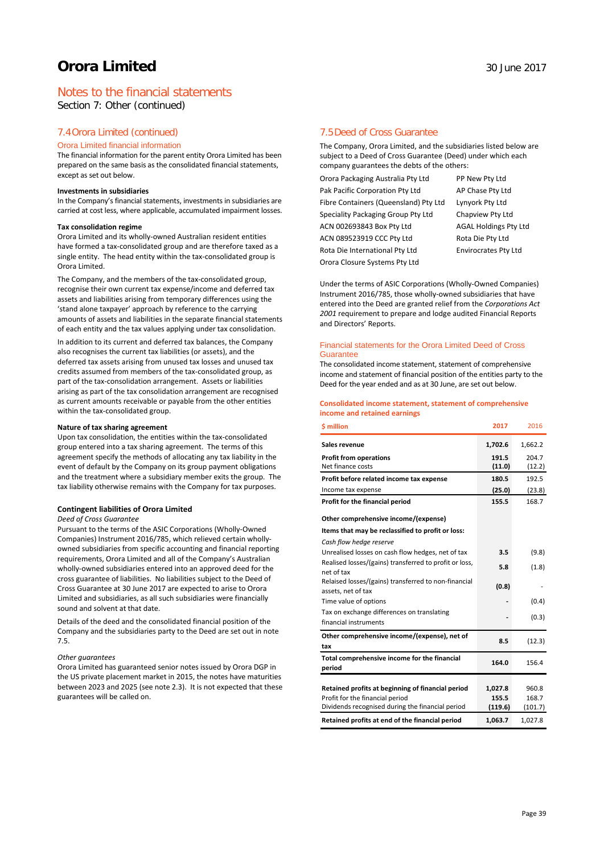# Notes to the financial statements

Section 7: Other (continued)

#### 7.4Orora Limited (continued)

#### Orora Limited financial information

The financial information for the parent entity Orora Limited has been prepared on the same basis as the consolidated financial statements, except as set out below.

#### **Investments in subsidiaries**

In the Company's financial statements, investments in subsidiaries are carried at cost less, where applicable, accumulated impairment losses.

#### **Tax consolidation regime**

Orora Limited and its wholly-owned Australian resident entities have formed a tax-consolidated group and are therefore taxed as a single entity. The head entity within the tax-consolidated group is Orora Limited.

The Company, and the members of the tax-consolidated group, recognise their own current tax expense/income and deferred tax assets and liabilities arising from temporary differences using the 'stand alone taxpayer' approach by reference to the carrying amounts of assets and liabilities in the separate financial statements of each entity and the tax values applying under tax consolidation.

In addition to its current and deferred tax balances, the Company also recognises the current tax liabilities (or assets), and the deferred tax assets arising from unused tax losses and unused tax credits assumed from members of the tax-consolidated group, as part of the tax-consolidation arrangement. Assets or liabilities arising as part of the tax consolidation arrangement are recognised as current amounts receivable or payable from the other entities within the tax-consolidated group.

#### **Nature of tax sharing agreement**

Upon tax consolidation, the entities within the tax-consolidated group entered into a tax sharing agreement. The terms of this agreement specify the methods of allocating any tax liability in the event of default by the Company on its group payment obligations and the treatment where a subsidiary member exits the group. The tax liability otherwise remains with the Company for tax purposes.

#### **Contingent liabilities of Orora Limited**

#### *Deed of Cross Guarantee*

Pursuant to the terms of the ASIC Corporations (Wholly-Owned Companies) Instrument 2016/785, which relieved certain whollyowned subsidiaries from specific accounting and financial reporting requirements, Orora Limited and all of the Company's Australian wholly-owned subsidiaries entered into an approved deed for the cross guarantee of liabilities. No liabilities subject to the Deed of Cross Guarantee at 30 June 2017 are expected to arise to Orora Limited and subsidiaries, as all such subsidiaries were financially sound and solvent at that date.

Details of the deed and the consolidated financial position of the Company and the subsidiaries party to the Deed are set out in note 7.5.

#### *Other guarantees*

Orora Limited has guaranteed senior notes issued by Orora DGP in the US private placement market in 2015, the notes have maturities between 2023 and 2025 (see note 2.3). It is not expected that these guarantees will be called on.

#### 7.5Deed of Cross Guarantee

The Company, Orora Limited, and the subsidiaries listed below are subject to a Deed of Cross Guarantee (Deed) under which each company guarantees the debts of the others:

Orora Packaging Australia Pty Ltd PP New Pty Ltd Pak Pacific Corporation Pty Ltd AP Chase Pty Ltd Fibre Containers (Queensland) Pty Ltd Lynyork Pty Ltd Speciality Packaging Group Pty Ltd Chapview Pty Ltd ACN 002693843 Box Pty Ltd AGAL Holdings Pty Ltd ACN 089523919 CCC Pty Ltd Rota Die Pty Ltd Rota Die International Pty Ltd Envirocrates Pty Ltd Orora Closure Systems Pty Ltd

Under the terms of ASIC Corporations (Wholly-Owned Companies) Instrument 2016/785, those wholly-owned subsidiaries that have entered into the Deed are granted relief from the *Corporations Act 2001* requirement to prepare and lodge audited Financial Reports and Directors' Reports.

#### Financial statements for the Orora Limited Deed of Cross **Guarantee**

The consolidated income statement, statement of comprehensive income and statement of financial position of the entities party to the Deed for the year ended and as at 30 June, are set out below.

#### **Consolidated income statement, statement of comprehensive income and retained earnings**

| <b>S</b> million                                                                    | 2017    | 2016    |
|-------------------------------------------------------------------------------------|---------|---------|
| Sales revenue                                                                       | 1,702.6 | 1,662.2 |
| <b>Profit from operations</b>                                                       | 191.5   | 204.7   |
| Net finance costs                                                                   | (11.0)  | (12.2)  |
| Profit before related income tax expense                                            | 180.5   | 192.5   |
| Income tax expense                                                                  | (25.0)  | (23.8)  |
| Profit for the financial period                                                     | 155.5   | 168.7   |
| Other comprehensive income/(expense)                                                |         |         |
| Items that may be reclassified to profit or loss:                                   |         |         |
| Cash flow hedge reserve                                                             |         |         |
| Unrealised losses on cash flow hedges, net of tax                                   | 3.5     | (9.8)   |
| Realised losses/(gains) transferred to profit or loss,                              | 5.8     | (1.8)   |
| net of tax                                                                          |         |         |
| Relaised losses/(gains) transferred to non-financial<br>assets, net of tax          | (0.8)   |         |
| Time value of options                                                               |         | (0.4)   |
| Tax on exchange differences on translating                                          |         |         |
| financial instruments                                                               |         | (0.3)   |
| Other comprehensive income/(expense), net of                                        | 8.5     | (12.3)  |
| tax                                                                                 |         |         |
| Total comprehensive income for the financial                                        | 164.0   | 156.4   |
| period                                                                              |         |         |
|                                                                                     |         |         |
| Retained profits at beginning of financial period                                   | 1,027.8 | 960.8   |
| Profit for the financial period<br>Dividends recognised during the financial period | 155.5   | 168.7   |
|                                                                                     | (119.6) | (101.7) |
| Retained profits at end of the financial period                                     | 1,063.7 | 1,027.8 |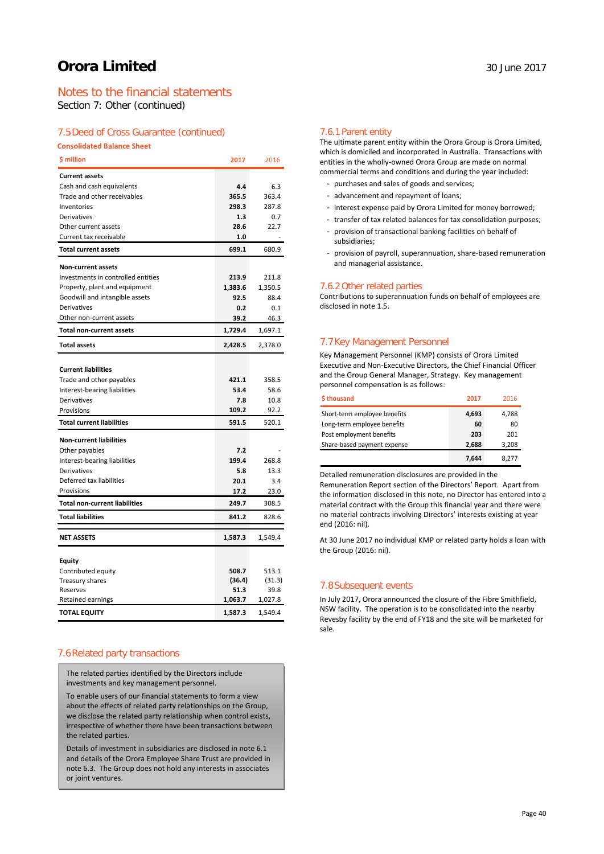# Notes to the financial statements

Section 7: Other (continued)

### 7.5Deed of Cross Guarantee (continued)

**Consolidated Balance Sheet**

| \$ million                           | 2017    | 2016    |
|--------------------------------------|---------|---------|
| <b>Current assets</b>                |         |         |
| Cash and cash equivalents            | 4.4     | 6.3     |
| Trade and other receivables          | 365.5   | 363.4   |
| Inventories                          | 298.3   | 287.8   |
| Derivatives                          | 1.3     | 0.7     |
| Other current assets                 | 28.6    | 22.7    |
| Current tax receivable               | 1.0     |         |
| <b>Total current assets</b>          | 699.1   | 680.9   |
| <b>Non-current assets</b>            |         |         |
| Investments in controlled entities   | 213.9   | 211.8   |
| Property, plant and equipment        | 1,383.6 | 1,350.5 |
| Goodwill and intangible assets       | 92.5    | 88.4    |
| Derivatives                          | 0.2     | 0.1     |
| Other non-current assets             | 39.2    | 46.3    |
| <b>Total non-current assets</b>      | 1,729.4 | 1,697.1 |
| <b>Total assets</b>                  | 2,428.5 | 2,378.0 |
|                                      |         |         |
| <b>Current liabilities</b>           |         |         |
| Trade and other payables             | 421.1   | 358.5   |
| Interest-bearing liabilities         | 53.4    | 58.6    |
| Derivatives                          | 7.8     | 10.8    |
| Provisions                           | 109.2   | 92.2    |
| <b>Total current liabilities</b>     | 591.5   | 520.1   |
| <b>Non-current liabilities</b>       |         |         |
| Other payables                       | 7.2     |         |
| Interest-bearing liabilities         | 199.4   | 268.8   |
| Derivatives                          | 5.8     | 13.3    |
| Deferred tax liabilities             | 20.1    | 3.4     |
| Provisions                           | 17.2    | 23.0    |
| <b>Total non-current liabilities</b> | 249.7   | 308.5   |
| <b>Total liabilities</b>             | 841.2   | 828.6   |
| <b>NET ASSETS</b>                    | 1,587.3 | 1,549.4 |
|                                      |         |         |
| Equity                               |         |         |
| Contributed equity                   | 508.7   | 513.1   |
| Treasury shares                      | (36.4)  | (31.3)  |
| Reserves                             | 51.3    | 39.8    |
| Retained earnings                    | 1,063.7 | 1,027.8 |
| TOTAL EQUITY                         | 1,587.3 | 1,549.4 |

### 7.6Related party transactions

The related parties identified by the Directors include investments and key management personnel.

To enable users of our financial statements to form a view about the effects of related party relationships on the Group, we disclose the related party relationship when control exists, irrespective of whether there have been transactions between the related parties.

Details of investment in subsidiaries are disclosed in note 6.1 and details of the Orora Employee Share Trust are provided in note 6.3. The Group does not hold any interests in associates or joint ventures.

#### 7.6.1 Parent entity

The ultimate parent entity within the Orora Group is Orora Limited, which is domiciled and incorporated in Australia. Transactions with entities in the wholly-owned Orora Group are made on normal commercial terms and conditions and during the year included:

- purchases and sales of goods and services;
- advancement and repayment of loans;
- interest expense paid by Orora Limited for money borrowed;
- transfer of tax related balances for tax consolidation purposes;
- provision of transactional banking facilities on behalf of subsidiaries;
- provision of payroll, superannuation, share-based remuneration and managerial assistance.

#### 7.6.2 Other related parties

Contributions to superannuation funds on behalf of employees are disclosed in note 1.5.

# 7.7Key Management Personnel

Key Management Personnel (KMP) consists of Orora Limited Executive and Non-Executive Directors, the Chief Financial Officer and the Group General Manager, Strategy. Key management personnel compensation is as follows:

| \$thousand                   | 2017  | 2016  |
|------------------------------|-------|-------|
| Short-term employee benefits | 4,693 | 4,788 |
| Long-term employee benefits  | 60    | 80    |
| Post employment benefits     | 203   | 201   |
| Share-based payment expense  | 2.688 | 3,208 |
|                              | 7.644 | 8.277 |

Detailed remuneration disclosures are provided in the Remuneration Report section of the Directors' Report. Apart from

the information disclosed in this note, no Director has entered into a material contract with the Group this financial year and there were no material contracts involving Directors' interests existing at year end (2016: nil).

At 30 June 2017 no individual KMP or related party holds a loan with the Group (2016: nil).

### 7.8Subsequent events

In July 2017, Orora announced the closure of the Fibre Smithfield, NSW facility. The operation is to be consolidated into the nearby Revesby facility by the end of FY18 and the site will be marketed for sale.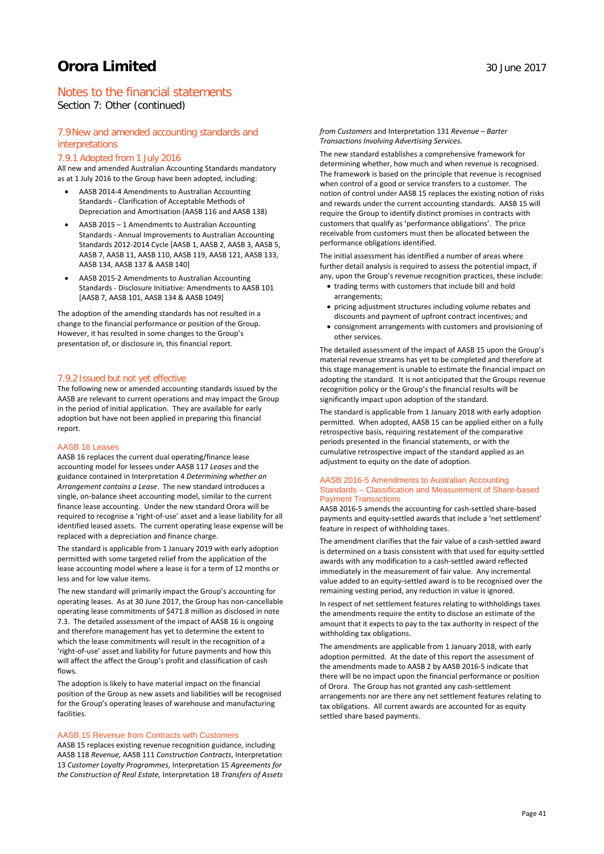Section 7: Other (continued)

### 7.9New and amended accounting standards and interpretations

#### 7.9.1 Adopted from 1 July 2016

All new and amended Australian Accounting Standards mandatory as at 1 July 2016 to the Group have been adopted, including:

- AASB 2014-4 Amendments to Australian Accounting Standards - Clarification of Acceptable Methods of Depreciation and Amortisation (AASB 116 and AASB 138)
- AASB 2015 1 Amendments to Australian Accounting Standards - Annual Improvements to Australian Accounting Standards 2012-2014 Cycle [AASB 1, AASB 2, AASB 3, AASB 5, AASB 7, AASB 11, AASB 110, AASB 119, AASB 121, AASB 133, AASB 134, AASB 137 & AASB 140]
- AASB 2015-2 Amendments to Australian Accounting Standards - Disclosure Initiative: Amendments to AASB 101 [AASB 7, AASB 101, AASB 134 & AASB 1049]

The adoption of the amending standards has not resulted in a change to the financial performance or position of the Group. However, it has resulted in some changes to the Group's presentation of, or disclosure in, this financial report.

#### 7.9.2 Issued but not yet effective

The following new or amended accounting standards issued by the AASB are relevant to current operations and may impact the Group in the period of initial application. They are available for early adoption but have not been applied in preparing this financial report.

#### AASB 16 Leases

AASB 16 replaces the current dual operating/finance lease accounting model for lessees under AASB 117 *Leases* and the guidance contained in Interpretation 4 *Determining whether an Arrangement contains a Lease*.The new standard introduces a single, on-balance sheet accounting model, similar to the current finance lease accounting. Under the new standard Orora will be required to recognise a 'right-of-use' asset and a lease liability for all identified leased assets. The current operating lease expense will be replaced with a depreciation and finance charge.

The standard is applicable from 1 January 2019 with early adoption permitted with some targeted relief from the application of the lease accounting model where a lease is for a term of 12 months or less and for low value items.

The new standard will primarily impact the Group's accounting for operating leases. As at 30 June 2017, the Group has non-cancellable operating lease commitments of \$471.8 million as disclosed in note 7.3. The detailed assessment of the impact of AASB 16 is ongoing and therefore management has yet to determine the extent to which the lease commitments will result in the recognition of a 'right-of-use' asset and liability for future payments and how this will affect the affect the Group's profit and classification of cash flows.

The adoption is likely to have material impact on the financial position of the Group as new assets and liabilities will be recognised for the Group's operating leases of warehouse and manufacturing facilities.

#### AASB 15 Revenue from Contracts with Customers

AASB 15 replaces existing revenue recognition guidance, including AASB 118 *Revenue,* AASB 111 *Construction Contracts*, Interpretation 13 *Customer Loyalty Programmes*, Interpretation 15 *Agreements for the Construction of Real Estate,* Interpretation 18 *Transfers of Assets*  *from Customers* and Interpretation 131 *Revenue – Barter Transactions Involving Advertising Services.* 

The new standard establishes a comprehensive framework for determining whether, how much and when revenue is recognised. The framework is based on the principle that revenue is recognised when control of a good or service transfers to a customer. The notion of control under AASB 15 replaces the existing notion of risks and rewards under the current accounting standards. AASB 15 will require the Group to identify distinct promises in contracts with customers that qualify as 'performance obligations'. The price receivable from customers must then be allocated between the performance obligations identified.

The initial assessment has identified a number of areas where further detail analysis is required to assess the potential impact, if any, upon the Group's revenue recognition practices, these include:

- trading terms with customers that include bill and hold arrangements;
- pricing adjustment structures including volume rebates and discounts and payment of upfront contract incentives; and
- consignment arrangements with customers and provisioning of other services.

The detailed assessment of the impact of AASB 15 upon the Group's material revenue streams has yet to be completed and therefore at this stage management is unable to estimate the financial impact on adopting the standard. It is not anticipated that the Groups revenue recognition policy or the Group's the financial results will be significantly impact upon adoption of the standard.

The standard is applicable from 1 January 2018 with early adoption permitted. When adopted, AASB 15 can be applied either on a fully retrospective basis, requiring restatement of the comparative periods presented in the financial statements, or with the cumulative retrospective impact of the standard applied as an adjustment to equity on the date of adoption.

#### AASB 2016-5 Amendments to Australian Accounting Standards – Classification and Measurement of Share-based Payment Transactions

AASB 2016-5 amends the accounting for cash-settled share-based payments and equity-settled awards that include a 'net settlement' feature in respect of withholding taxes.

The amendment clarifies that the fair value of a cash-settled award is determined on a basis consistent with that used for equity-settled awards with any modification to a cash-settled award reflected immediately in the measurement of fair value. Any incremental value added to an equity-settled award is to be recognised over the remaining vesting period, any reduction in value is ignored.

In respect of net settlement features relating to withholdings taxes the amendments require the entity to disclose an estimate of the amount that it expects to pay to the tax authority in respect of the withholding tax obligations.

The amendments are applicable from 1 January 2018, with early adoption permitted. At the date of this report the assessment of the amendments made to AASB 2 by AASB 2016-5 indicate that there will be no impact upon the financial performance or position of Orora. The Group has not granted any cash-settlement arrangements nor are there any net settlement features relating to tax obligations. All current awards are accounted for as equity settled share based payments.